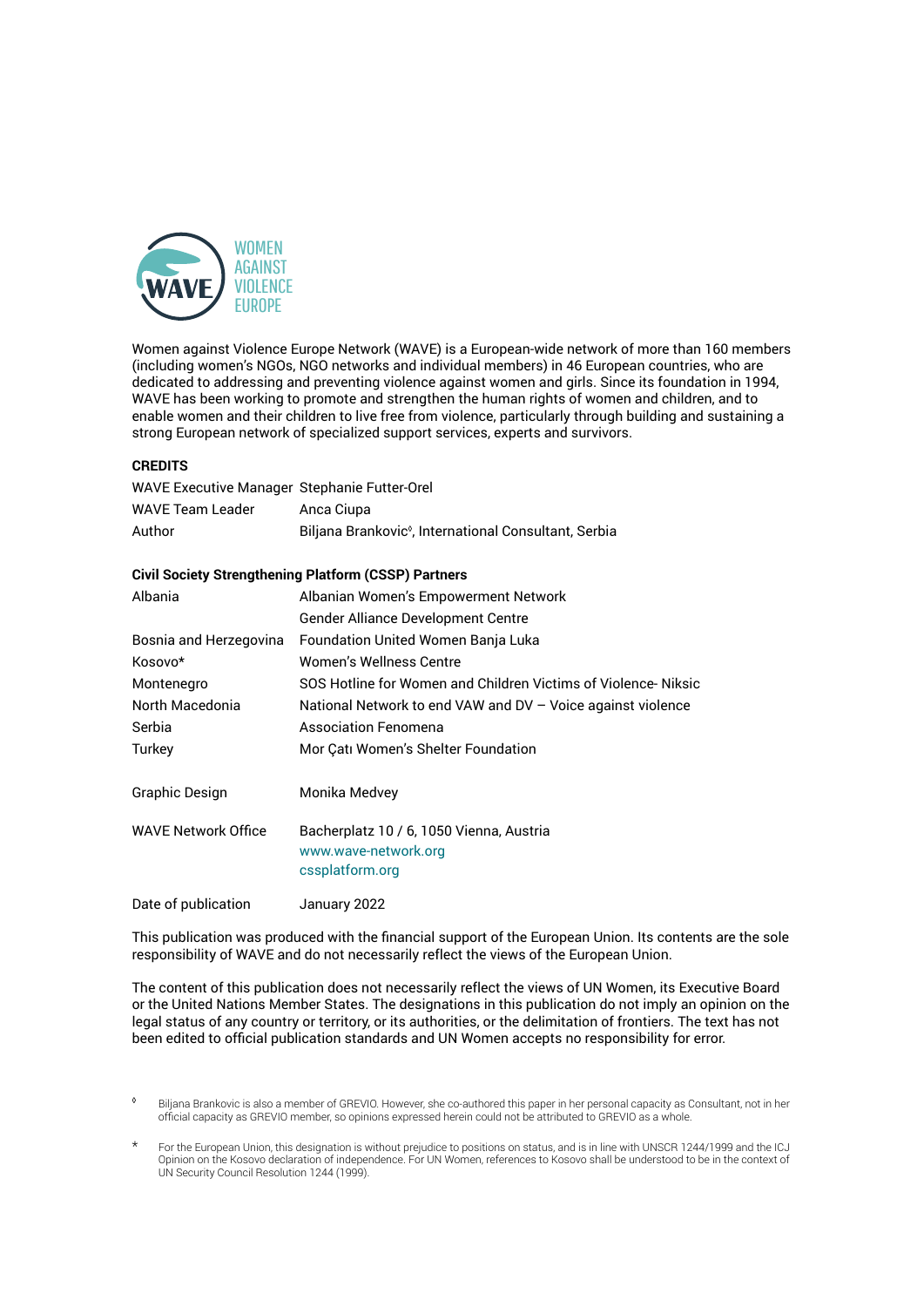

Women against Violence Europe Network (WAVE) is a European-wide network of more than 160 members (including women's NGOs, NGO networks and individual members) in 46 European countries, who are dedicated to addressing and preventing violence against women and girls. Since its foundation in 1994, WAVE has been working to promote and strengthen the human rights of women and children, and to enable women and their children to live free from violence, particularly through building and sustaining a strong European network of specialized support services, experts and survivors.

#### **CREDITS**

| WAVE Executive Manager Stephanie Futter-Orel |                                                                   |
|----------------------------------------------|-------------------------------------------------------------------|
| <b>WAVE Team Leader</b>                      | Anca Ciupa                                                        |
| Author                                       | Biljana Brankovic <sup>®</sup> , International Consultant, Serbia |

#### **Civil Society Strengthening Platform (CSSP) Partners**

| Albania                | Albanian Women's Empowerment Network                                                |
|------------------------|-------------------------------------------------------------------------------------|
|                        | Gender Alliance Development Centre                                                  |
| Bosnia and Herzegovina | <b>Foundation United Women Banja Luka</b>                                           |
| Kosovo*                | Women's Wellness Centre                                                             |
| Montenegro             | SOS Hotline for Women and Children Victims of Violence-Niksic                       |
| North Macedonia        | National Network to end VAW and $DV - Voice$ against violence                       |
| Serbia                 | <b>Association Fenomena</b>                                                         |
| Turkev                 | Mor Çatı Women's Shelter Foundation                                                 |
| Graphic Design         | Monika Medvey                                                                       |
| WAVE Network Office    | Bacherplatz 10 / 6, 1050 Vienna, Austria<br>www.wave-network.org<br>cssplatform.org |
|                        |                                                                                     |

Date of publication January 2022

This publication was produced with the financial support of the European Union. Its contents are the sole responsibility of WAVE and do not necessarily reflect the views of the European Union.

The content of this publication does not necessarily reflect the views of UN Women, its Executive Board or the United Nations Member States. The designations in this publication do not imply an opinion on the legal status of any country or territory, or its authorities, or the delimitation of frontiers. The text has not been edited to official publication standards and UN Women accepts no responsibility for error.

<sup>&</sup>lt;sup>o</sup> Biljana Brankovic is also a member of GREVIO. However, she co-authored this paper in her personal capacity as Consultant, not in her official capacity as GREVIO member, so opinions expressed herein could not be attributed to GREVIO as a whole.

For the European Union, this designation is without prejudice to positions on status, and is in line with UNSCR 1244/1999 and the ICJ Opinion on the Kosovo declaration of independence. For UN Women, references to Kosovo shall be understood to be in the context of UN Security Council Resolution 1244 (1999).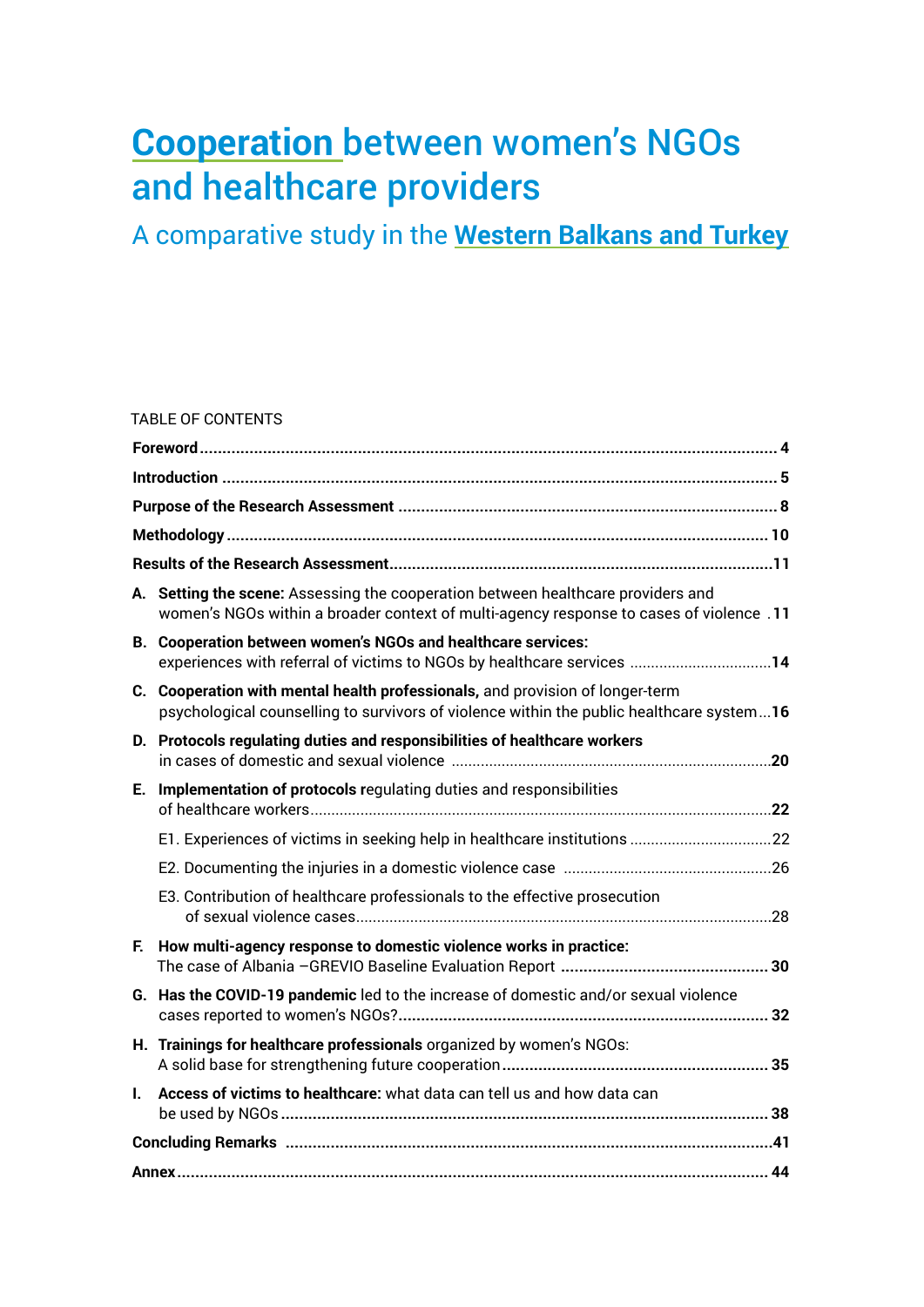# **Cooperation** between women's NGOs and healthcare providers

A comparative study in the **Western Balkans and Turkey**

#### TABLE OF CONTENTS

| А. | Setting the scene: Assessing the cooperation between healthcare providers and<br>women's NGOs within a broader context of multi-agency response to cases of violence .11  |  |
|----|---------------------------------------------------------------------------------------------------------------------------------------------------------------------------|--|
|    | B. Cooperation between women's NGOs and healthcare services:<br>experiences with referral of victims to NGOs by healthcare services 14                                    |  |
|    | C. Cooperation with mental health professionals, and provision of longer-term<br>psychological counselling to survivors of violence within the public healthcare system16 |  |
|    | D. Protocols regulating duties and responsibilities of healthcare workers                                                                                                 |  |
| Е. | Implementation of protocols regulating duties and responsibilities                                                                                                        |  |
|    |                                                                                                                                                                           |  |
|    |                                                                                                                                                                           |  |
|    | E3. Contribution of healthcare professionals to the effective prosecution                                                                                                 |  |
| F. | How multi-agency response to domestic violence works in practice:                                                                                                         |  |
|    | G. Has the COVID-19 pandemic led to the increase of domestic and/or sexual violence                                                                                       |  |
|    | H. Trainings for healthcare professionals organized by women's NGOs:                                                                                                      |  |
| L. | Access of victims to healthcare: what data can tell us and how data can                                                                                                   |  |
|    |                                                                                                                                                                           |  |
|    |                                                                                                                                                                           |  |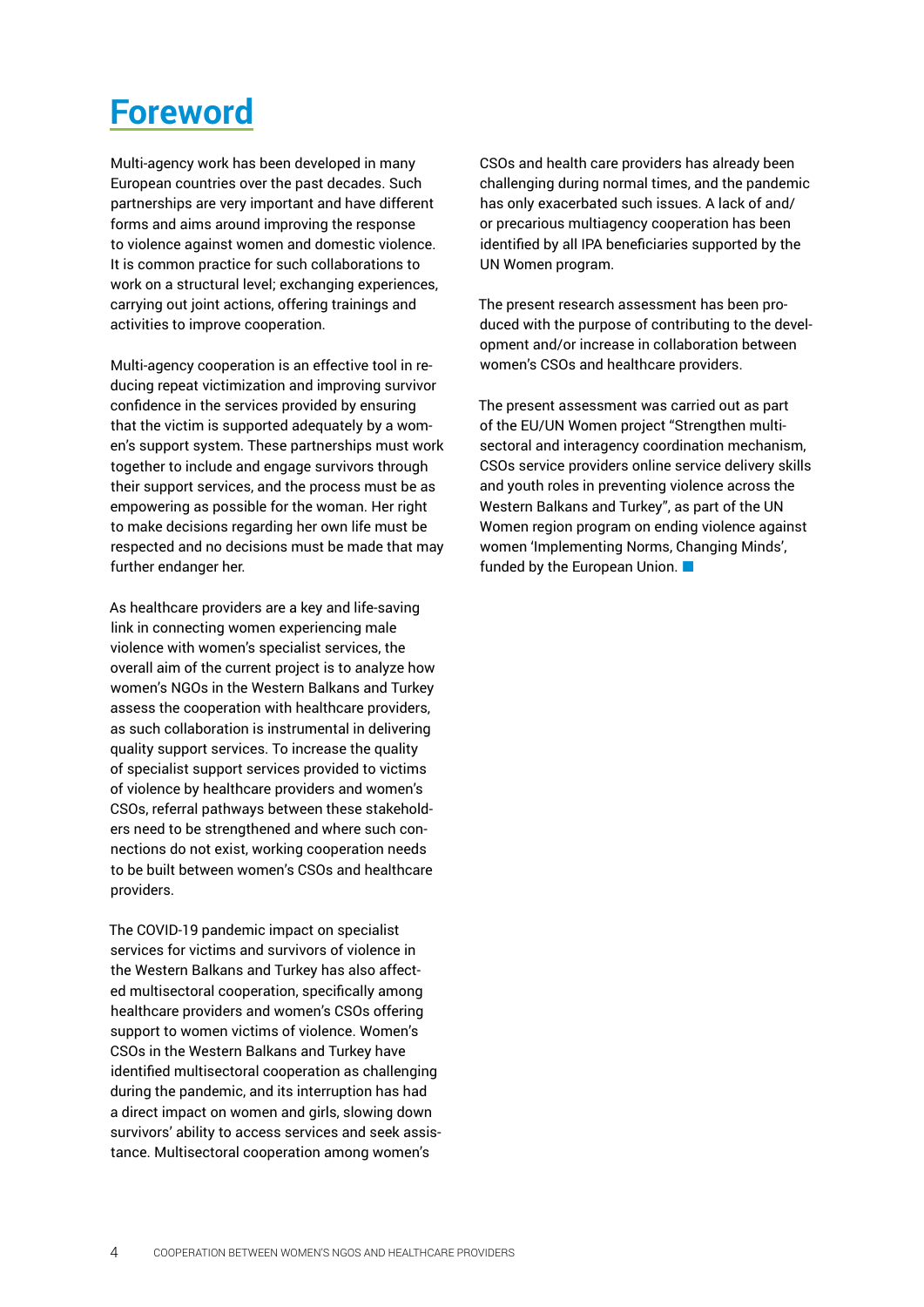# <span id="page-3-0"></span>**Foreword**

Multi-agency work has been developed in many European countries over the past decades. Such partnerships are very important and have different forms and aims around improving the response to violence against women and domestic violence. It is common practice for such collaborations to work on a structural level; exchanging experiences, carrying out joint actions, offering trainings and activities to improve cooperation.

Multi-agency cooperation is an effective tool in reducing repeat victimization and improving survivor confidence in the services provided by ensuring that the victim is supported adequately by a women's support system. These partnerships must work together to include and engage survivors through their support services, and the process must be as empowering as possible for the woman. Her right to make decisions regarding her own life must be respected and no decisions must be made that may further endanger her.

As healthcare providers are a key and life-saving link in connecting women experiencing male violence with women's specialist services, the overall aim of the current project is to analyze how women's NGOs in the Western Balkans and Turkey assess the cooperation with healthcare providers, as such collaboration is instrumental in delivering quality support services. To increase the quality of specialist support services provided to victims of violence by healthcare providers and women's CSOs, referral pathways between these stakeholders need to be strengthened and where such connections do not exist, working cooperation needs to be built between women's CSOs and healthcare providers.

The COVID-19 pandemic impact on specialist services for victims and survivors of violence in the Western Balkans and Turkey has also affected multisectoral cooperation, specifically among healthcare providers and women's CSOs offering support to women victims of violence. Women's CSOs in the Western Balkans and Turkey have identified multisectoral cooperation as challenging during the pandemic, and its interruption has had a direct impact on women and girls, slowing down survivors' ability to access services and seek assistance. Multisectoral cooperation among women's

CSOs and health care providers has already been challenging during normal times, and the pandemic has only exacerbated such issues. A lack of and/ or precarious multiagency cooperation has been identified by all IPA beneficiaries supported by the UN Women program.

The present research assessment has been produced with the purpose of contributing to the development and/or increase in collaboration between women's CSOs and healthcare providers.

The present assessment was carried out as part of the EU/UN Women project "Strengthen multisectoral and interagency coordination mechanism, CSOs service providers online service delivery skills and youth roles in preventing violence across the Western Balkans and Turkey", as part of the UN Women region program on ending violence against women 'Implementing Norms, Changing Minds', funded by the European Union. ■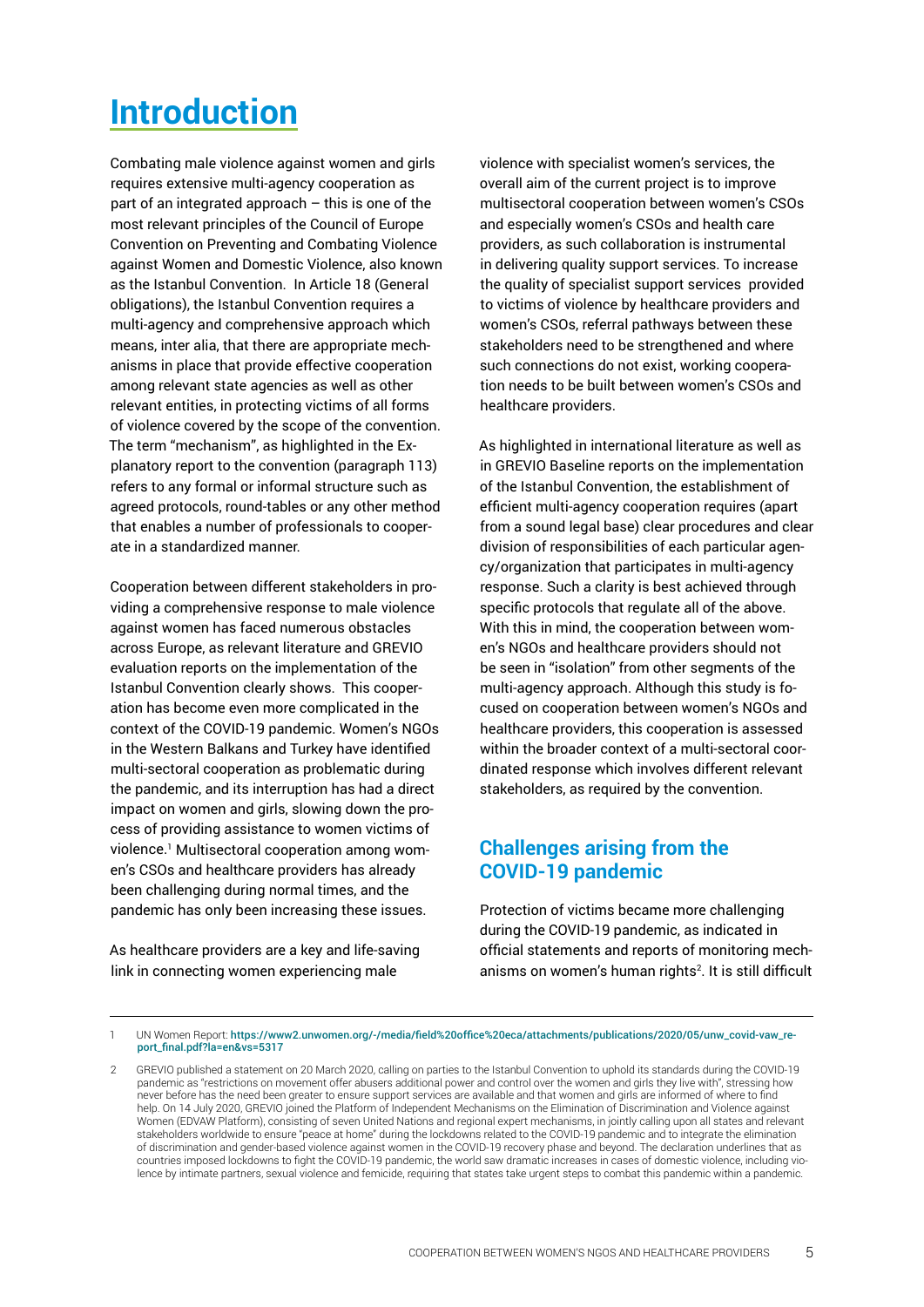# <span id="page-4-0"></span>**Introduction**

Combating male violence against women and girls requires extensive multi-agency cooperation as part of an integrated approach – this is one of the most relevant principles of the Council of Europe Convention on Preventing and Combating Violence against Women and Domestic Violence, also known as the Istanbul Convention. In Article 18 (General obligations), the Istanbul Convention requires a multi-agency and comprehensive approach which means, inter alia, that there are appropriate mechanisms in place that provide effective cooperation among relevant state agencies as well as other relevant entities, in protecting victims of all forms of violence covered by the scope of the convention. The term "mechanism", as highlighted in the Explanatory report to the convention (paragraph 113) refers to any formal or informal structure such as agreed protocols, round-tables or any other method that enables a number of professionals to cooperate in a standardized manner.

Cooperation between different stakeholders in providing a comprehensive response to male violence against women has faced numerous obstacles across Europe, as relevant literature and GREVIO evaluation reports on the implementation of the Istanbul Convention clearly shows. This cooperation has become even more complicated in the context of the COVID-19 pandemic. Women's NGOs in the Western Balkans and Turkey have identified multi-sectoral cooperation as problematic during the pandemic, and its interruption has had a direct impact on women and girls, slowing down the process of providing assistance to women victims of violence.1 Multisectoral cooperation among women's CSOs and healthcare providers has already been challenging during normal times, and the pandemic has only been increasing these issues.

As healthcare providers are a key and life-saving link in connecting women experiencing male

violence with specialist women's services, the overall aim of the current project is to improve multisectoral cooperation between women's CSOs and especially women's CSOs and health care providers, as such collaboration is instrumental in delivering quality support services. To increase the quality of specialist support services provided to victims of violence by healthcare providers and women's CSOs, referral pathways between these stakeholders need to be strengthened and where such connections do not exist, working cooperation needs to be built between women's CSOs and healthcare providers.

As highlighted in international literature as well as in GREVIO Baseline reports on the implementation of the Istanbul Convention, the establishment of efficient multi-agency cooperation requires (apart from a sound legal base) clear procedures and clear division of responsibilities of each particular agency/organization that participates in multi-agency response. Such a clarity is best achieved through specific protocols that regulate all of the above. With this in mind, the cooperation between women's NGOs and healthcare providers should not be seen in "isolation" from other segments of the multi-agency approach. Although this study is focused on cooperation between women's NGOs and healthcare providers, this cooperation is assessed within the broader context of a multi-sectoral coordinated response which involves different relevant stakeholders, as required by the convention.

# **Challenges arising from the COVID-19 pandemic**

Protection of victims became more challenging during the COVID-19 pandemic, as indicated in official statements and reports of monitoring mechanisms on women's human rights<sup>2</sup>. It is still difficult

<sup>1</sup> UN Women Report: [https://www2.unwomen.org/-/media/field%20office%20eca/attachments/publications/2020/05/unw\\_covid-vaw\\_re](https://www2.unwomen.org/-/media/field%20office%20eca/attachments/publications/2020/05/unw_covid-vaw_report_final.pdf?la=en&vs=5317)[port\\_final.pdf?la=en&vs=5317](https://www2.unwomen.org/-/media/field%20office%20eca/attachments/publications/2020/05/unw_covid-vaw_report_final.pdf?la=en&vs=5317)

<sup>2</sup> GREVIO published a statement on 20 March 2020, calling on parties to the Istanbul Convention to uphold its standards during the COVID-19 pandemic as "restrictions on movement offer abusers additional power and control over the women and girls they live with", stressing how never before has the need been greater to ensure support services are available and that women and girls are informed of where to find help. On 14 July 2020, GREVIO joined the Platform of Independent Mechanisms on the Elimination of Discrimination and Violence against Women (EDVAW Platform), consisting of seven United Nations and regional expert mechanisms, in jointly calling upon all states and relevant stakeholders worldwide to ensure "peace at home" during the lockdowns related to the COVID-19 pandemic and to integrate the elimination of discrimination and gender-based violence against women in the COVID-19 recovery phase and beyond. The declaration underlines that as countries imposed lockdowns to fight the COVID-19 pandemic, the world saw dramatic increases in cases of domestic violence, including violence by intimate partners, sexual violence and femicide, requiring that states take urgent steps to combat this pandemic within a pandemic.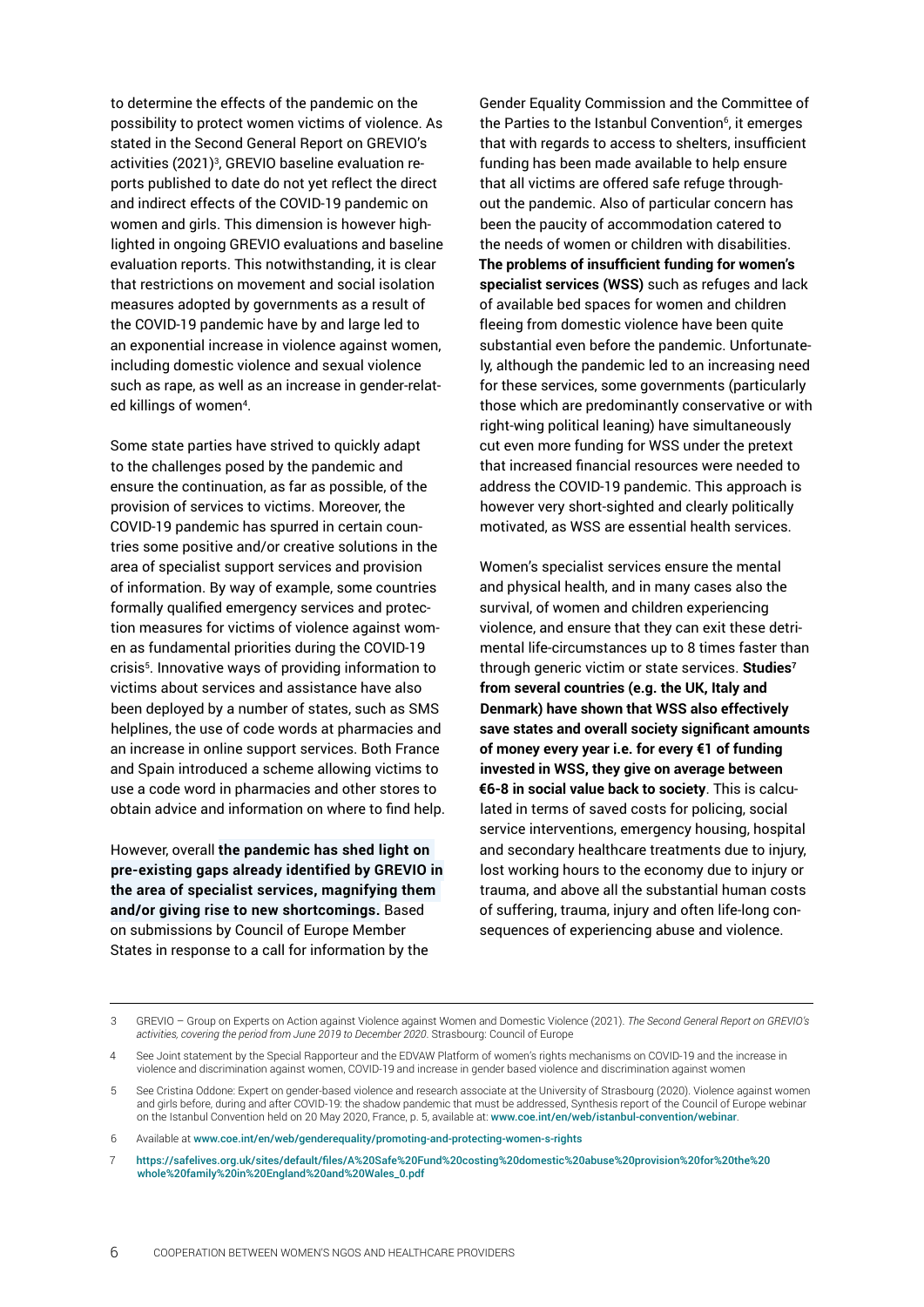to determine the effects of the pandemic on the possibility to protect women victims of violence. As stated in the Second General Report on GREVIO's activities (2021)<sup>3</sup>, GREVIO baseline evaluation reports published to date do not yet reflect the direct and indirect effects of the COVID-19 pandemic on women and girls. This dimension is however highlighted in ongoing GREVIO evaluations and baseline evaluation reports. This notwithstanding, it is clear that restrictions on movement and social isolation measures adopted by governments as a result of the COVID-19 pandemic have by and large led to an exponential increase in violence against women, including domestic violence and sexual violence such as rape, as well as an increase in gender-related killings of women<sup>4</sup>.

Some state parties have strived to quickly adapt to the challenges posed by the pandemic and ensure the continuation, as far as possible, of the provision of services to victims. Moreover, the COVID-19 pandemic has spurred in certain countries some positive and/or creative solutions in the area of specialist support services and provision of information. By way of example, some countries formally qualified emergency services and protection measures for victims of violence against women as fundamental priorities during the COVID-19 crisis<sup>5</sup> . Innovative ways of providing information to victims about services and assistance have also been deployed by a number of states, such as SMS helplines, the use of code words at pharmacies and an increase in online support services. Both France and Spain introduced a scheme allowing victims to use a code word in pharmacies and other stores to obtain advice and information on where to find help.

However, overall **the pandemic has shed light on pre-existing gaps already identified by GREVIO in the area of specialist services, magnifying them and/or giving rise to new shortcomings.** Based on submissions by Council of Europe Member States in response to a call for information by the

Gender Equality Commission and the Committee of the Parties to the Istanbul Convention $6$ , it emerges that with regards to access to shelters, insufficient funding has been made available to help ensure that all victims are offered safe refuge throughout the pandemic. Also of particular concern has been the paucity of accommodation catered to the needs of women or children with disabilities. **The problems of insufficient funding for women's specialist services (WSS)** such as refuges and lack of available bed spaces for women and children fleeing from domestic violence have been quite substantial even before the pandemic. Unfortunately, although the pandemic led to an increasing need for these services, some governments (particularly those which are predominantly conservative or with right-wing political leaning) have simultaneously cut even more funding for WSS under the pretext that increased financial resources were needed to address the COVID-19 pandemic. This approach is however very short-sighted and clearly politically motivated, as WSS are essential health services.

Women's specialist services ensure the mental and physical health, and in many cases also the survival, of women and children experiencing violence, and ensure that they can exit these detrimental life-circumstances up to 8 times faster than through generic victim or state services. **Studies7 from several countries (e.g. the UK, Italy and Denmark) have shown that WSS also effectively save states and overall society significant amounts of money every year i.e. for every €1 of funding invested in WSS, they give on average between €6-8 in social value back to society**. This is calculated in terms of saved costs for policing, social service interventions, emergency housing, hospital and secondary healthcare treatments due to injury, lost working hours to the economy due to injury or trauma, and above all the substantial human costs of suffering, trauma, injury and often life-long consequences of experiencing abuse and violence.

<sup>3</sup> GREVIO – Group on Experts on Action against Violence against Women and Domestic Violence (2021). *The Second General Report on GREVIO's activities, covering the period from June 2019 to December 2020*. Strasbourg: Council of Europe

<sup>4</sup> See Joint statement by the Special Rapporteur and the EDVAW Platform of women's rights mechanisms on COVID-19 and the increase in violence and discrimination against women, COVID-19 and increase in gender based violence and discrimination against women

<sup>5</sup> See Cristina Oddone: Expert on gender-based violence and research associate at the University of Strasbourg (2020). Violence against women and girls before, during and after COVID-19: the shadow pandemic that must be addressed, Synthesis report of the Council of Europe webinar on the Istanbul Convention held on 20 May 2020, France, p. 5, available at: <www.coe.int/en/web/istanbul-convention/webinar>.

<sup>6</sup> Available at <www.coe.int/en/web/genderequality/promoting-and-protecting-women-s-rights>

<sup>7</sup> [https://safelives.org.uk/sites/default/files/A%20Safe%20Fund%20costing%20domestic%20abuse%20provision%20for%20the%20](https://safelives.org.uk/sites/default/files/A%20Safe%20Fund%20costing%20domestic%20abuse%20provision%20for%20the%20whole%20family%20in%20England%20and%20Wales_0.pdf) [whole%20family%20in%20England%20and%20Wales\\_0.pdf](https://safelives.org.uk/sites/default/files/A%20Safe%20Fund%20costing%20domestic%20abuse%20provision%20for%20the%20whole%20family%20in%20England%20and%20Wales_0.pdf)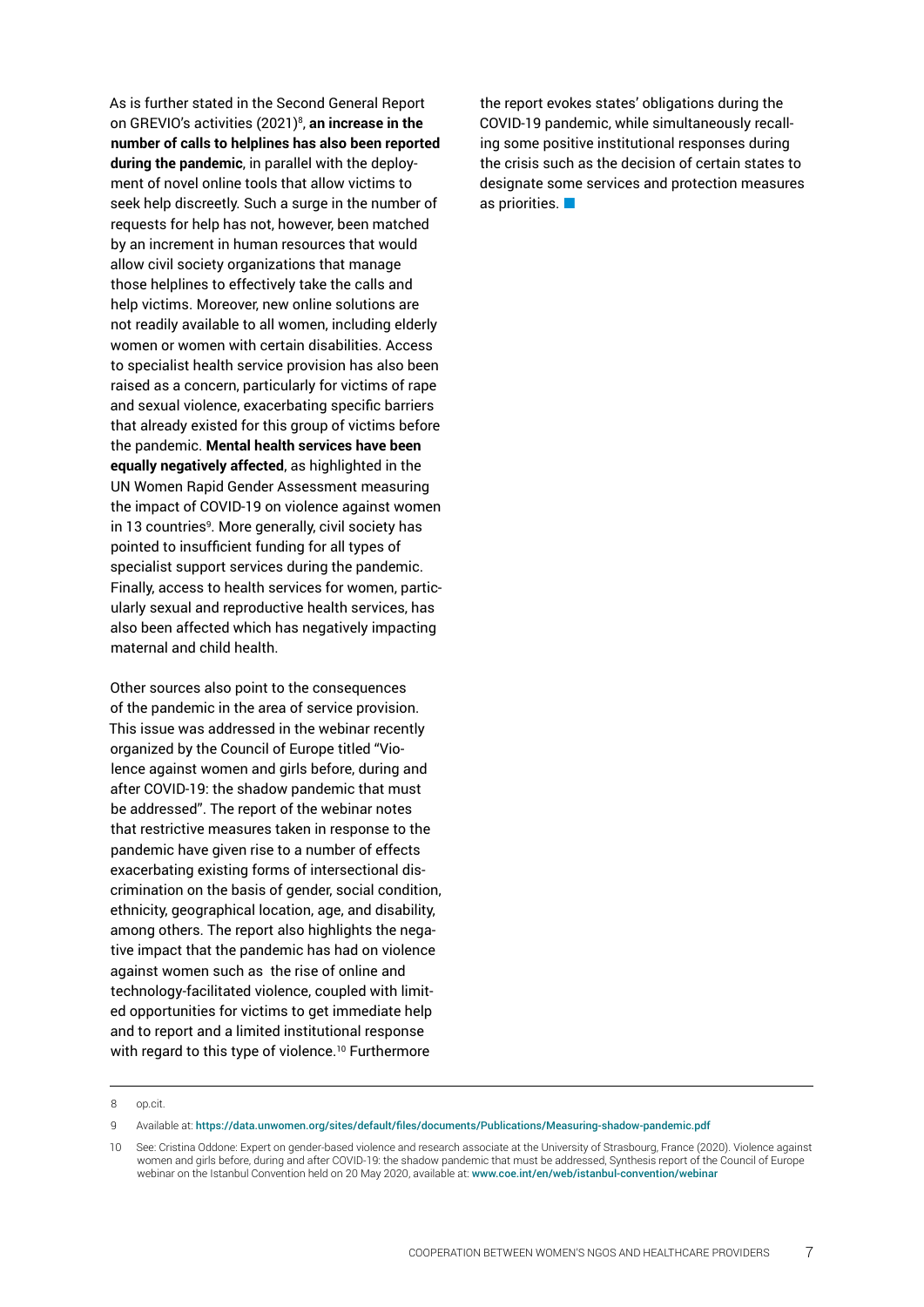As is further stated in the Second General Report on GREVIO's activities (2021)8 , **an increase in the number of calls to helplines has also been reported during the pandemic**, in parallel with the deployment of novel online tools that allow victims to seek help discreetly. Such a surge in the number of requests for help has not, however, been matched by an increment in human resources that would allow civil society organizations that manage those helplines to effectively take the calls and help victims. Moreover, new online solutions are not readily available to all women, including elderly women or women with certain disabilities. Access to specialist health service provision has also been raised as a concern, particularly for victims of rape and sexual violence, exacerbating specific barriers that already existed for this group of victims before the pandemic. **Mental health services have been equally negatively affected**, as highlighted in the UN Women Rapid Gender Assessment measuring the impact of COVID-19 on violence against women in 13 countriesº. More generally, civil society has pointed to insufficient funding for all types of specialist support services during the pandemic. Finally, access to health services for women, particularly sexual and reproductive health services, has also been affected which has negatively impacting maternal and child health.

Other sources also point to the consequences of the pandemic in the area of service provision. This issue was addressed in the webinar recently organized by the Council of Europe titled "Violence against women and girls before, during and after COVID-19: the shadow pandemic that must be addressed". The report of the webinar notes that restrictive measures taken in response to the pandemic have given rise to a number of effects exacerbating existing forms of intersectional discrimination on the basis of gender, social condition, ethnicity, geographical location, age, and disability, among others. The report also highlights the negative impact that the pandemic has had on violence against women such as the rise of online and technology-facilitated violence, coupled with limited opportunities for victims to get immediate help and to report and a limited institutional response with regard to this type of violence.<sup>10</sup> Furthermore

the report evokes states' obligations during the COVID-19 pandemic, while simultaneously recalling some positive institutional responses during the crisis such as the decision of certain states to designate some services and protection measures as priorities.

<sup>8</sup> op.cit.

<sup>9</sup> Available at: <https://data.unwomen.org/sites/default/files/documents/Publications/Measuring-shadow-pandemic.pdf>

<sup>10</sup> See: Cristina Oddone: Expert on gender-based violence and research associate at the University of Strasbourg, France (2020). Violence against women and girls before, during and after COVID-19: the shadow pandemic that must be addressed, Synthesis report of the Council of Europe webinar on the Istanbul Convention held on 20 May 2020, available at: <www.coe.int/en/web/istanbul-convention/webinar>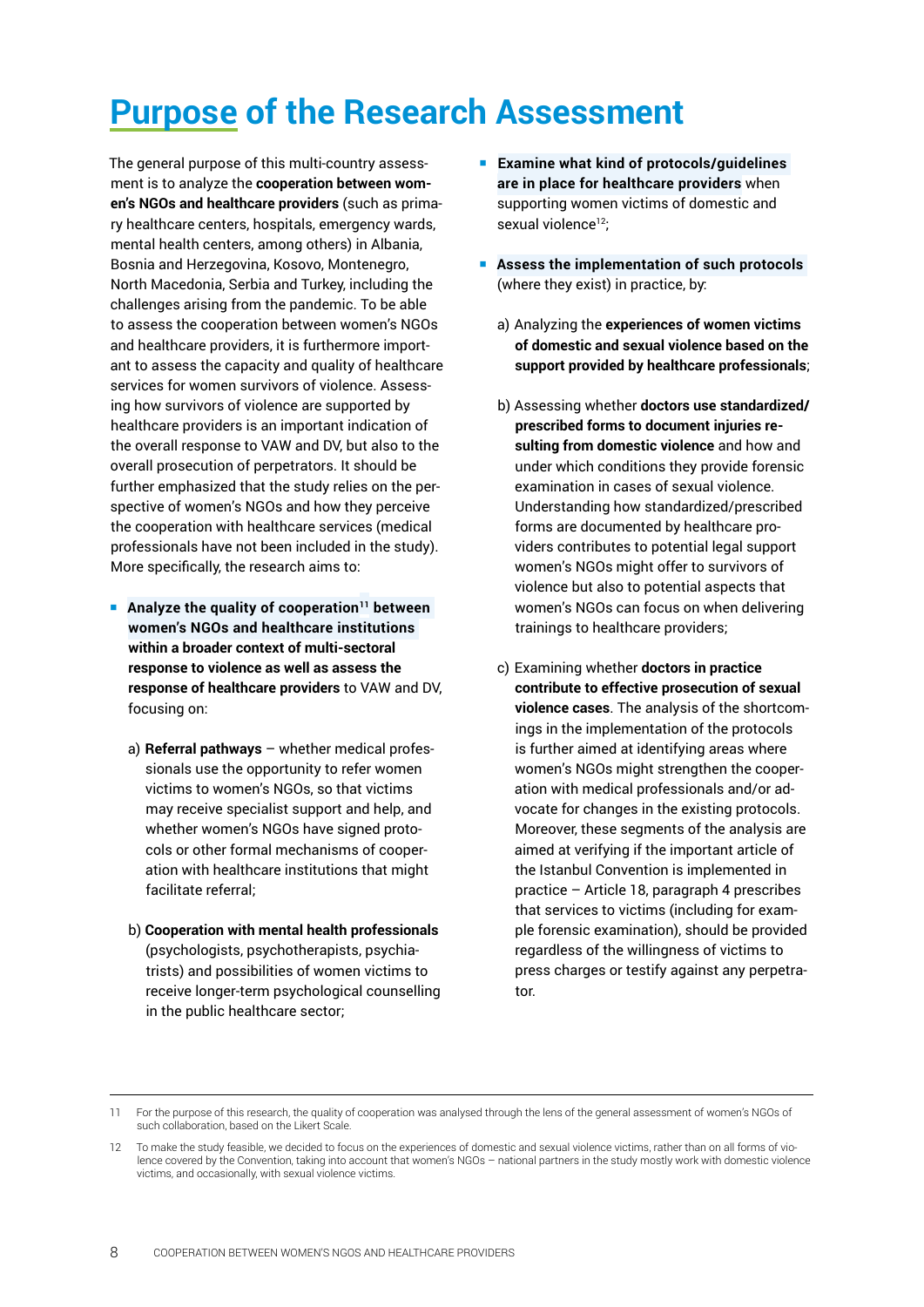# <span id="page-7-0"></span>**Purpose of the Research Assessment**

The general purpose of this multi-country assessment is to analyze the **cooperation between women's NGOs and healthcare providers** (such as primary healthcare centers, hospitals, emergency wards, mental health centers, among others) in Albania, Bosnia and Herzegovina, Kosovo, Montenegro, North Macedonia, Serbia and Turkey, including the challenges arising from the pandemic. To be able to assess the cooperation between women's NGOs and healthcare providers, it is furthermore important to assess the capacity and quality of healthcare services for women survivors of violence. Assessing how survivors of violence are supported by healthcare providers is an important indication of the overall response to VAW and DV, but also to the overall prosecution of perpetrators. It should be further emphasized that the study relies on the perspective of women's NGOs and how they perceive the cooperation with healthcare services (medical professionals have not been included in the study). More specifically, the research aims to:

- **Analyze the quality of cooperation**<sup>11</sup> between **women's NGOs and healthcare institutions within a broader context of multi-sectoral response to violence as well as assess the response of healthcare providers** to VAW and DV, focusing on:
	- a) **Referral pathways** whether medical professionals use the opportunity to refer women victims to women's NGOs, so that victims may receive specialist support and help, and whether women's NGOs have signed protocols or other formal mechanisms of cooperation with healthcare institutions that might facilitate referral;
	- b) **Cooperation with mental health professionals**  (psychologists, psychotherapists, psychiatrists) and possibilities of women victims to receive longer-term psychological counselling in the public healthcare sector;
- **Examine what kind of protocols/guidelines are in place for healthcare providers** when supporting women victims of domestic and sexual violence<sup>12</sup>;
- **Assess the implementation of such protocols**  (where they exist) in practice, by:
	- a) Analyzing the **experiences of women victims of domestic and sexual violence based on the support provided by healthcare professionals**;
	- b) Assessing whether **doctors use standardized/ prescribed forms to document injuries resulting from domestic violence** and how and under which conditions they provide forensic examination in cases of sexual violence. Understanding how standardized/prescribed forms are documented by healthcare providers contributes to potential legal support women's NGOs might offer to survivors of violence but also to potential aspects that women's NGOs can focus on when delivering trainings to healthcare providers;
	- c) Examining whether **doctors in practice contribute to effective prosecution of sexual violence cases**. The analysis of the shortcomings in the implementation of the protocols is further aimed at identifying areas where women's NGOs might strengthen the cooperation with medical professionals and/or advocate for changes in the existing protocols. Moreover, these segments of the analysis are aimed at verifying if the important article of the Istanbul Convention is implemented in practice – Article 18, paragraph 4 prescribes that services to victims (including for example forensic examination), should be provided regardless of the willingness of victims to press charges or testify against any perpetrator.

<sup>11</sup> For the purpose of this research, the quality of cooperation was analysed through the lens of the general assessment of women's NGOs of such collaboration, based on the Likert Scale.

<sup>12</sup> To make the study feasible, we decided to focus on the experiences of domestic and sexual violence victims, rather than on all forms of violence covered by the Convention, taking into account that women's NGOs – national partners in the study mostly work with domestic violence victims, and occasionally, with sexual violence victims.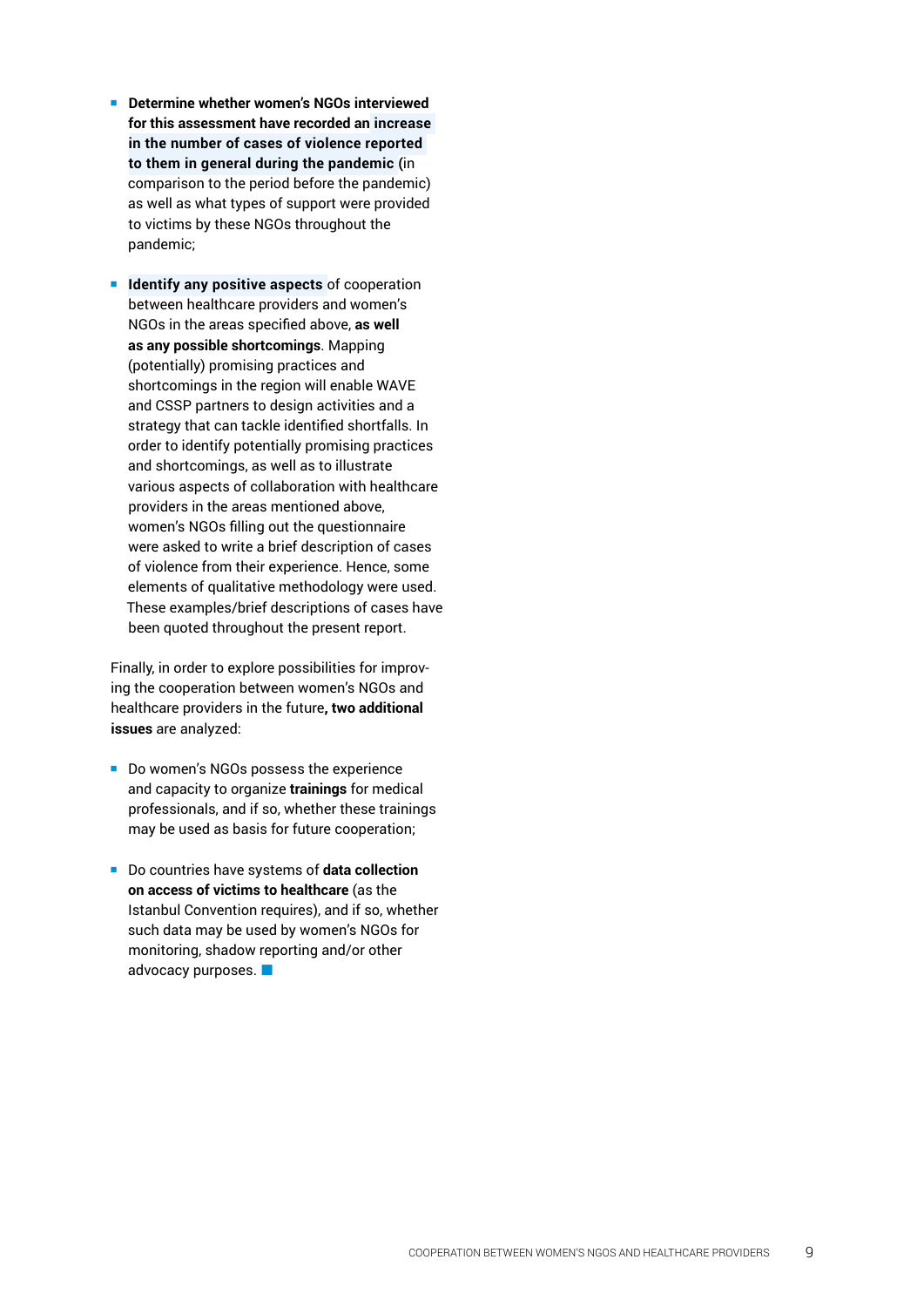- Determine whether women's NGOs interviewed **for this assessment have recorded an increase in the number of cases of violence reported to them in general during the pandemic (**in comparison to the period before the pandemic) as well as what types of support were provided to victims by these NGOs throughout the pandemic;
- **If Identify any positive aspects of cooperation** between healthcare providers and women's NGOs in the areas specified above, **as well as any possible shortcomings**. Mapping (potentially) promising practices and shortcomings in the region will enable WAVE and CSSP partners to design activities and a strategy that can tackle identified shortfalls. In order to identify potentially promising practices and shortcomings, as well as to illustrate various aspects of collaboration with healthcare providers in the areas mentioned above, women's NGOs filling out the questionnaire were asked to write a brief description of cases of violence from their experience. Hence, some elements of qualitative methodology were used. These examples/brief descriptions of cases have been quoted throughout the present report.

Finally, in order to explore possibilities for improv ing the cooperation between women's NGOs and healthcare providers in the future**, two additional issues** are analyzed:

- Do women's NGOs possess the experience and capacity to organize **trainings** for medical professionals, and if so, whether these trainings may be used as basis for future cooperation;
- Do countries have systems of **data collection on access of victims to healthcare** (as the Istanbul Convention requires), and if so, whether such data may be used by women's NGOs for monitoring, shadow reporting and/or other advocacy purposes. **La**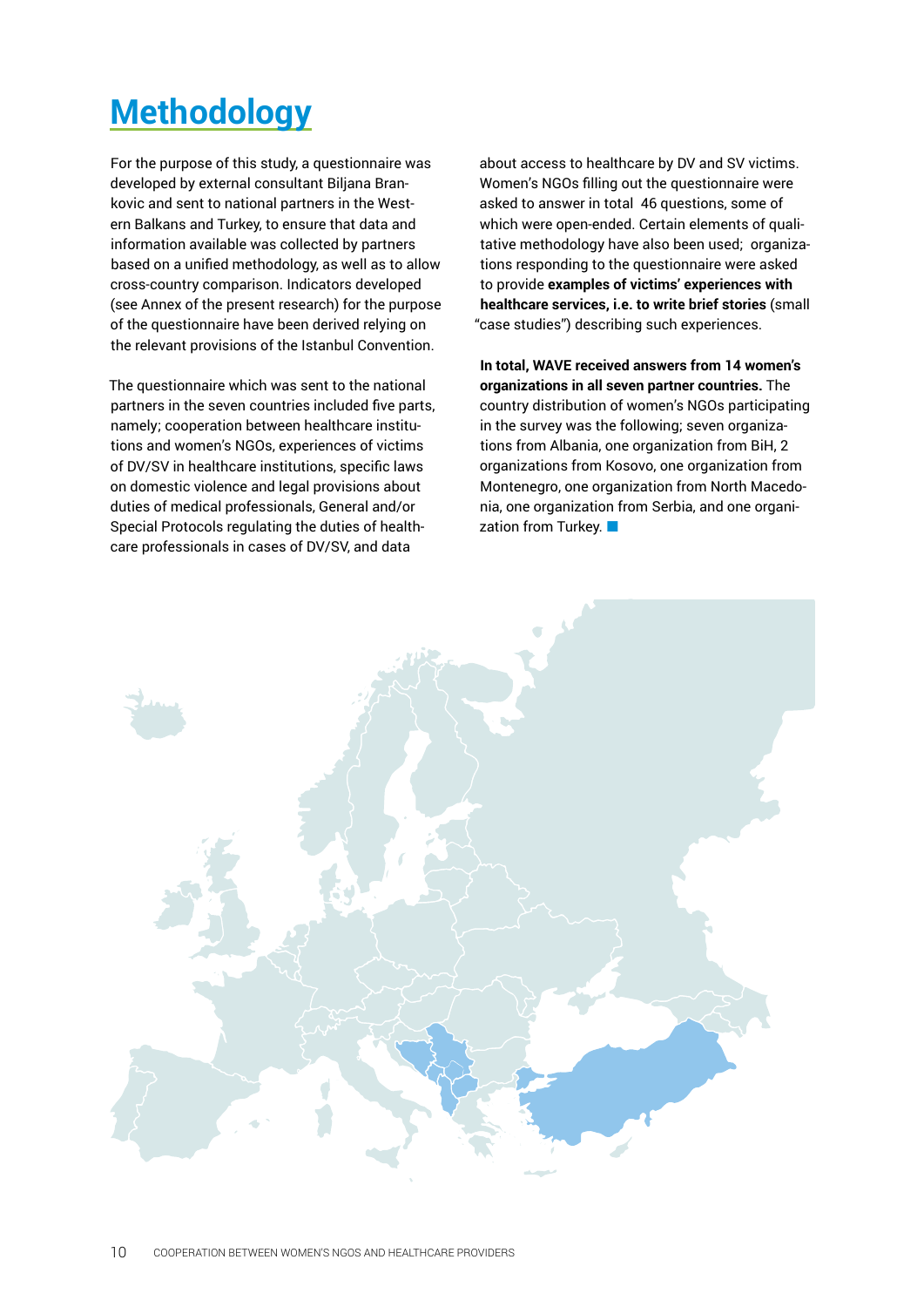# <span id="page-9-0"></span>**Methodology**

For the purpose of this study, a questionnaire was developed by external consultant Biljana Brankovic and sent to national partners in the Western Balkans and Turkey, to ensure that data and information available was collected by partners based on a unified methodology, as well as to allow cross-country comparison. Indicators developed (see Annex of the present research) for the purpose of the questionnaire have been derived relying on the relevant provisions of the Istanbul Convention.

The questionnaire which was sent to the national partners in the seven countries included five parts, namely; cooperation between healthcare institutions and women's NGOs, experiences of victims of DV/SV in healthcare institutions, specific laws on domestic violence and legal provisions about duties of medical professionals, General and/or Special Protocols regulating the duties of healthcare professionals in cases of DV/SV, and data

about access to healthcare by DV and SV victims. Women's NGOs filling out the questionnaire were asked to answer in total 46 questions, some of which were open-ended. Certain elements of qualitative methodology have also been used; organizations responding to the questionnaire were asked to provide **examples of victims' experiences with healthcare services, i.e. to write brief stories** (small "case studies") describing such experiences.

**In total, WAVE received answers from 14 women's organizations in all seven partner countries.** The country distribution of women's NGOs participating in the survey was the following; seven organizations from Albania, one organization from BiH, 2 organizations from Kosovo, one organization from Montenegro, one organization from North Macedonia, one organization from Serbia, and one organization from Turkey.

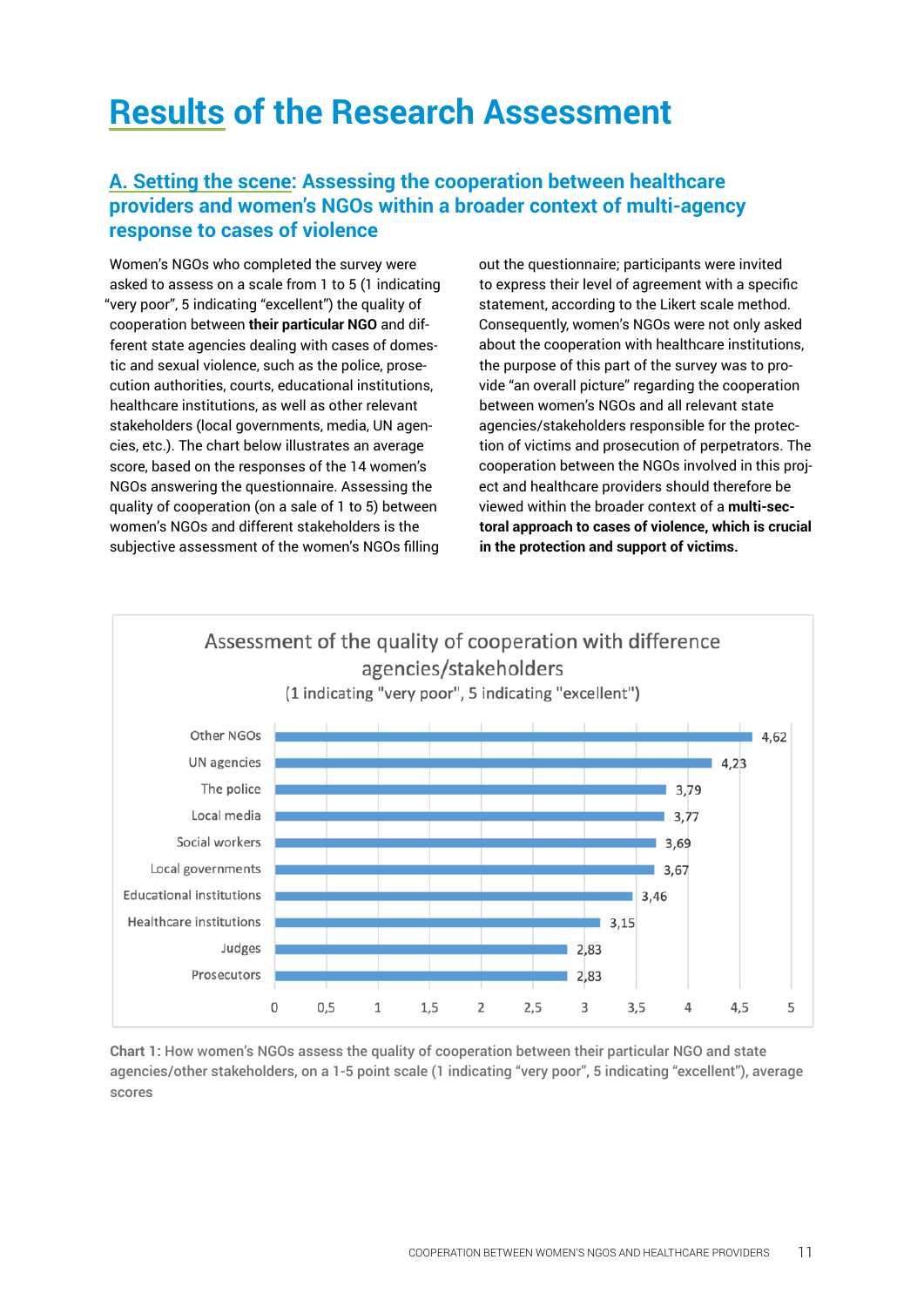# <span id="page-10-0"></span>**Results of the Research Assessment**

### **A. Setting the scene: Assessing the cooperation between healthcare providers and women's NGOs within a broader context of multi-agency response to cases of violence**

Women's NGOs who completed the survey were asked to assess on a scale from 1 to 5 (1 indicating "very poor", 5 indicating "excellent") the quality of cooperation between **their particular NGO** and different state agencies dealing with cases of domestic and sexual violence, such as the police, prosecution authorities, courts, educational institutions, healthcare institutions, as well as other relevant stakeholders (local governments, media, UN agencies, etc.). The chart below illustrates an average score, based on the responses of the 14 women's NGOs answering the questionnaire. Assessing the quality of cooperation (on a sale of 1 to 5) between women's NGOs and different stakeholders is the subjective assessment of the women's NGOs filling out the questionnaire; participants were invited to express their level of agreement with a specific statement, according to the Likert scale method. Consequently, women's NGOs were not only asked about the cooperation with healthcare institutions, the purpose of this part of the survey was to provide "an overall picture" regarding the cooperation between women's NGOs and all relevant state agencies/stakeholders responsible for the protection of victims and prosecution of perpetrators. The cooperation between the NGOs involved in this project and healthcare providers should therefore be viewed within the broader context of a **multi-sectoral approach to cases of violence, which is crucial in the protection and support of victims.**



**Chart 1:** How women's NGOs assess the quality of cooperation between their particular NGO and state agencies/other stakeholders, on a 1-5 point scale (1 indicating "very poor", 5 indicating "excellent"), average scores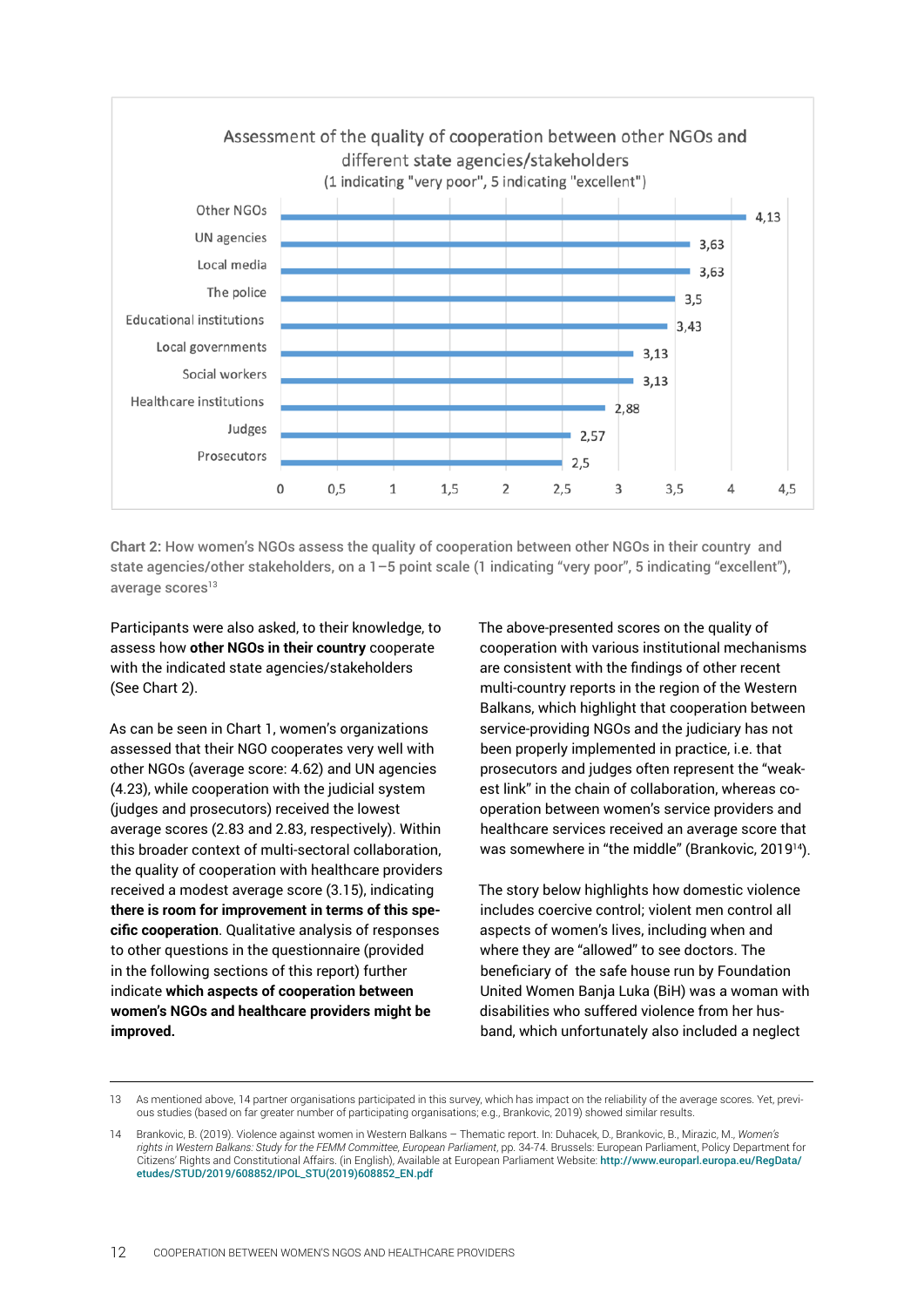

**Chart 2:** How women's NGOs assess the quality of cooperation between other NGOs in their country and state agencies/other stakeholders, on a 1–5 point scale (1 indicating "very poor", 5 indicating "excellent"), average scores $13$ 

Participants were also asked, to their knowledge, to assess how **other NGOs in their country** cooperate with the indicated state agencies/stakeholders (See Chart 2).

As can be seen in Chart 1, women's organizations assessed that their NGO cooperates very well with other NGOs (average score: 4.62) and UN agencies (4.23), while cooperation with the judicial system (judges and prosecutors) received the lowest average scores (2.83 and 2.83, respectively). Within this broader context of multi-sectoral collaboration, the quality of cooperation with healthcare providers received a modest average score (3.15), indicating **there is room for improvement in terms of this specific cooperation**. Qualitative analysis of responses to other questions in the questionnaire (provided in the following sections of this report) further indicate **which aspects of cooperation between women's NGOs and healthcare providers might be improved.**

The above-presented scores on the quality of cooperation with various institutional mechanisms are consistent with the findings of other recent multi-country reports in the region of the Western Balkans, which highlight that cooperation between service-providing NGOs and the judiciary has not been properly implemented in practice, i.e. that prosecutors and judges often represent the "weakest link" in the chain of collaboration, whereas cooperation between women's service providers and healthcare services received an average score that was somewhere in "the middle" (Brankovic, 2019<sup>14</sup>).

The story below highlights how domestic violence includes coercive control; violent men control all aspects of women's lives, including when and where they are "allowed" to see doctors. The beneficiary of the safe house run by Foundation United Women Banja Luka (BiH) was a woman with disabilities who suffered violence from her husband, which unfortunately also included a neglect

<sup>13</sup> As mentioned above, 14 partner organisations participated in this survey, which has impact on the reliability of the average scores. Yet, previous studies (based on far greater number of participating organisations; e.g., Brankovic, 2019) showed similar results.

<sup>14</sup> Brankovic, B. (2019). Violence against women in Western Balkans – Thematic report. In: Duhacek, D., Brankovic, B., Mirazic, M., *Women's rights in Western Balkans: Study for the FEMM Committee, European Parliament*, pp. 34-74. Brussels: European Parliament, Policy Department for Citizens' Rights and Constitutional Affairs. (in English), Available at European Parliament Website: [http://www.europarl.europa.eu/RegData/](http://www.europarl.europa.eu/RegData/etudes/STUD/2019/608852/IPOL_STU(2019)608852_EN.pdf) [etudes/STUD/2019/608852/IPOL\\_STU\(2019\)608852\\_EN.pdf](http://www.europarl.europa.eu/RegData/etudes/STUD/2019/608852/IPOL_STU(2019)608852_EN.pdf)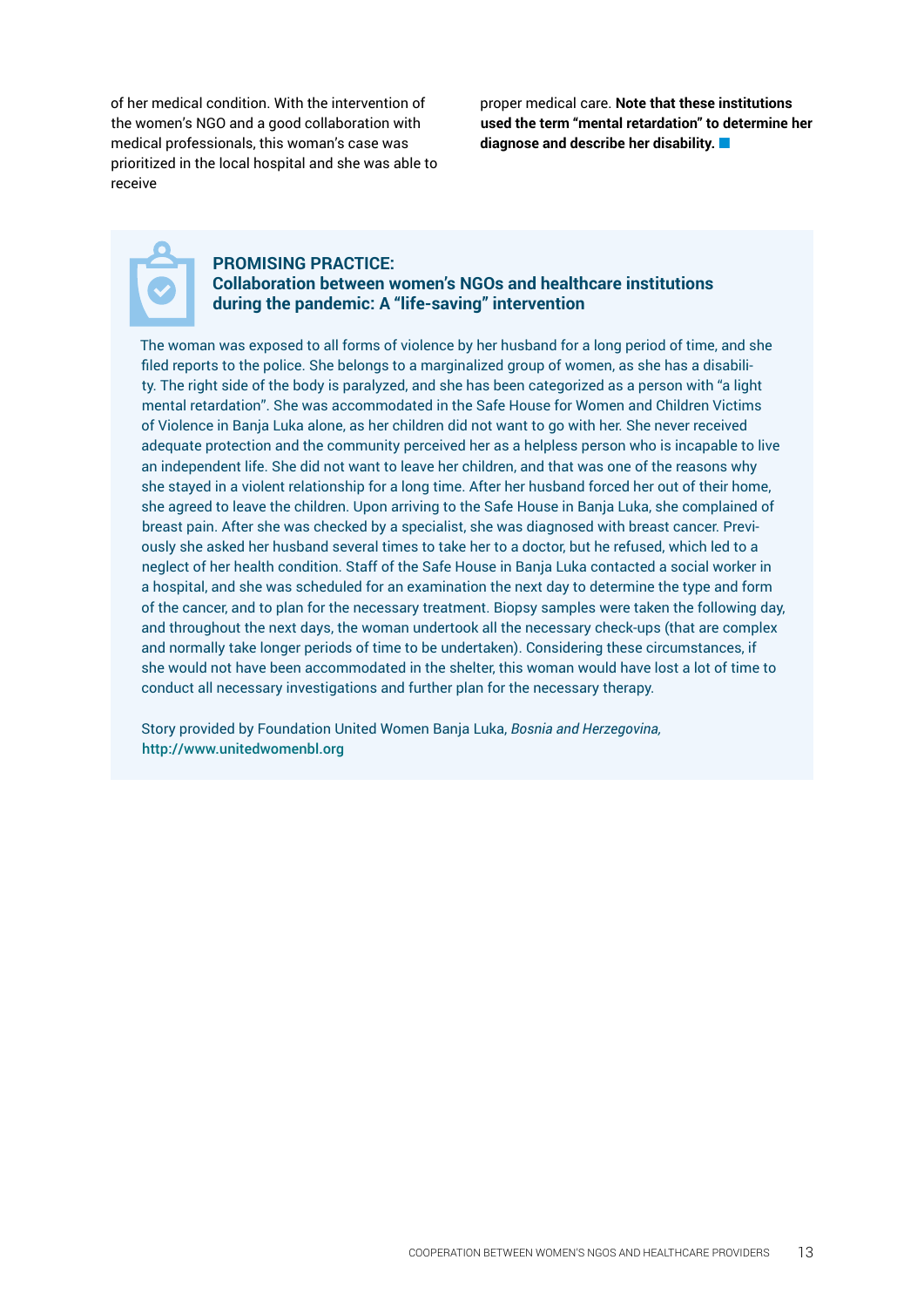of her medical condition. With the intervention of the women's NGO and a good collaboration with medical professionals, this woman's case was prioritized in the local hospital and she was able to receive

proper medical care. **Note that these institutions used the term "mental retardation" to determine her diagnose and describe her disability.**

#### **PROMISING PRACTICE: Collaboration between women's NGOs and healthcare institutions during the pandemic: A "life-saving" intervention**

The woman was exposed to all forms of violence by her husband for a long period of time, and she filed reports to the police. She belongs to a marginalized group of women, as she has a disability. The right side of the body is paralyzed, and she has been categorized as a person with "a light mental retardation". She was accommodated in the Safe House for Women and Children Victims of Violence in Banja Luka alone, as her children did not want to go with her. She never received adequate protection and the community perceived her as a helpless person who is incapable to live an independent life. She did not want to leave her children, and that was one of the reasons why she stayed in a violent relationship for a long time. After her husband forced her out of their home, she agreed to leave the children. Upon arriving to the Safe House in Banja Luka, she complained of breast pain. After she was checked by a specialist, she was diagnosed with breast cancer. Previously she asked her husband several times to take her to a doctor, but he refused, which led to a neglect of her health condition. Staff of the Safe House in Banja Luka contacted a social worker in a hospital, and she was scheduled for an examination the next day to determine the type and form of the cancer, and to plan for the necessary treatment. Biopsy samples were taken the following day, and throughout the next days, the woman undertook all the necessary check-ups (that are complex and normally take longer periods of time to be undertaken). Considering these circumstances, if she would not have been accommodated in the shelter, this woman would have lost a lot of time to conduct all necessary investigations and further plan for the necessary therapy.

Story provided by Foundation United Women Banja Luka, *Bosnia and Herzegovina,*  <http://www.unitedwomenbl.org>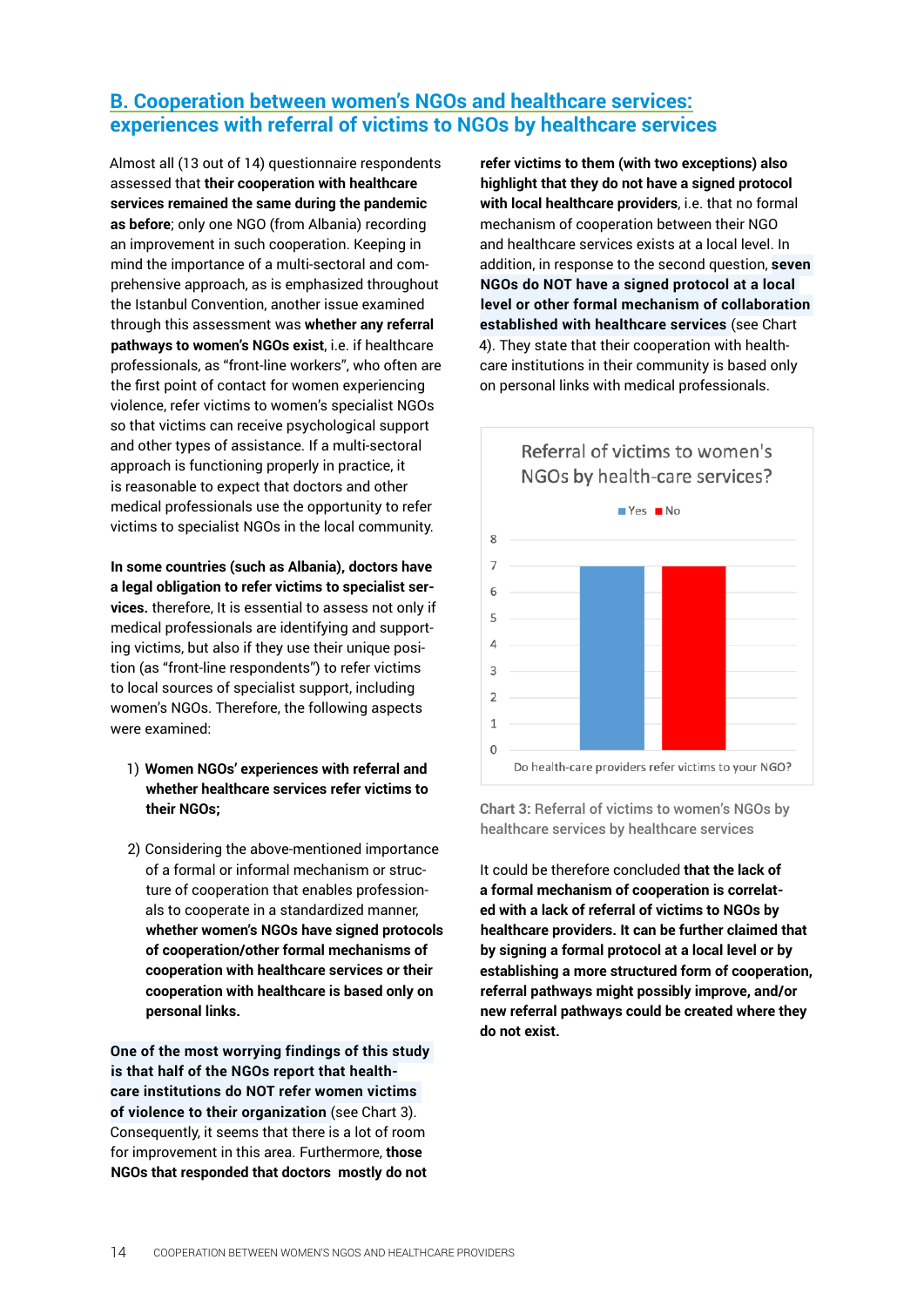# <span id="page-13-0"></span>**B. Cooperation between women's NGOs and healthcare services: experiences with referral of victims to NGOs by healthcare services**

Almost all (13 out of 14) questionnaire respondents assessed that **their cooperation with healthcare services remained the same during the pandemic as before**; only one NGO (from Albania) recording an improvement in such cooperation. Keeping in mind the importance of a multi-sectoral and comprehensive approach, as is emphasized throughout the Istanbul Convention, another issue examined through this assessment was **whether any referral pathways to women's NGOs exist**, i.e. if healthcare professionals, as "front-line workers", who often are the first point of contact for women experiencing violence, refer victims to women's specialist NGOs so that victims can receive psychological support and other types of assistance. If a multi-sectoral approach is functioning properly in practice, it is reasonable to expect that doctors and other medical professionals use the opportunity to refer victims to specialist NGOs in the local community.

**In some countries (such as Albania), doctors have a legal obligation to refer victims to specialist services.** therefore, It is essential to assess not only if medical professionals are identifying and supporting victims, but also if they use their unique position (as "front-line respondents") to refer victims to local sources of specialist support, including women's NGOs. Therefore, the following aspects were examined:

- 1) **Women NGOs' experiences with referral and whether healthcare services refer victims to their NGOs;**
- 2) Considering the above-mentioned importance of a formal or informal mechanism or structure of cooperation that enables professionals to cooperate in a standardized manner, **whether women's NGOs have signed protocols of cooperation/other formal mechanisms of cooperation with healthcare services or their cooperation with healthcare is based only on personal links.**

**One of the most worrying findings of this study is that half of the NGOs report that healthcare institutions do NOT refer women victims of violence to their organization** (see Chart 3). Consequently, it seems that there is a lot of room for improvement in this area. Furthermore, **those NGOs that responded that doctors mostly do not** 

**refer victims to them (with two exceptions) also highlight that they do not have a signed protocol with local healthcare providers**, i.e. that no formal mechanism of cooperation between their NGO and healthcare services exists at a local level. In addition, in response to the second question, **seven NGOs do NOT have a signed protocol at a local level or other formal mechanism of collaboration established with healthcare services** (see Chart 4). They state that their cooperation with healthcare institutions in their community is based only on personal links with medical professionals.



**Chart 3:** Referral of victims to women's NGOs by healthcare services by healthcare services

It could be therefore concluded **that the lack of a formal mechanism of cooperation is correlated with a lack of referral of victims to NGOs by healthcare providers. It can be further claimed that by signing a formal protocol at a local level or by establishing a more structured form of cooperation, referral pathways might possibly improve, and/or new referral pathways could be created where they do not exist.**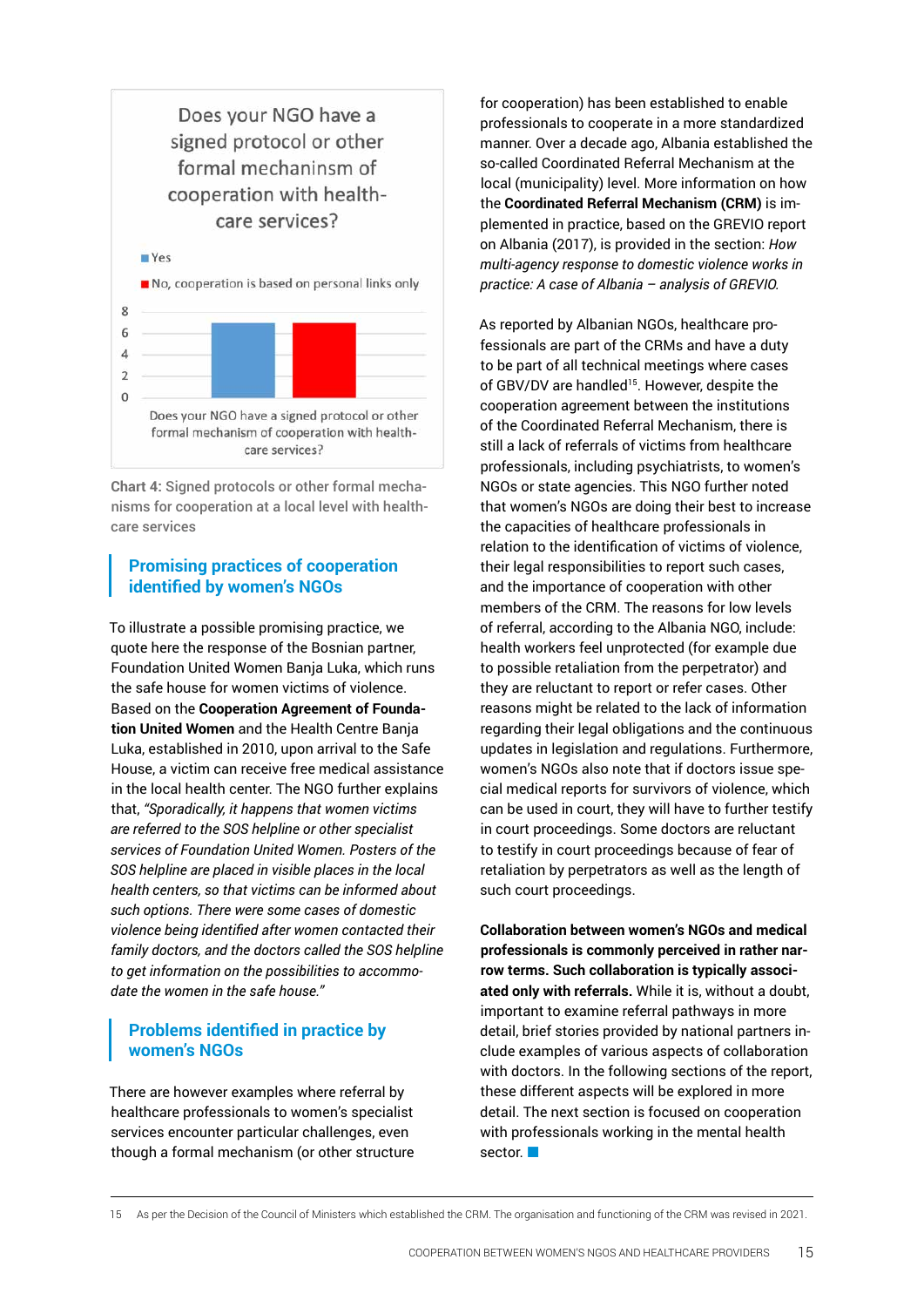

**Chart 4:** Signed protocols or other formal mechanisms for cooperation at a local level with healthcare services

#### **Promising practices of cooperation identified by women's NGOs**

To illustrate a possible promising practice, we quote here the response of the Bosnian partner, Foundation United Women Banja Luka, which runs the safe house for women victims of violence. Based on the **Cooperation Agreement of Foundation United Women** and the Health Centre Banja Luka, established in 2010, upon arrival to the Safe House, a victim can receive free medical assistance in the local health center. The NGO further explains that, *"Sporadically, it happens that women victims are referred to the SOS helpline or other specialist services of Foundation United Women. Posters of the SOS helpline are placed in visible places in the local health centers, so that victims can be informed about such options. There were some cases of domestic violence being identified after women contacted their family doctors, and the doctors called the SOS helpline to get information on the possibilities to accommodate the women in the safe house."*

### **Problems identified in practice by women's NGOs**

There are however examples where referral by healthcare professionals to women's specialist services encounter particular challenges, even though a formal mechanism (or other structure

for cooperation) has been established to enable professionals to cooperate in a more standardized manner. Over a decade ago, Albania established the so-called Coordinated Referral Mechanism at the local (municipality) level. More information on how the **Coordinated Referral Mechanism (CRM)** is implemented in practice, based on the GREVIO report on Albania (2017), is provided in the section: *How multi-agency response to domestic violence works in practice: A case of Albania – analysis of GREVIO.* 

As reported by Albanian NGOs, healthcare professionals are part of the CRMs and have a duty to be part of all technical meetings where cases of GBV/DV are handled<sup>15</sup>. However, despite the cooperation agreement between the institutions of the Coordinated Referral Mechanism, there is still a lack of referrals of victims from healthcare professionals, including psychiatrists, to women's NGOs or state agencies. This NGO further noted that women's NGOs are doing their best to increase the capacities of healthcare professionals in relation to the identification of victims of violence, their legal responsibilities to report such cases, and the importance of cooperation with other members of the CRM. The reasons for low levels of referral, according to the Albania NGO, include: health workers feel unprotected (for example due to possible retaliation from the perpetrator) and they are reluctant to report or refer cases. Other reasons might be related to the lack of information regarding their legal obligations and the continuous updates in legislation and regulations. Furthermore, women's NGOs also note that if doctors issue special medical reports for survivors of violence, which can be used in court, they will have to further testify in court proceedings. Some doctors are reluctant to testify in court proceedings because of fear of retaliation by perpetrators as well as the length of such court proceedings.

**Collaboration between women's NGOs and medical professionals is commonly perceived in rather narrow terms. Such collaboration is typically associated only with referrals.** While it is, without a doubt, important to examine referral pathways in more detail, brief stories provided by national partners include examples of various aspects of collaboration with doctors. In the following sections of the report, these different aspects will be explored in more detail. The next section is focused on cooperation with professionals working in the mental health sector.

<sup>15</sup> As per the Decision of the Council of Ministers which established the CRM. The organisation and functioning of the CRM was revised in 2021.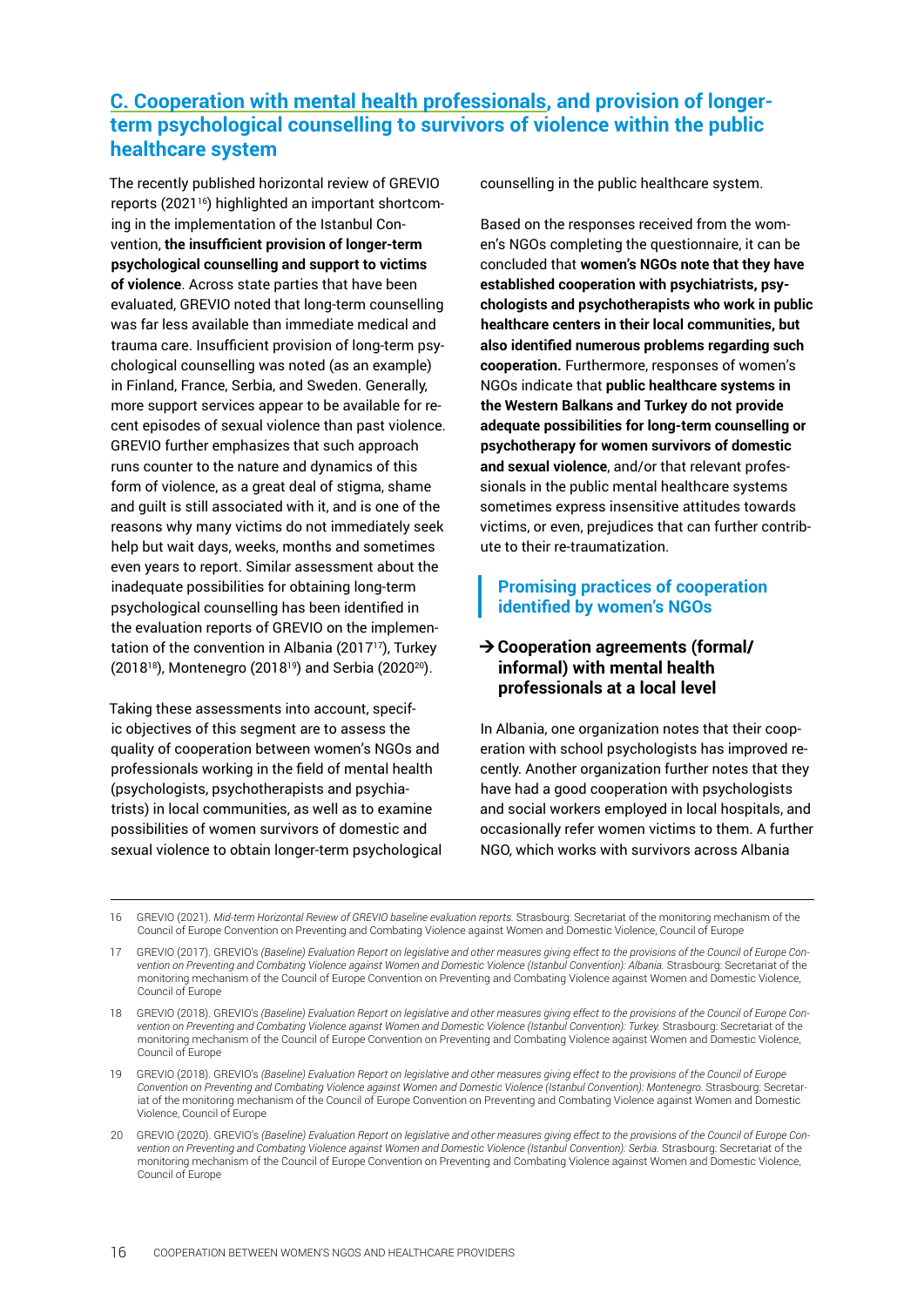# <span id="page-15-0"></span>**C. Cooperation with mental health professionals, and provision of longerterm psychological counselling to survivors of violence within the public healthcare system**

The recently published horizontal review of GREVIO reports (202116) highlighted an important shortcoming in the implementation of the Istanbul Convention, **the insufficient provision of longer-term psychological counselling and support to victims of violence**. Across state parties that have been evaluated, GREVIO noted that long-term counselling was far less available than immediate medical and trauma care. Insufficient provision of long-term psychological counselling was noted (as an example) in Finland, France, Serbia, and Sweden. Generally, more support services appear to be available for recent episodes of sexual violence than past violence. GREVIO further emphasizes that such approach runs counter to the nature and dynamics of this form of violence, as a great deal of stigma, shame and guilt is still associated with it, and is one of the reasons why many victims do not immediately seek help but wait days, weeks, months and sometimes even years to report. Similar assessment about the inadequate possibilities for obtaining long-term psychological counselling has been identified in the evaluation reports of GREVIO on the implementation of the convention in Albania (2017<sup>17</sup>), Turkey (201818), Montenegro (201819) and Serbia (202020).

Taking these assessments into account, specific objectives of this segment are to assess the quality of cooperation between women's NGOs and professionals working in the field of mental health (psychologists, psychotherapists and psychiatrists) in local communities, as well as to examine possibilities of women survivors of domestic and sexual violence to obtain longer-term psychological counselling in the public healthcare system.

Based on the responses received from the women's NGOs completing the questionnaire, it can be concluded that **women's NGOs note that they have established cooperation with psychiatrists, psychologists and psychotherapists who work in public healthcare centers in their local communities, but also identified numerous problems regarding such cooperation.** Furthermore, responses of women's NGOs indicate that **public healthcare systems in the Western Balkans and Turkey do not provide adequate possibilities for long-term counselling or psychotherapy for women survivors of domestic and sexual violence**, and/or that relevant professionals in the public mental healthcare systems sometimes express insensitive attitudes towards victims, or even, prejudices that can further contribute to their re-traumatization.

### **Promising practices of cooperation identified by women's NGOs**

#### **→ Cooperation agreements (formal/ informal) with mental health professionals at a local level**

In Albania, one organization notes that their cooperation with school psychologists has improved recently. Another organization further notes that they have had a good cooperation with psychologists and social workers employed in local hospitals, and occasionally refer women victims to them. A further NGO, which works with survivors across Albania

16 GREVIO (2021). *Mid-term Horizontal Review of GREVIO baseline evaluation reports.* Strasbourg: Secretariat of the monitoring mechanism of the Council of Europe Convention on Preventing and Combating Violence against Women and Domestic Violence, Council of Europe

<sup>17</sup> GREVIO (2017). GREVIO's *(Baseline) Evaluation Report on legislative and other measures giving effect to the provisions of the Council of Europe Convention on Preventing and Combating Violence against Women and Domestic Violence (Istanbul Convention): Albania.* Strasbourg: Secretariat of the monitoring mechanism of the Council of Europe Convention on Preventing and Combating Violence against Women and Domestic Violence, Council of Europe

<sup>18</sup> GREVIO (2018). GREVIO's *(Baseline) Evaluation Report on legislative and other measures giving effect to the provisions of the Council of Europe Con*vention on Preventing and Combating Violence against Women and Domestic Violence (Istanbul Convention): Turkey. Strasbourg: Secretariat of the monitoring mechanism of the Council of Europe Convention on Preventing and Combating Violence against Women and Domestic Violence, Council of Europe

<sup>19</sup> GREVIO (2018). GREVIO's *(Baseline) Evaluation Report on legislative and other measures giving effect to the provisions of the Council of Europe*  Convention on Preventing and Combating Violence against Women and Domestic Violence (Istanbul Convention): Montenegro. Strasbourg: Secretariat of the monitoring mechanism of the Council of Europe Convention on Preventing and Combating Violence against Women and Domestic Violence, Council of Europe

<sup>20</sup> GREVIO (2020). GREVIO's *(Baseline) Evaluation Report on legislative and other measures giving effect to the provisions of the Council of Europe Convention on Preventing and Combating Violence against Women and Domestic Violence (Istanbul Convention): Serbia.* Strasbourg: Secretariat of the monitoring mechanism of the Council of Europe Convention on Preventing and Combating Violence against Women and Domestic Violence, Council of Europe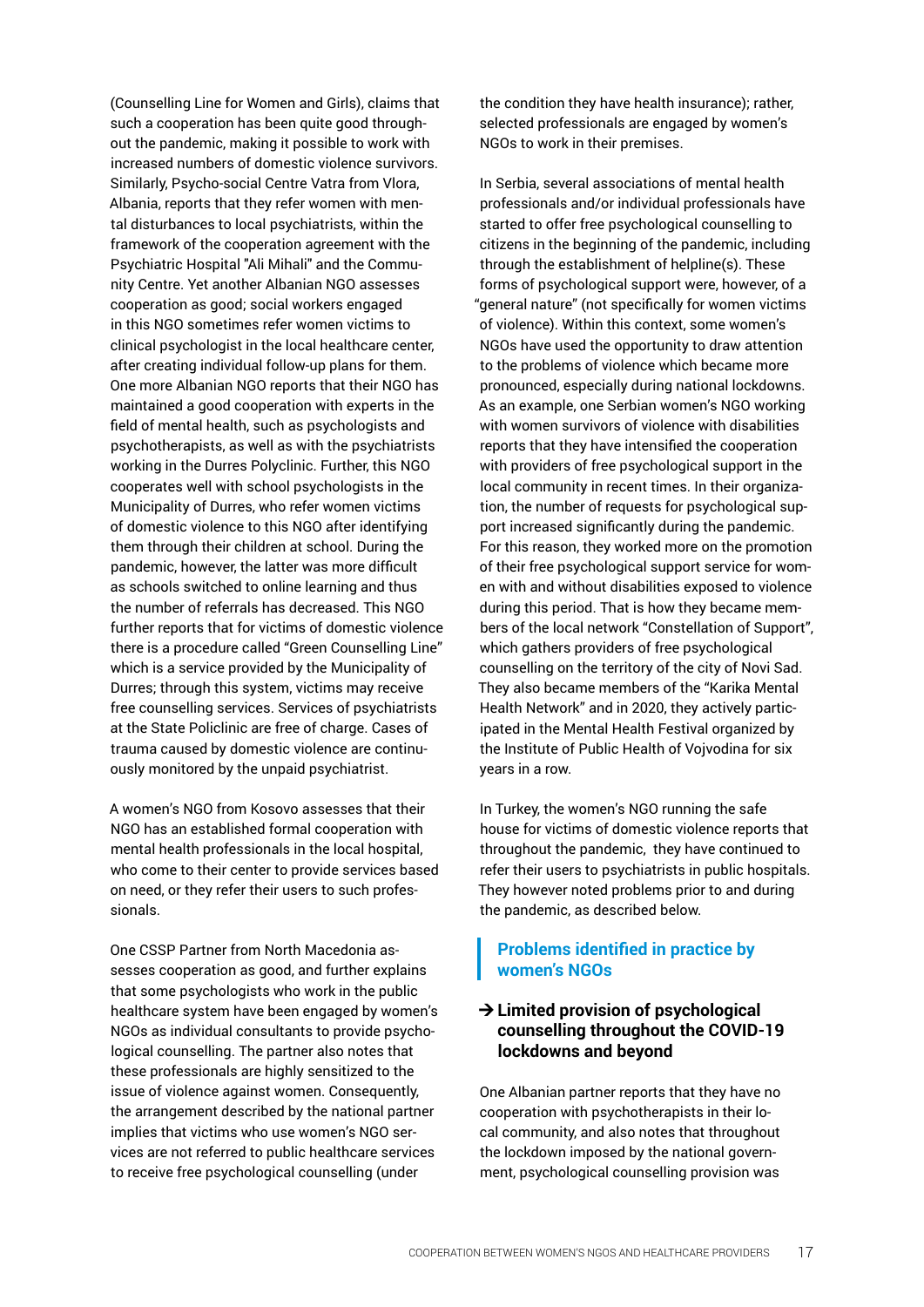(Counselling Line for Women and Girls), claims that such a cooperation has been quite good throughout the pandemic, making it possible to work with increased numbers of domestic violence survivors. Similarly, Psycho-social Centre Vatra from Vlora, Albania, reports that they refer women with mental disturbances to local psychiatrists, within the framework of the cooperation agreement with the Psychiatric Hospital "Ali Mihali" and the Community Centre. Yet another Albanian NGO assesses cooperation as good; social workers engaged in this NGO sometimes refer women victims to clinical psychologist in the local healthcare center, after creating individual follow-up plans for them. One more Albanian NGO reports that their NGO has maintained a good cooperation with experts in the field of mental health, such as psychologists and psychotherapists, as well as with the psychiatrists working in the Durres Polyclinic. Further, this NGO cooperates well with school psychologists in the Municipality of Durres, who refer women victims of domestic violence to this NGO after identifying them through their children at school. During the pandemic, however, the latter was more difficult as schools switched to online learning and thus the number of referrals has decreased. This NGO further reports that for victims of domestic violence there is a procedure called "Green Counselling Line" which is a service provided by the Municipality of Durres; through this system, victims may receive free counselling services. Services of psychiatrists at the State Policlinic are free of charge. Cases of trauma caused by domestic violence are continuously monitored by the unpaid psychiatrist.

A women's NGO from Kosovo assesses that their NGO has an established formal cooperation with mental health professionals in the local hospital, who come to their center to provide services based on need, or they refer their users to such professionals.

One CSSP Partner from North Macedonia assesses cooperation as good, and further explains that some psychologists who work in the public healthcare system have been engaged by women's NGOs as individual consultants to provide psychological counselling. The partner also notes that these professionals are highly sensitized to the issue of violence against women. Consequently, the arrangement described by the national partner implies that victims who use women's NGO services are not referred to public healthcare services to receive free psychological counselling (under

the condition they have health insurance); rather, selected professionals are engaged by women's NGOs to work in their premises.

In Serbia, several associations of mental health professionals and/or individual professionals have started to offer free psychological counselling to citizens in the beginning of the pandemic, including through the establishment of helpline(s). These forms of psychological support were, however, of a "general nature" (not specifically for women victims of violence). Within this context, some women's NGOs have used the opportunity to draw attention to the problems of violence which became more pronounced, especially during national lockdowns. As an example, one Serbian women's NGO working with women survivors of violence with disabilities reports that they have intensified the cooperation with providers of free psychological support in the local community in recent times. In their organization, the number of requests for psychological support increased significantly during the pandemic. For this reason, they worked more on the promotion of their free psychological support service for women with and without disabilities exposed to violence during this period. That is how they became members of the local network "Constellation of Support", which gathers providers of free psychological counselling on the territory of the city of Novi Sad. They also became members of the "Karika Mental Health Network" and in 2020, they actively participated in the Mental Health Festival organized by the Institute of Public Health of Vojvodina for six years in a row.

In Turkey, the women's NGO running the safe house for victims of domestic violence reports that throughout the pandemic, they have continued to refer their users to psychiatrists in public hospitals. They however noted problems prior to and during the pandemic, as described below.

#### **Problems identified in practice by women's NGOs**

#### **→ Limited provision of psychological counselling throughout the COVID-19 lockdowns and beyond**

One Albanian partner reports that they have no cooperation with psychotherapists in their local community, and also notes that throughout the lockdown imposed by the national government, psychological counselling provision was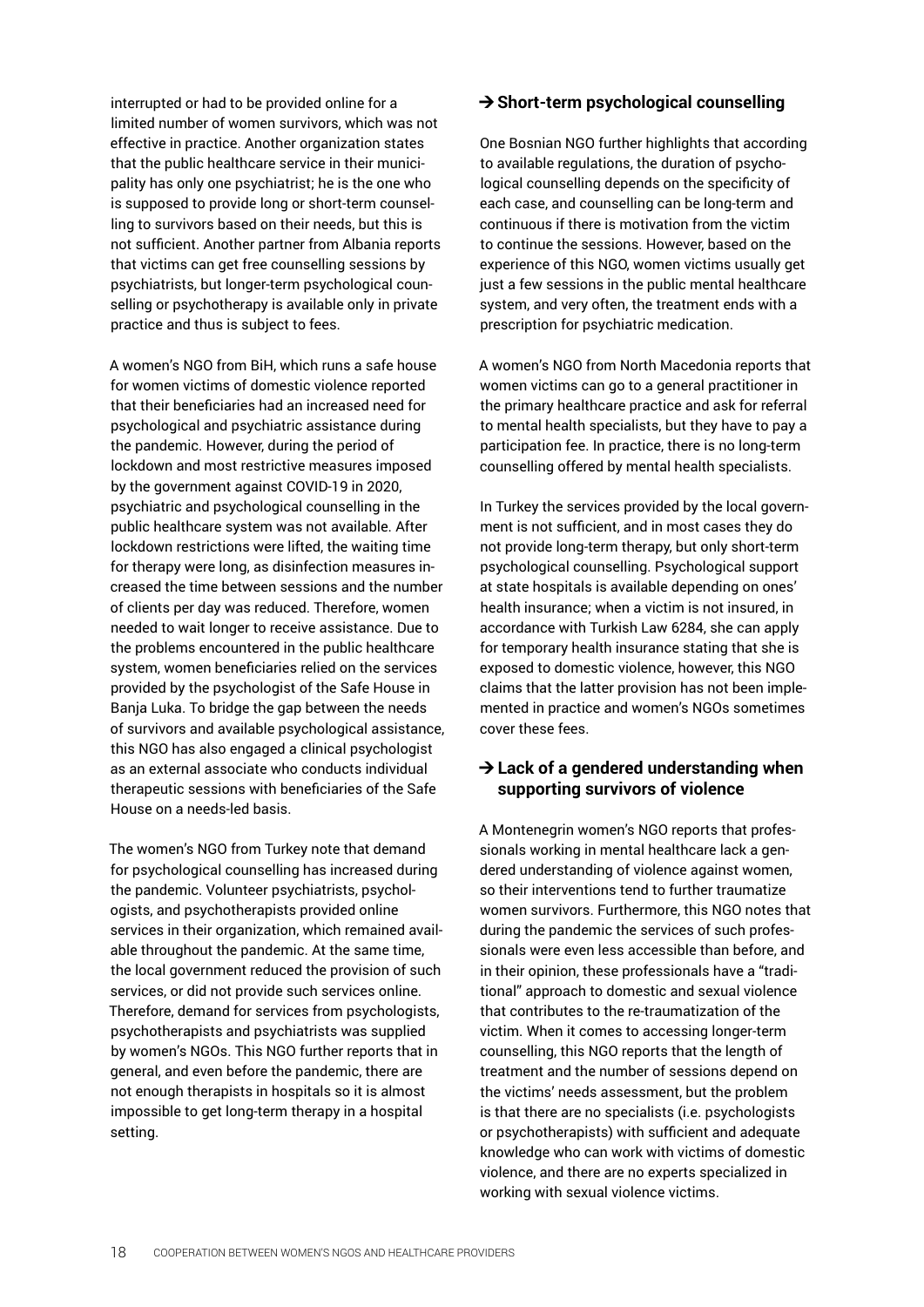interrupted or had to be provided online for a limited number of women survivors, which was not effective in practice. Another organization states that the public healthcare service in their municipality has only one psychiatrist; he is the one who is supposed to provide long or short-term counselling to survivors based on their needs, but this is not sufficient. Another partner from Albania reports that victims can get free counselling sessions by psychiatrists, but longer-term psychological counselling or psychotherapy is available only in private practice and thus is subject to fees.

A women's NGO from BiH, which runs a safe house for women victims of domestic violence reported that their beneficiaries had an increased need for psychological and psychiatric assistance during the pandemic. However, during the period of lockdown and most restrictive measures imposed by the government against COVID-19 in 2020, psychiatric and psychological counselling in the public healthcare system was not available. After lockdown restrictions were lifted, the waiting time for therapy were long, as disinfection measures increased the time between sessions and the number of clients per day was reduced. Therefore, women needed to wait longer to receive assistance. Due to the problems encountered in the public healthcare system, women beneficiaries relied on the services provided by the psychologist of the Safe House in Banja Luka. To bridge the gap between the needs of survivors and available psychological assistance, this NGO has also engaged a clinical psychologist as an external associate who conducts individual therapeutic sessions with beneficiaries of the Safe House on a needs-led basis.

The women's NGO from Turkey note that demand for psychological counselling has increased during the pandemic. Volunteer psychiatrists, psychologists, and psychotherapists provided online services in their organization, which remained available throughout the pandemic. At the same time, the local government reduced the provision of such services, or did not provide such services online. Therefore, demand for services from psychologists, psychotherapists and psychiatrists was supplied by women's NGOs. This NGO further reports that in general, and even before the pandemic, there are not enough therapists in hospitals so it is almost impossible to get long-term therapy in a hospital setting.

#### **→ Short-term psychological counselling**

One Bosnian NGO further highlights that according to available regulations, the duration of psychological counselling depends on the specificity of each case, and counselling can be long-term and continuous if there is motivation from the victim to continue the sessions. However, based on the experience of this NGO, women victims usually get just a few sessions in the public mental healthcare system, and very often, the treatment ends with a prescription for psychiatric medication.

A women's NGO from North Macedonia reports that women victims can go to a general practitioner in the primary healthcare practice and ask for referral to mental health specialists, but they have to pay a participation fee. In practice, there is no long-term counselling offered by mental health specialists.

In Turkey the services provided by the local government is not sufficient, and in most cases they do not provide long-term therapy, but only short-term psychological counselling. Psychological support at state hospitals is available depending on ones' health insurance; when a victim is not insured, in accordance with Turkish Law 6284, she can apply for temporary health insurance stating that she is exposed to domestic violence, however, this NGO claims that the latter provision has not been implemented in practice and women's NGOs sometimes cover these fees.

#### **→ Lack of a gendered understanding when supporting survivors of violence**

A Montenegrin women's NGO reports that professionals working in mental healthcare lack a gendered understanding of violence against women, so their interventions tend to further traumatize women survivors. Furthermore, this NGO notes that during the pandemic the services of such professionals were even less accessible than before, and in their opinion, these professionals have a "traditional" approach to domestic and sexual violence that contributes to the re-traumatization of the victim. When it comes to accessing longer-term counselling, this NGO reports that the length of treatment and the number of sessions depend on the victims' needs assessment, but the problem is that there are no specialists (i.e. psychologists or psychotherapists) with sufficient and adequate knowledge who can work with victims of domestic violence, and there are no experts specialized in working with sexual violence victims.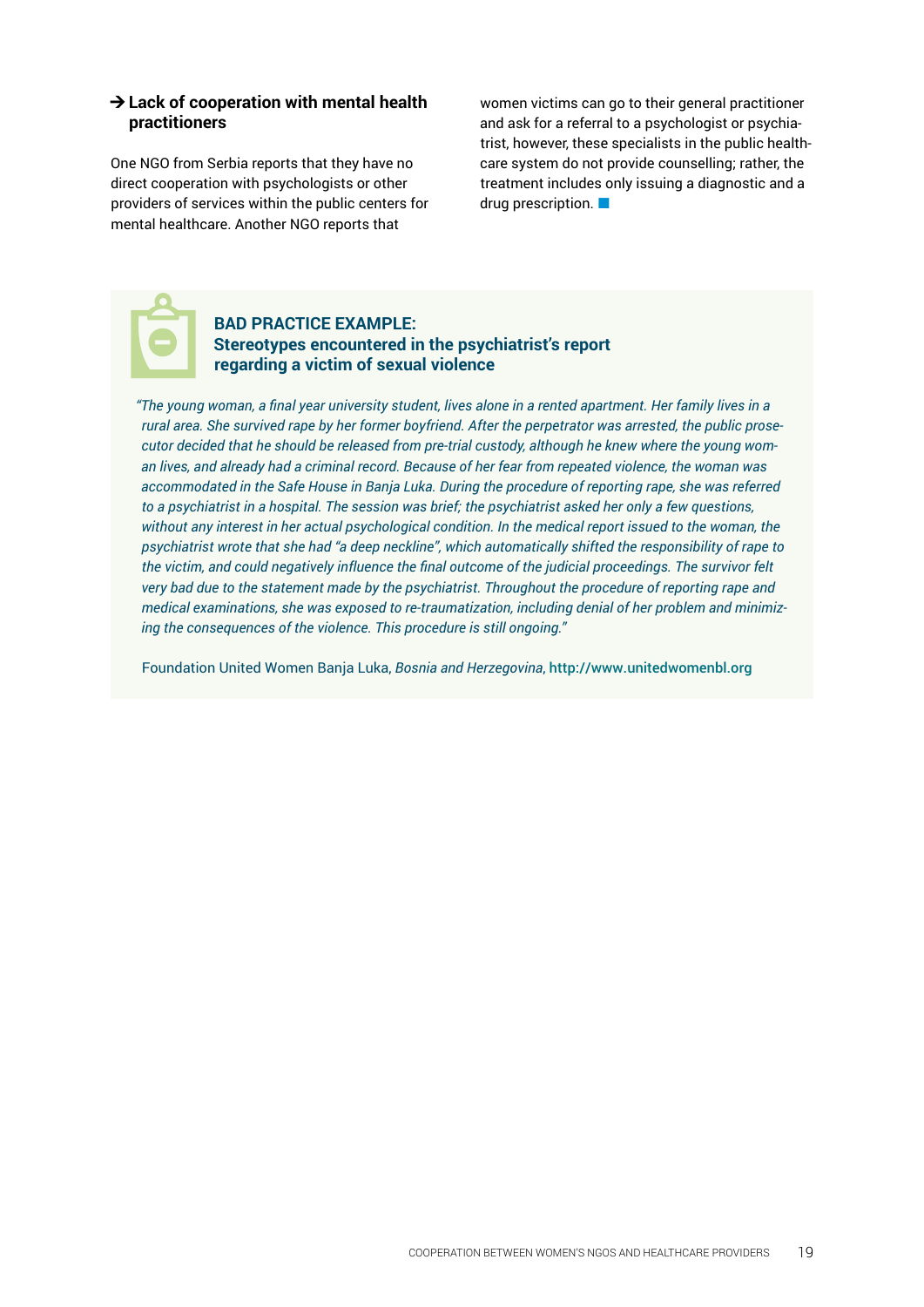#### **→ Lack of cooperation with mental health practitioners**

One NGO from Serbia reports that they have no direct cooperation with psychologists or other providers of services within the public centers for mental healthcare. Another NGO reports that

women victims can go to their general practitioner and ask for a referral to a psychologist or psychiatrist, however, these specialists in the public healthcare system do not provide counselling; rather, the treatment includes only issuing a diagnostic and a drug prescription.



#### **BAD PRACTICE EXAMPLE: Stereotypes encountered in the psychiatrist's report regarding a victim of sexual violence**

*"The young woman, a final year university student, lives alone in a rented apartment. Her family lives in a rural area. She survived rape by her former boyfriend. After the perpetrator was arrested, the public prosecutor decided that he should be released from pre-trial custody, although he knew where the young woman lives, and already had a criminal record. Because of her fear from repeated violence, the woman was accommodated in the Safe House in Banja Luka. During the procedure of reporting rape, she was referred to a psychiatrist in a hospital. The session was brief; the psychiatrist asked her only a few questions, without any interest in her actual psychological condition. In the medical report issued to the woman, the psychiatrist wrote that she had "a deep neckline", which automatically shifted the responsibility of rape to the victim, and could negatively influence the final outcome of the judicial proceedings. The survivor felt very bad due to the statement made by the psychiatrist. Throughout the procedure of reporting rape and medical examinations, she was exposed to re-traumatization, including denial of her problem and minimizing the consequences of the violence. This procedure is still ongoing."*

Foundation United Women Banja Luka, *Bosnia and Herzegovina*, <http://www.unitedwomenbl.org>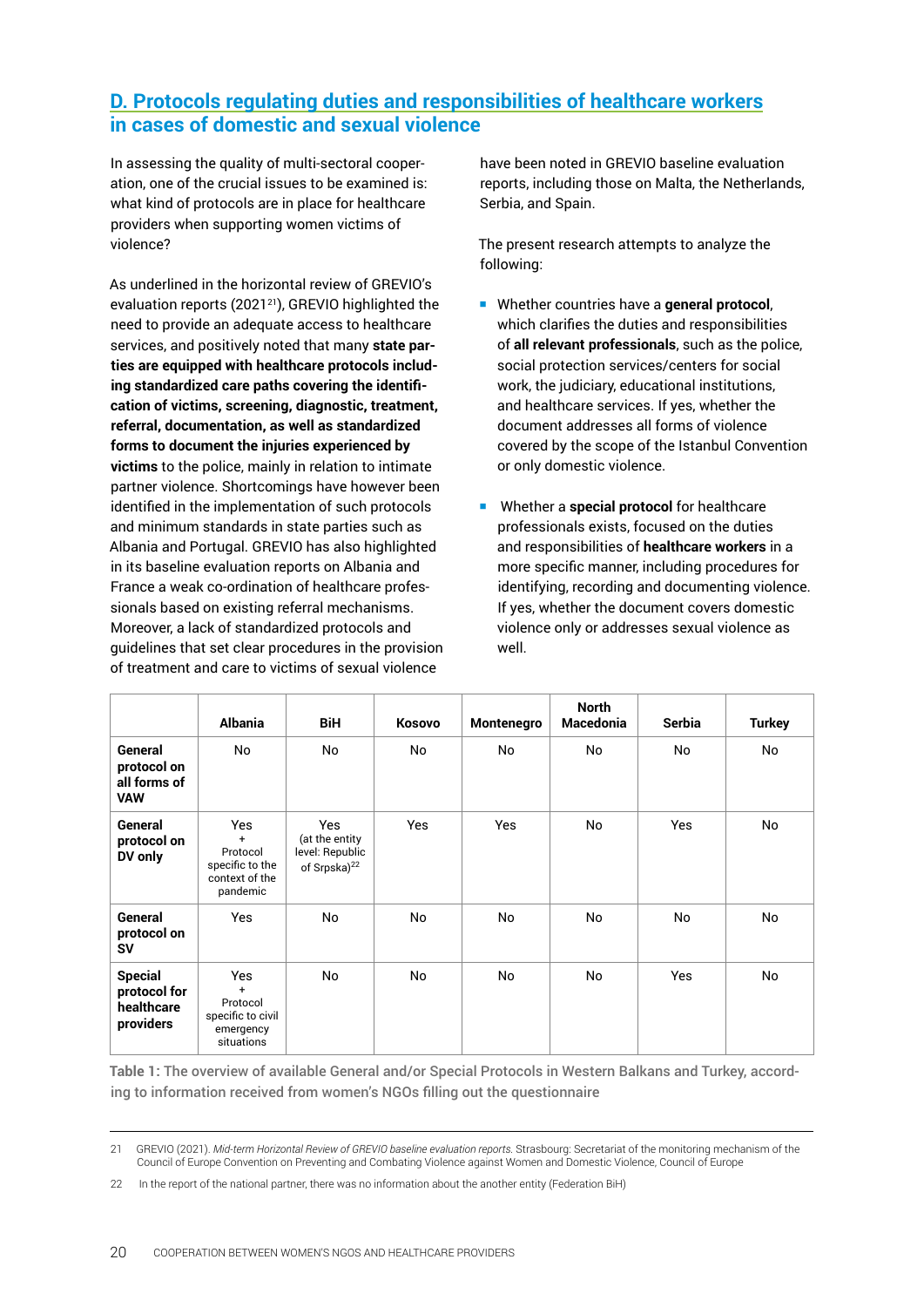# <span id="page-19-0"></span>**D. Protocols regulating duties and responsibilities of healthcare workers in cases of domestic and sexual violence**

In assessing the quality of multi-sectoral cooperation, one of the crucial issues to be examined is: what kind of protocols are in place for healthcare providers when supporting women victims of violence?

As underlined in the horizontal review of GREVIO's evaluation reports (2021<sup>21</sup>), GREVIO highlighted the need to provide an adequate access to healthcare services, and positively noted that many **state parties are equipped with healthcare protocols including standardized care paths covering the identification of victims, screening, diagnostic, treatment, referral, documentation, as well as standardized forms to document the injuries experienced by victims** to the police, mainly in relation to intimate partner violence. Shortcomings have however been identified in the implementation of such protocols and minimum standards in state parties such as Albania and Portugal. GREVIO has also highlighted in its baseline evaluation reports on Albania and France a weak co-ordination of healthcare professionals based on existing referral mechanisms. Moreover, a lack of standardized protocols and guidelines that set clear procedures in the provision of treatment and care to victims of sexual violence

have been noted in GREVIO baseline evaluation reports, including those on Malta, the Netherlands, Serbia, and Spain.

The present research attempts to analyze the following:

- Whether countries have a **general protocol**, which clarifies the duties and responsibilities of **all relevant professionals**, such as the police, social protection services/centers for social work, the judiciary, educational institutions, and healthcare services. If yes, whether the document addresses all forms of violence covered by the scope of the Istanbul Convention or only domestic violence.
- Whether a **special protocol** for healthcare professionals exists, focused on the duties and responsibilities of **healthcare workers** in a more specific manner, including procedures for identifying, recording and documenting violence. If yes, whether the document covers domestic violence only or addresses sexual violence as well.

|                                                           | <b>Albania</b>                                                          | <b>BiH</b>                                                                  | <b>Kosovo</b> | Montenegro | <b>North</b><br><b>Macedonia</b> | <b>Serbia</b> | <b>Turkey</b> |
|-----------------------------------------------------------|-------------------------------------------------------------------------|-----------------------------------------------------------------------------|---------------|------------|----------------------------------|---------------|---------------|
| General<br>protocol on<br>all forms of<br><b>VAW</b>      | No                                                                      | No                                                                          | No            | No         | No                               | No            | No            |
| General<br>protocol on<br>DV only                         | Yes<br>$+$<br>Protocol<br>specific to the<br>context of the<br>pandemic | <b>Yes</b><br>(at the entity<br>level: Republic<br>of Srpska) <sup>22</sup> | Yes           | Yes        | No                               | <b>Yes</b>    | No            |
| General<br>protocol on<br>SV                              | Yes                                                                     | No                                                                          | No            | No         | No                               | No            | No            |
| <b>Special</b><br>protocol for<br>healthcare<br>providers | Yes<br>$+$<br>Protocol<br>specific to civil<br>emergency<br>situations  | No                                                                          | No            | No         | No                               | <b>Yes</b>    | No            |

**Table 1:** The overview of available General and/or Special Protocols in Western Balkans and Turkey, according to information received from women's NGOs filling out the questionnaire

<sup>21</sup> GREVIO (2021). *Mid-term Horizontal Review of GREVIO baseline evaluation reports.* Strasbourg: Secretariat of the monitoring mechanism of the Council of Europe Convention on Preventing and Combating Violence against Women and Domestic Violence, Council of Europe

<sup>22</sup> In the report of the national partner, there was no information about the another entity (Federation BiH)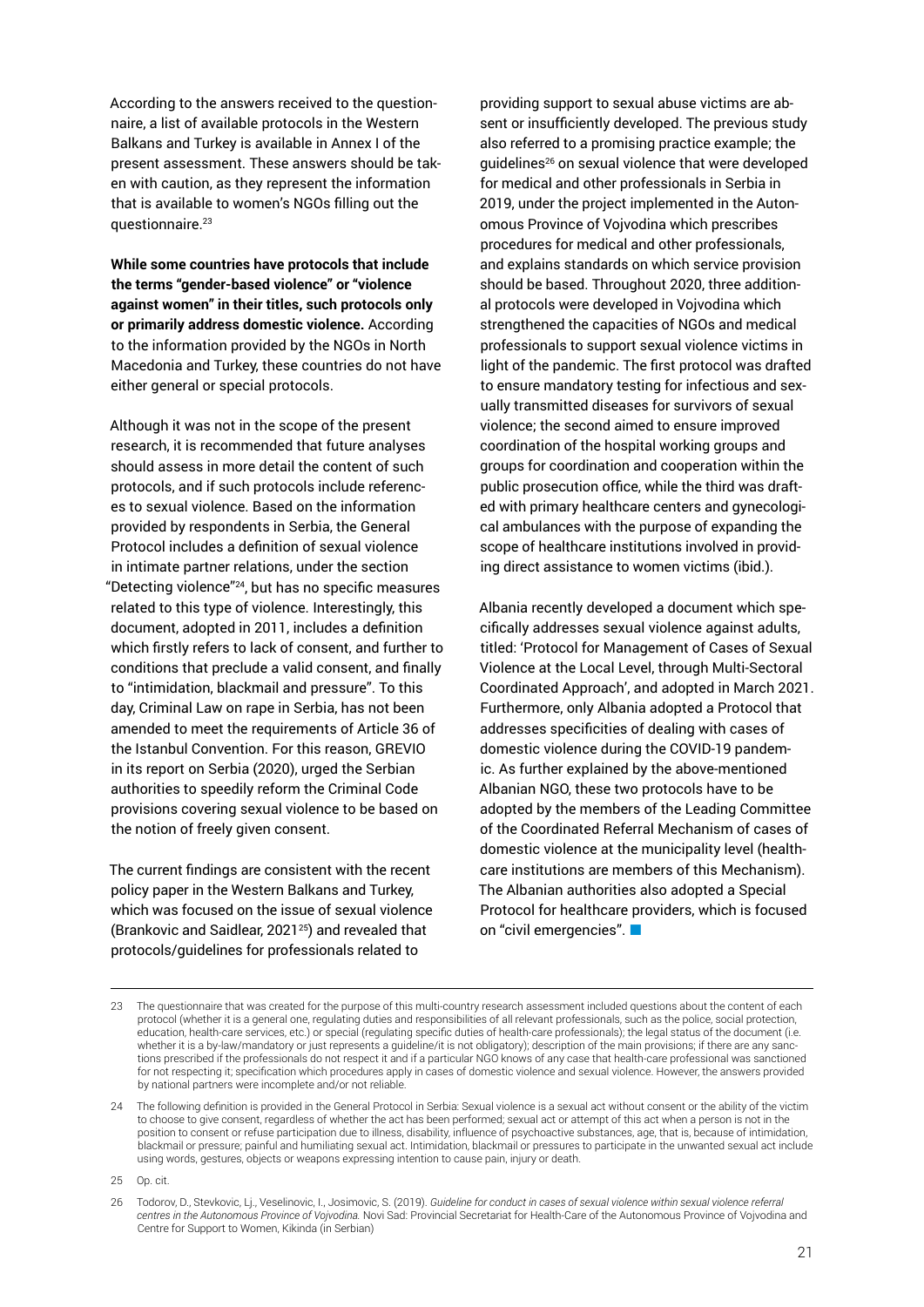According to the answers received to the questionnaire, a list of available protocols in the Western Balkans and Turkey is available in Annex I of the present assessment. These answers should be taken with caution, as they represent the information that is available to women's NGOs filling out the questionnaire.23

**While some countries have protocols that include the terms "gender-based violence" or "violence against women" in their titles, such protocols only or primarily address domestic violence.** According to the information provided by the NGOs in North Macedonia and Turkey, these countries do not have either general or special protocols.

Although it was not in the scope of the present research, it is recommended that future analyses should assess in more detail the content of such protocols, and if such protocols include references to sexual violence. Based on the information provided by respondents in Serbia, the General Protocol includes a definition of sexual violence in intimate partner relations, under the section "Detecting violence"<sup>24</sup>, but has no specific measures related to this type of violence. Interestingly, this document, adopted in 2011, includes a definition which firstly refers to lack of consent, and further to conditions that preclude a valid consent, and finally to "intimidation, blackmail and pressure". To this day, Criminal Law on rape in Serbia, has not been amended to meet the requirements of Article 36 of the Istanbul Convention. For this reason, GREVIO in its report on Serbia (2020), urged the Serbian authorities to speedily reform the Criminal Code provisions covering sexual violence to be based on the notion of freely given consent.

The current findings are consistent with the recent policy paper in the Western Balkans and Turkey, which was focused on the issue of sexual violence (Brankovic and Saidlear, 2021<sup>25</sup>) and revealed that protocols/guidelines for professionals related to

providing support to sexual abuse victims are absent or insufficiently developed. The previous study also referred to a promising practice example; the guidelines26 on sexual violence that were developed for medical and other professionals in Serbia in 2019, under the project implemented in the Autonomous Province of Vojvodina which prescribes procedures for medical and other professionals, and explains standards on which service provision should be based. Throughout 2020, three additional protocols were developed in Vojvodina which strengthened the capacities of NGOs and medical professionals to support sexual violence victims in light of the pandemic. The first protocol was drafted to ensure mandatory testing for infectious and sexually transmitted diseases for survivors of sexual violence; the second aimed to ensure improved coordination of the hospital working groups and groups for coordination and cooperation within the public prosecution office, while the third was drafted with primary healthcare centers and gynecological ambulances with the purpose of expanding the scope of healthcare institutions involved in providing direct assistance to women victims (ibid.).

Albania recently developed a document which specifically addresses sexual violence against adults, titled: 'Protocol for Management of Cases of Sexual Violence at the Local Level, through Multi-Sectoral Coordinated Approach', and adopted in March 2021. Furthermore, only Albania adopted a Protocol that addresses specificities of dealing with cases of domestic violence during the COVID-19 pandemic. As further explained by the above-mentioned Albanian NGO, these two protocols have to be adopted by the members of the Leading Committee of the Coordinated Referral Mechanism of cases of domestic violence at the municipality level (healthcare institutions are members of this Mechanism). The Albanian authorities also adopted a Special Protocol for healthcare providers, which is focused on "civil emergencies".

<sup>23</sup> The questionnaire that was created for the purpose of this multi-country research assessment included questions about the content of each protocol (whether it is a general one, regulating duties and responsibilities of all relevant professionals, such as the police, social protection, education, health-care services, etc.) or special (regulating specific duties of health-care professionals); the legal status of the document (i.e. whether it is a by-law/mandatory or just represents a guideline/it is not obligatory); description of the main provisions; if there are any sanctions prescribed if the professionals do not respect it and if a particular NGO knows of any case that health-care professional was sanctioned for not respecting it; specification which procedures apply in cases of domestic violence and sexual violence. However, the answers provided by national partners were incomplete and/or not reliable.

<sup>24</sup> The following definition is provided in the General Protocol in Serbia: Sexual violence is a sexual act without consent or the ability of the victim to choose to give consent, regardless of whether the act has been performed; sexual act or attempt of this act when a person is not in the position to consent or refuse participation due to illness, disability, influence of psychoactive substances, age, that is, because of intimidation, blackmail or pressure; painful and humiliating sexual act. Intimidation, blackmail or pressures to participate in the unwanted sexual act include using words, gestures, objects or weapons expressing intention to cause pain, injury or death.

<sup>25</sup> Op. cit.

<sup>26</sup> Todorov, D., Stevkovic, Lj., Veselinovic, I., Josimovic, S. (2019). *Guideline for conduct in cases of sexual violence within sexual violence referral centres in the Autonomous Province of Vojvodina.* Novi Sad: Provincial Secretariat for Health-Care of the Autonomous Province of Vojvodina and Centre for Support to Women, Kikinda (in Serbian)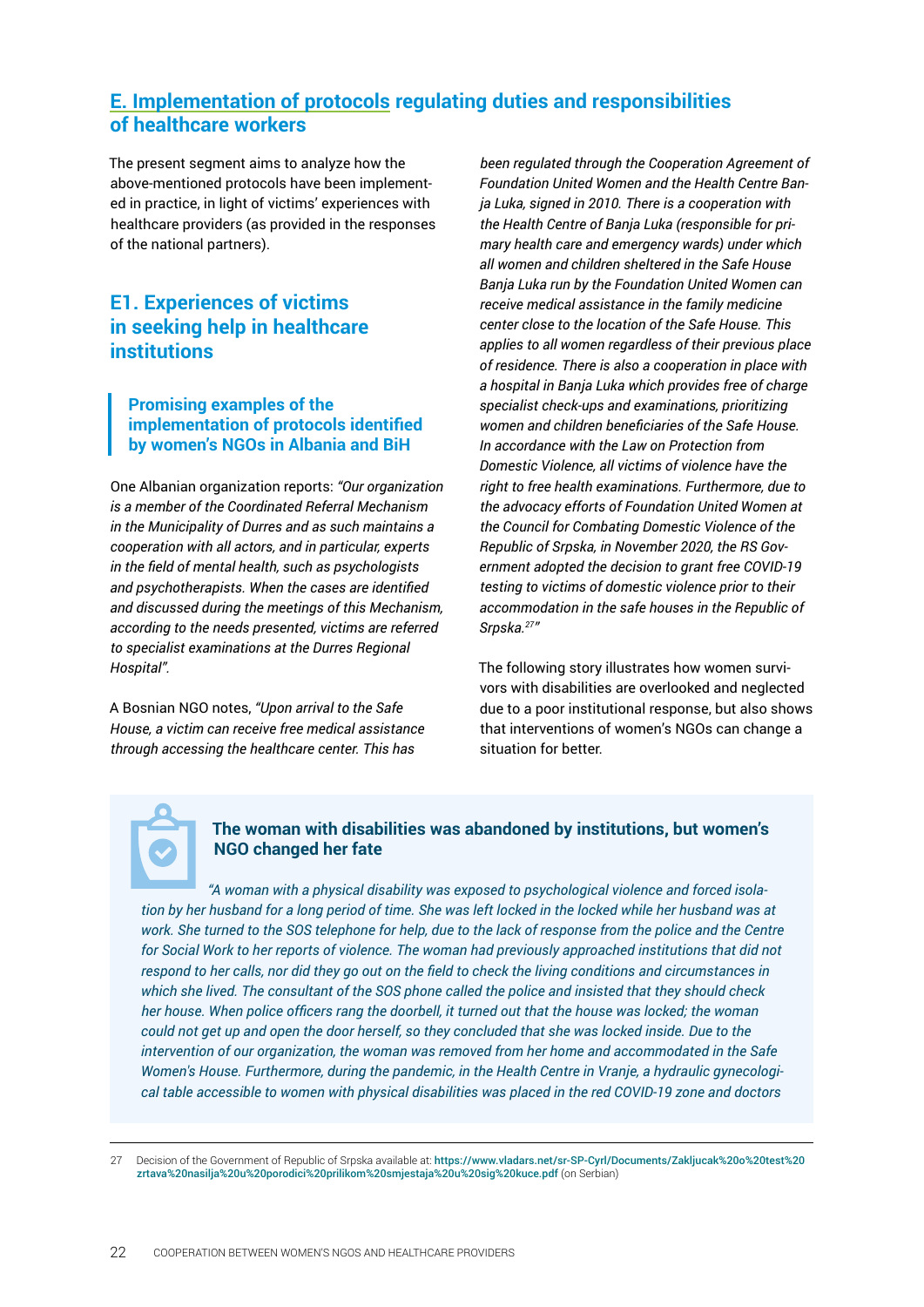# <span id="page-21-0"></span>**E. Implementation of protocols regulating duties and responsibilities of healthcare workers**

The present segment aims to analyze how the above-mentioned protocols have been implemented in practice, in light of victims' experiences with healthcare providers (as provided in the responses of the national partners).

# **E1. Experiences of victims in seeking help in healthcare institutions**

#### **Promising examples of the implementation of protocols identified by women's NGOs in Albania and BiH**

One Albanian organization reports: *"Our organization is a member of the Coordinated Referral Mechanism in the Municipality of Durres and as such maintains a cooperation with all actors, and in particular, experts in the field of mental health, such as psychologists and psychotherapists. When the cases are identified and discussed during the meetings of this Mechanism, according to the needs presented, victims are referred to specialist examinations at the Durres Regional Hospital".*

A Bosnian NGO notes, *"Upon arrival to the Safe House, a victim can receive free medical assistance through accessing the healthcare center. This has*

*been regulated through the Cooperation Agreement of Foundation United Women and the Health Centre Banja Luka, signed in 2010. There is a cooperation with the Health Centre of Banja Luka (responsible for primary health care and emergency wards) under which all women and children sheltered in the Safe House Banja Luka run by the Foundation United Women can receive medical assistance in the family medicine center close to the location of the Safe House. This applies to all women regardless of their previous place of residence. There is also a cooperation in place with a hospital in Banja Luka which provides free of charge specialist check-ups and examinations, prioritizing women and children beneficiaries of the Safe House. In accordance with the Law on Protection from Domestic Violence, all victims of violence have the right to free health examinations. Furthermore, due to the advocacy efforts of Foundation United Women at the Council for Combating Domestic Violence of the Republic of Srpska, in November 2020, the RS Government adopted the decision to grant free COVID-19 testing to victims of domestic violence prior to their accommodation in the safe houses in the Republic of Srpska.27"*

The following story illustrates how women survivors with disabilities are overlooked and neglected due to a poor institutional response, but also shows that interventions of women's NGOs can change a situation for better.

### **The woman with disabilities was abandoned by institutions, but women's NGO changed her fate**

*"A woman with a physical disability was exposed to psychological violence and forced isolation by her husband for a long period of time. She was left locked in the locked while her husband was at*  work. She turned to the SOS telephone for help, due to the lack of response from the police and the Centre for Social Work to her reports of violence. The woman had previously approached institutions that did not *respond to her calls, nor did they go out on the field to check the living conditions and circumstances in which she lived. The consultant of the SOS phone called the police and insisted that they should check her house. When police officers rang the doorbell, it turned out that the house was locked; the woman could not get up and open the door herself, so they concluded that she was locked inside. Due to the intervention of our organization, the woman was removed from her home and accommodated in the Safe Women's House. Furthermore, during the pandemic, in the Health Centre in Vranje, a hydraulic gynecological table accessible to women with physical disabilities was placed in the red COVID-19 zone and doctors* 

<sup>27</sup> Decision of the Government of Republic of Srpska available at: [https://www.vladars.net/sr-SP-Cyrl/Documents/Zakljucak%20o%20test%20](https://www.vladars.net/sr-SP-Cyrl/Documents/Zakljucak%20o%20test%20zrtava%20nasilja%20u%20porodici%20prilikom%20smjestaja%20u%20sig%20kuce.pdf) [zrtava%20nasilja%20u%20porodici%20prilikom%20smjestaja%20u%20sig%20kuce.pdf](https://www.vladars.net/sr-SP-Cyrl/Documents/Zakljucak%20o%20test%20zrtava%20nasilja%20u%20porodici%20prilikom%20smjestaja%20u%20sig%20kuce.pdf) (on Serbian)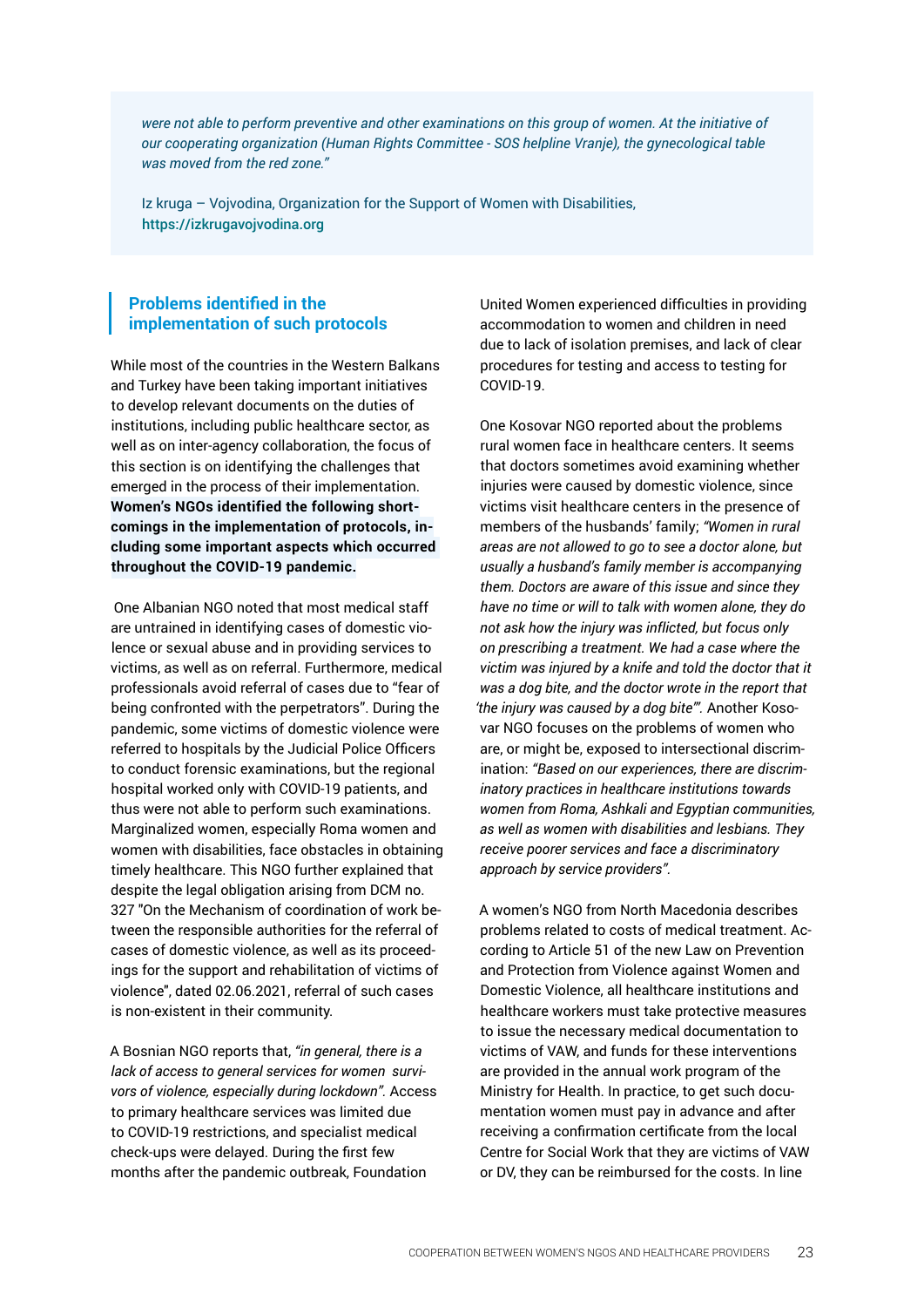*were not able to perform preventive and other examinations on this group of women. At the initiative of our cooperating organization (Human Rights Committee - SOS helpline Vranje), the gynecological table was moved from the red zone."*

Iz kruga – Vojvodina, Organization for the Support of Women with Disabilities, [https://izkrugavojvodina.org](https://izkrugavojvodina.org/)

#### **Problems identified in the implementation of such protocols**

While most of the countries in the Western Balkans and Turkey have been taking important initiatives to develop relevant documents on the duties of institutions, including public healthcare sector, as well as on inter-agency collaboration, the focus of this section is on identifying the challenges that emerged in the process of their implementation. **Women's NGOs identified the following shortcomings in the implementation of protocols, including some important aspects which occurred throughout the COVID-19 pandemic.**

 One Albanian NGO noted that most medical staff are untrained in identifying cases of domestic violence or sexual abuse and in providing services to victims, as well as on referral. Furthermore, medical professionals avoid referral of cases due to "fear of being confronted with the perpetrators". During the pandemic, some victims of domestic violence were referred to hospitals by the Judicial Police Officers to conduct forensic examinations, but the regional hospital worked only with COVID-19 patients, and thus were not able to perform such examinations. Marginalized women, especially Roma women and women with disabilities, face obstacles in obtaining timely healthcare. This NGO further explained that despite the legal obligation arising from DCM no. 327 "On the Mechanism of coordination of work between the responsible authorities for the referral of cases of domestic violence, as well as its proceedings for the support and rehabilitation of victims of violence", dated 02.06.2021, referral of such cases is non-existent in their community.

A Bosnian NGO reports that, *"in general, there is a lack of access to general services for women survivors of violence, especially during lockdown".* Access to primary healthcare services was limited due to COVID-19 restrictions, and specialist medical check-ups were delayed. During the first few months after the pandemic outbreak, Foundation

United Women experienced difficulties in providing accommodation to women and children in need due to lack of isolation premises, and lack of clear procedures for testing and access to testing for COVID-19.

One Kosovar NGO reported about the problems rural women face in healthcare centers. It seems that doctors sometimes avoid examining whether injuries were caused by domestic violence, since victims visit healthcare centers in the presence of members of the husbands' family; *"Women in rural areas are not allowed to go to see a doctor alone, but usually a husband's family member is accompanying them. Doctors are aware of this issue and since they have no time or will to talk with women alone, they do not ask how the injury was inflicted, but focus only on prescribing a treatment. We had a case where the victim was injured by a knife and told the doctor that it was a dog bite, and the doctor wrote in the report that 'the injury was caused by a dog bite'".* Another Kosovar NGO focuses on the problems of women who are, or might be, exposed to intersectional discrimination: *"Based on our experiences, there are discriminatory practices in healthcare institutions towards women from Roma, Ashkali and Egyptian communities, as well as women with disabilities and lesbians. They receive poorer services and face a discriminatory approach by service providers".* 

A women's NGO from North Macedonia describes problems related to costs of medical treatment. According to Article 51 of the new Law on Prevention and Protection from Violence against Women and Domestic Violence, all healthcare institutions and healthcare workers must take protective measures to issue the necessary medical documentation to victims of VAW, and funds for these interventions are provided in the annual work program of the Ministry for Health. In practice, to get such documentation women must pay in advance and after receiving a confirmation certificate from the local Centre for Social Work that they are victims of VAW or DV, they can be reimbursed for the costs. In line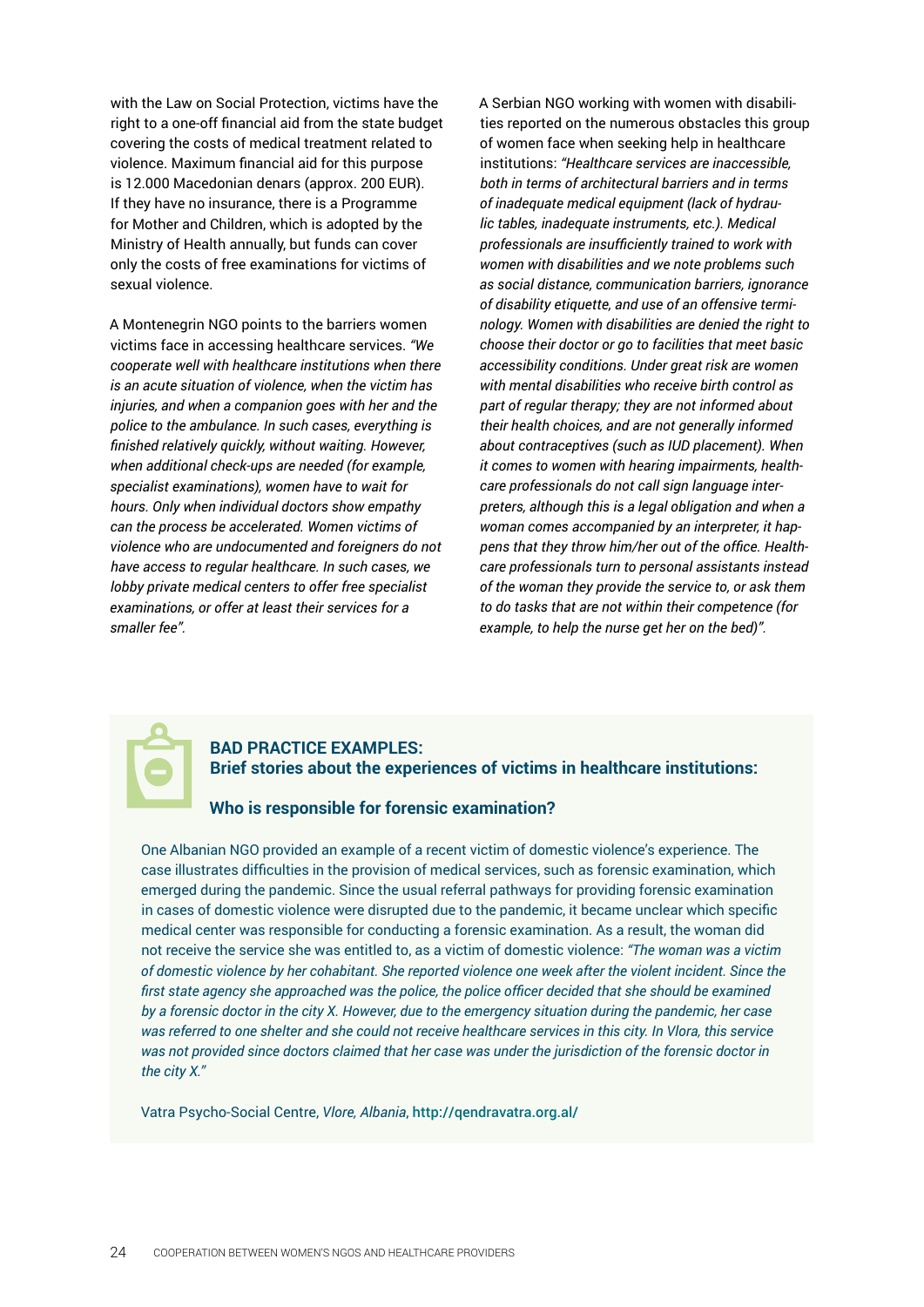with the Law on Social Protection, victims have the right to a one-off financial aid from the state budget covering the costs of medical treatment related to violence. Maximum financial aid for this purpose is 12.000 Macedonian denars (approx. 200 EUR). If they have no insurance, there is a Programme for Mother and Children, which is adopted by the Ministry of Health annually, but funds can cover only the costs of free examinations for victims of sexual violence.

A Montenegrin NGO points to the barriers women victims face in accessing healthcare services. *"We cooperate well with healthcare institutions when there is an acute situation of violence, when the victim has injuries, and when a companion goes with her and the police to the ambulance. In such cases, everything is finished relatively quickly, without waiting. However, when additional check-ups are needed (for example, specialist examinations), women have to wait for hours. Only when individual doctors show empathy can the process be accelerated. Women victims of violence who are undocumented and foreigners do not have access to regular healthcare. In such cases, we lobby private medical centers to offer free specialist examinations, or offer at least their services for a smaller fee".*

A Serbian NGO working with women with disabilities reported on the numerous obstacles this group of women face when seeking help in healthcare institutions: *"Healthcare services are inaccessible, both in terms of architectural barriers and in terms of inadequate medical equipment (lack of hydraulic tables, inadequate instruments, etc.). Medical professionals are insufficiently trained to work with women with disabilities and we note problems such as social distance, communication barriers, ignorance of disability etiquette, and use of an offensive terminology. Women with disabilities are denied the right to choose their doctor or go to facilities that meet basic accessibility conditions. Under great risk are women with mental disabilities who receive birth control as part of regular therapy; they are not informed about their health choices, and are not generally informed about contraceptives (such as IUD placement). When it comes to women with hearing impairments, healthcare professionals do not call sign language interpreters, although this is a legal obligation and when a woman comes accompanied by an interpreter, it happens that they throw him/her out of the office. Healthcare professionals turn to personal assistants instead of the woman they provide the service to, or ask them to do tasks that are not within their competence (for example, to help the nurse get her on the bed)".*



#### **BAD PRACTICE EXAMPLES: Brief stories about the experiences of victims in healthcare institutions:**

#### **Who is responsible for forensic examination?**

One Albanian NGO provided an example of a recent victim of domestic violence's experience. The case illustrates difficulties in the provision of medical services, such as forensic examination, which emerged during the pandemic. Since the usual referral pathways for providing forensic examination in cases of domestic violence were disrupted due to the pandemic, it became unclear which specific medical center was responsible for conducting a forensic examination. As a result, the woman did not receive the service she was entitled to, as a victim of domestic violence: *"The woman was a victim of domestic violence by her cohabitant. She reported violence one week after the violent incident. Since the*  first state agency she approached was the police, the police officer decided that she should be examined *by a forensic doctor in the city X. However, due to the emergency situation during the pandemic, her case was referred to one shelter and she could not receive healthcare services in this city. In Vlora, this service was not provided since doctors claimed that her case was under the jurisdiction of the forensic doctor in the city X."* 

Vatra Psycho-Social Centre, *Vlore, Albania*, <http://qendravatra.org.al/>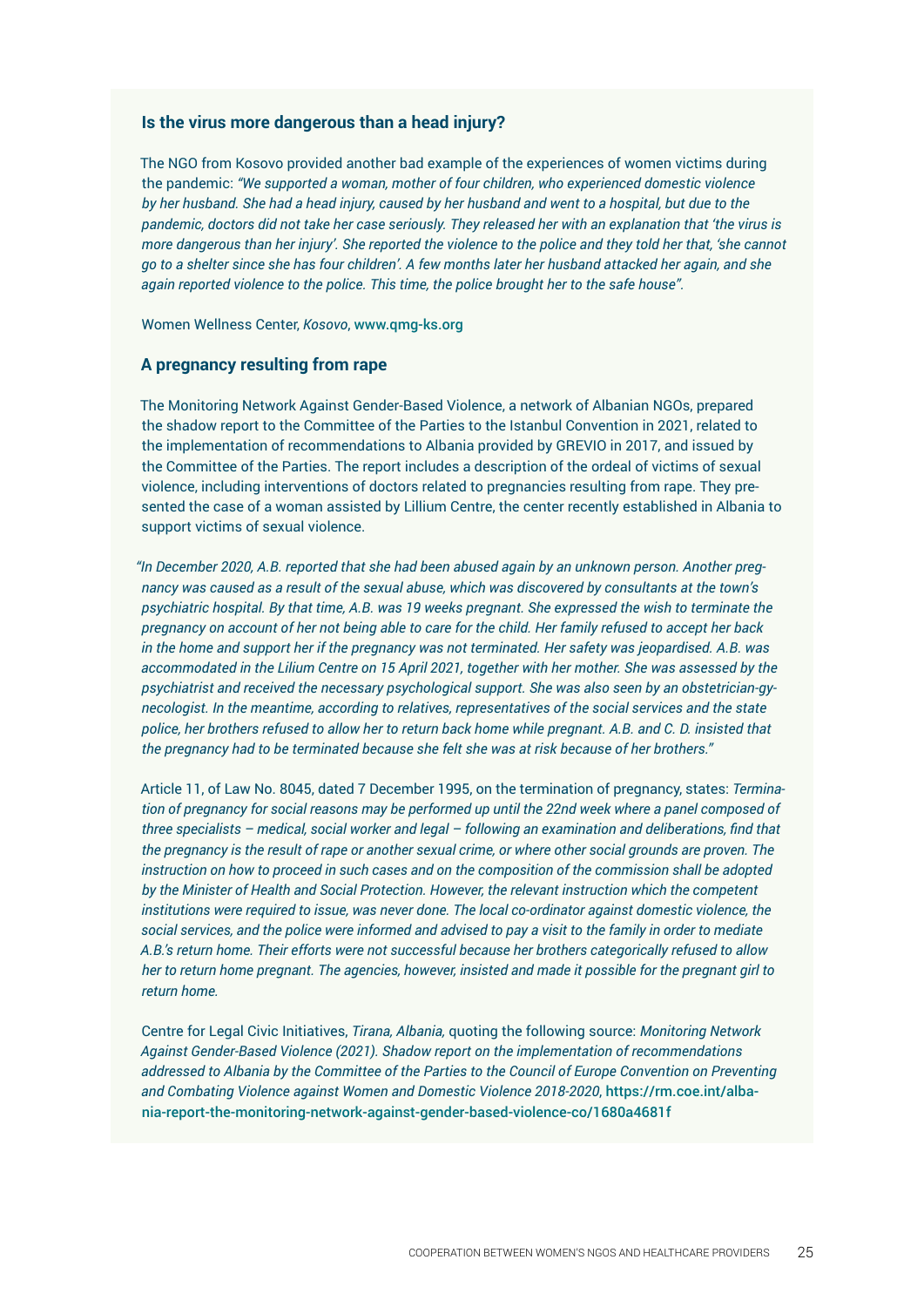#### **Is the virus more dangerous than a head injury?**

The NGO from Kosovo provided another bad example of the experiences of women victims during the pandemic: *"We supported a woman, mother of four children, who experienced domestic violence by her husband. She had a head injury, caused by her husband and went to a hospital, but due to the pandemic, doctors did not take her case seriously. They released her with an explanation that 'the virus is more dangerous than her injury'. She reported the violence to the police and they told her that, 'she cannot go to a shelter since she has four children'. A few months later her husband attacked her again, and she again reported violence to the police. This time, the police brought her to the safe house".* 

Women Wellness Center, *Kosovo*, <www.qmg-ks.org>

#### **A pregnancy resulting from rape**

The Monitoring Network Against Gender-Based Violence, a network of Albanian NGOs, prepared the shadow report to the Committee of the Parties to the Istanbul Convention in 2021, related to the implementation of recommendations to Albania provided by GREVIO in 2017, and issued by the Committee of the Parties. The report includes a description of the ordeal of victims of sexual violence, including interventions of doctors related to pregnancies resulting from rape. They presented the case of a woman assisted by Lillium Centre, the center recently established in Albania to support victims of sexual violence.

*"In December 2020, A.B. reported that she had been abused again by an unknown person. Another pregnancy was caused as a result of the sexual abuse, which was discovered by consultants at the town's psychiatric hospital. By that time, A.B. was 19 weeks pregnant. She expressed the wish to terminate the pregnancy on account of her not being able to care for the child. Her family refused to accept her back in the home and support her if the pregnancy was not terminated. Her safety was jeopardised. A.B. was accommodated in the Lilium Centre on 15 April 2021, together with her mother. She was assessed by the psychiatrist and received the necessary psychological support. She was also seen by an obstetrician-gynecologist. In the meantime, according to relatives, representatives of the social services and the state police, her brothers refused to allow her to return back home while pregnant. A.B. and C. D. insisted that the pregnancy had to be terminated because she felt she was at risk because of her brothers."* 

Article 11, of Law No. 8045, dated 7 December 1995, on the termination of pregnancy, states: *Termination of pregnancy for social reasons may be performed up until the 22nd week where a panel composed of three specialists – medical, social worker and legal – following an examination and deliberations, find that the pregnancy is the result of rape or another sexual crime, or where other social grounds are proven. The instruction on how to proceed in such cases and on the composition of the commission shall be adopted by the Minister of Health and Social Protection. However, the relevant instruction which the competent institutions were required to issue, was never done. The local co-ordinator against domestic violence, the social services, and the police were informed and advised to pay a visit to the family in order to mediate A.B.'s return home. Their efforts were not successful because her brothers categorically refused to allow her to return home pregnant. The agencies, however, insisted and made it possible for the pregnant girl to return home.* 

Centre for Legal Civic Initiatives, *Tirana, Albania,* quoting the following source: *Monitoring Network Against Gender-Based Violence (2021). Shadow report on the implementation of recommendations addressed to Albania by the Committee of the Parties to the Council of Europe Convention on Preventing and Combating Violence against Women and Domestic Violence 2018-2020*, [https://rm.coe.int/alba](https://rm.coe.int/albania-report-the-monitoring-network-against-gender-based-violence-co/1680a4681f)[nia-report-the-monitoring-network-against-gender-based-violence-co/1680a4681f](https://rm.coe.int/albania-report-the-monitoring-network-against-gender-based-violence-co/1680a4681f)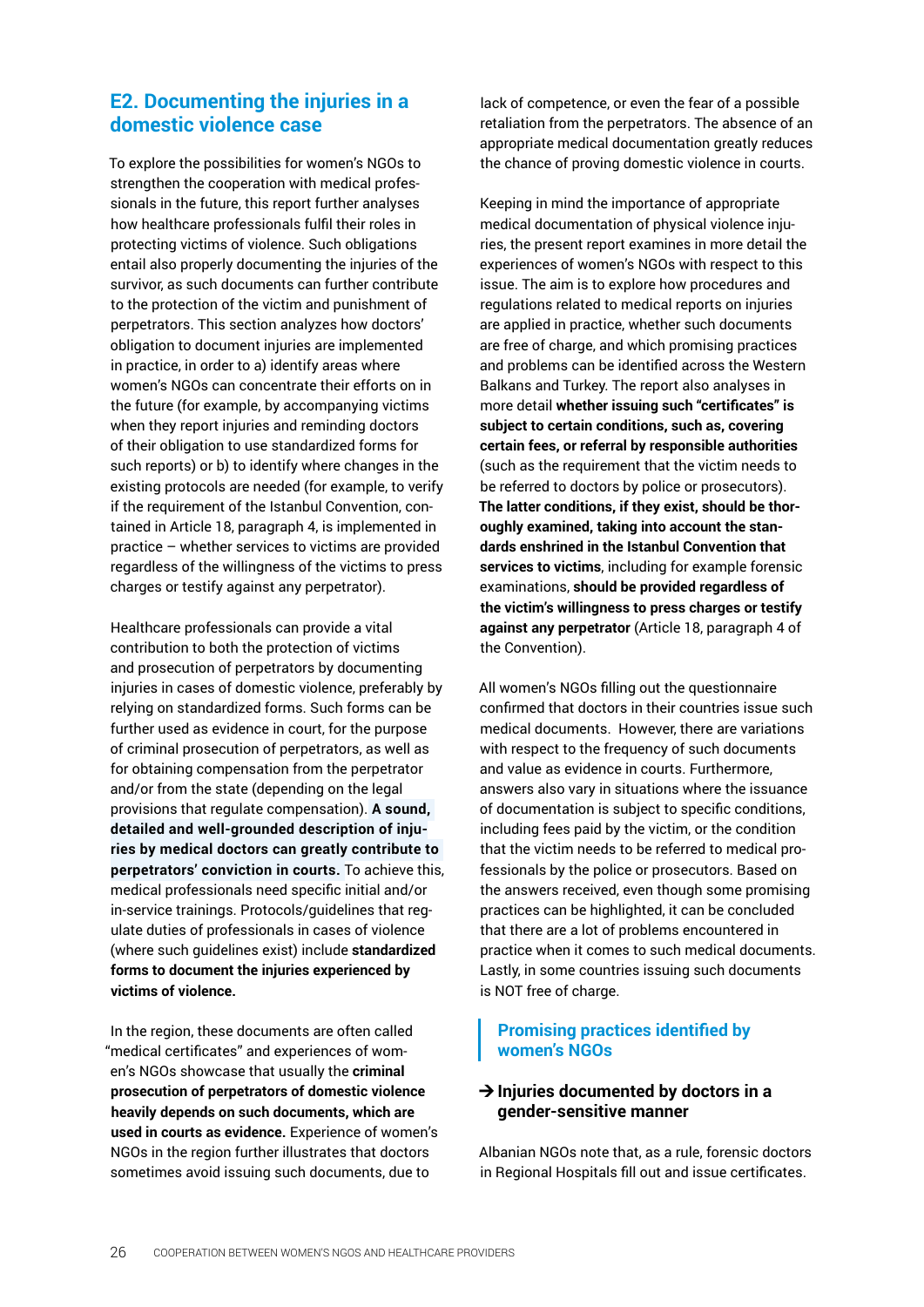### <span id="page-25-0"></span>**E2. Documenting the injuries in a domestic violence case**

To explore the possibilities for women's NGOs to strengthen the cooperation with medical professionals in the future, this report further analyses how healthcare professionals fulfil their roles in protecting victims of violence. Such obligations entail also properly documenting the injuries of the survivor, as such documents can further contribute to the protection of the victim and punishment of perpetrators. This section analyzes how doctors' obligation to document injuries are implemented in practice, in order to a) identify areas where women's NGOs can concentrate their efforts on in the future (for example, by accompanying victims when they report injuries and reminding doctors of their obligation to use standardized forms for such reports) or b) to identify where changes in the existing protocols are needed (for example, to verify if the requirement of the Istanbul Convention, contained in Article 18, paragraph 4, is implemented in practice – whether services to victims are provided regardless of the willingness of the victims to press charges or testify against any perpetrator).

Healthcare professionals can provide a vital contribution to both the protection of victims and prosecution of perpetrators by documenting injuries in cases of domestic violence, preferably by relying on standardized forms. Such forms can be further used as evidence in court, for the purpose of criminal prosecution of perpetrators, as well as for obtaining compensation from the perpetrator and/or from the state (depending on the legal provisions that regulate compensation). **A sound, detailed and well-grounded description of injuries by medical doctors can greatly contribute to perpetrators' conviction in courts.** To achieve this, medical professionals need specific initial and/or in-service trainings. Protocols/guidelines that regulate duties of professionals in cases of violence (where such guidelines exist) include **standardized forms to document the injuries experienced by victims of violence.** 

In the region, these documents are often called "medical certificates" and experiences of women's NGOs showcase that usually the **criminal prosecution of perpetrators of domestic violence heavily depends on such documents, which are used in courts as evidence.** Experience of women's NGOs in the region further illustrates that doctors sometimes avoid issuing such documents, due to

lack of competence, or even the fear of a possible retaliation from the perpetrators. The absence of an appropriate medical documentation greatly reduces the chance of proving domestic violence in courts.

Keeping in mind the importance of appropriate medical documentation of physical violence injuries, the present report examines in more detail the experiences of women's NGOs with respect to this issue. The aim is to explore how procedures and regulations related to medical reports on injuries are applied in practice, whether such documents are free of charge, and which promising practices and problems can be identified across the Western Balkans and Turkey. The report also analyses in more detail **whether issuing such "certificates" is subject to certain conditions, such as, covering certain fees, or referral by responsible authorities**  (such as the requirement that the victim needs to be referred to doctors by police or prosecutors). **The latter conditions, if they exist, should be thoroughly examined, taking into account the standards enshrined in the Istanbul Convention that services to victims**, including for example forensic examinations, **should be provided regardless of the victim's willingness to press charges or testify against any perpetrator** (Article 18, paragraph 4 of the Convention).

All women's NGOs filling out the questionnaire confirmed that doctors in their countries issue such medical documents. However, there are variations with respect to the frequency of such documents and value as evidence in courts. Furthermore, answers also vary in situations where the issuance of documentation is subject to specific conditions, including fees paid by the victim, or the condition that the victim needs to be referred to medical professionals by the police or prosecutors. Based on the answers received, even though some promising practices can be highlighted, it can be concluded that there are a lot of problems encountered in practice when it comes to such medical documents. Lastly, in some countries issuing such documents is NOT free of charge.

#### **Promising practices identified by women's NGOs**

#### ¼**Injuries documented by doctors in a gender-sensitive manner**

Albanian NGOs note that, as a rule, forensic doctors in Regional Hospitals fill out and issue certificates.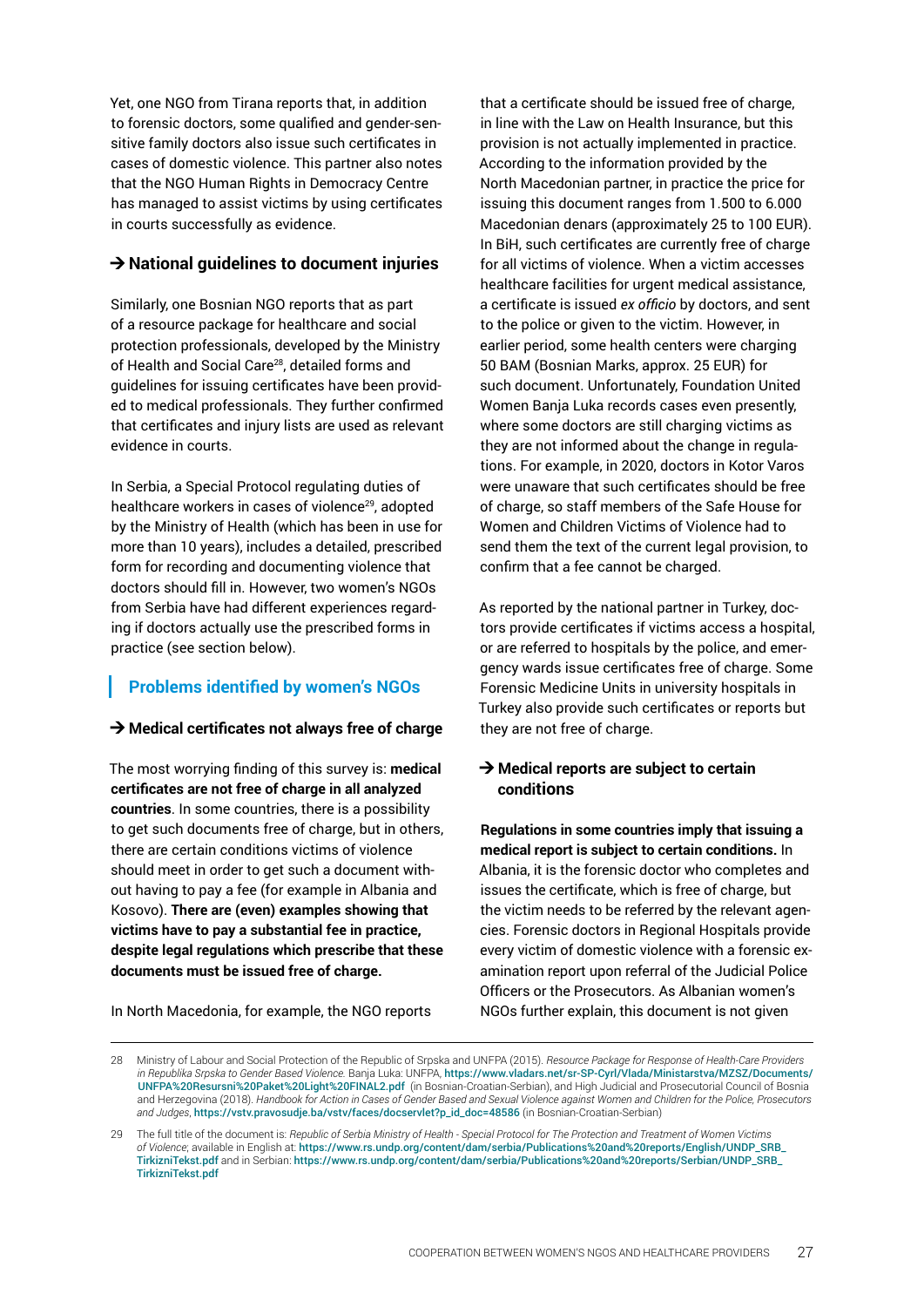Yet, one NGO from Tirana reports that, in addition to forensic doctors, some qualified and gender-sensitive family doctors also issue such certificates in cases of domestic violence. This partner also notes that the NGO Human Rights in Democracy Centre has managed to assist victims by using certificates in courts successfully as evidence.

#### **→ National guidelines to document injuries**

Similarly, one Bosnian NGO reports that as part of a resource package for healthcare and social protection professionals, developed by the Ministry of Health and Social Care<sup>28</sup>, detailed forms and guidelines for issuing certificates have been provided to medical professionals. They further confirmed that certificates and injury lists are used as relevant evidence in courts.

In Serbia, a Special Protocol regulating duties of healthcare workers in cases of violence<sup>29</sup>, adopted by the Ministry of Health (which has been in use for more than 10 years), includes a detailed, prescribed form for recording and documenting violence that doctors should fill in. However, two women's NGOs from Serbia have had different experiences regarding if doctors actually use the prescribed forms in practice (see section below).

### **Problems identified by women's NGOs**

#### **→ Medical certificates not always free of charge**

The most worrying finding of this survey is: **medical certificates are not free of charge in all analyzed countries**. In some countries, there is a possibility to get such documents free of charge, but in others, there are certain conditions victims of violence should meet in order to get such a document without having to pay a fee (for example in Albania and Kosovo). **There are (even) examples showing that victims have to pay a substantial fee in practice, despite legal regulations which prescribe that these documents must be issued free of charge.** 

that a certificate should be issued free of charge, in line with the Law on Health Insurance, but this provision is not actually implemented in practice. According to the information provided by the North Macedonian partner, in practice the price for issuing this document ranges from 1.500 to 6.000 Macedonian denars (approximately 25 to 100 EUR). In BiH, such certificates are currently free of charge for all victims of violence. When a victim accesses healthcare facilities for urgent medical assistance, a certificate is issued *ex officio* by doctors, and sent to the police or given to the victim. However, in earlier period, some health centers were charging 50 BAM (Bosnian Marks, approx. 25 EUR) for such document. Unfortunately, Foundation United Women Banja Luka records cases even presently, where some doctors are still charging victims as they are not informed about the change in regulations. For example, in 2020, doctors in Kotor Varos were unaware that such certificates should be free of charge, so staff members of the Safe House for Women and Children Victims of Violence had to send them the text of the current legal provision, to confirm that a fee cannot be charged.

As reported by the national partner in Turkey, doctors provide certificates if victims access a hospital, or are referred to hospitals by the police, and emergency wards issue certificates free of charge. Some Forensic Medicine Units in university hospitals in Turkey also provide such certificates or reports but they are not free of charge.

#### **→ Medical reports are subject to certain conditions**

**Regulations in some countries imply that issuing a medical report is subject to certain conditions.** In Albania, it is the forensic doctor who completes and issues the certificate, which is free of charge, but the victim needs to be referred by the relevant agencies. Forensic doctors in Regional Hospitals provide every victim of domestic violence with a forensic examination report upon referral of the Judicial Police Officers or the Prosecutors. As Albanian women's NGOs further explain, this document is not given

In North Macedonia, for example, the NGO reports

<sup>28</sup> Ministry of Labour and Social Protection of the Republic of Srpska and UNFPA (2015). *Resource Package for Response of Health-Care Providers in Republika Srpska to Gender Based Violence.* Banja Luka: UNFPA, [https://www.vladars.net/sr-SP-Cyrl/Vlada/Ministarstva/MZSZ/Documents/](https://www.vladars.net/sr-SP-Cyrl/Vlada/Ministarstva/MZSZ/Documents/UNFPA%20Resursni%20Paket%20Light%20FINAL2.pdf) [UNFPA%20Resursni%20Paket%20Light%20FINAL2.pdf](https://www.vladars.net/sr-SP-Cyrl/Vlada/Ministarstva/MZSZ/Documents/UNFPA%20Resursni%20Paket%20Light%20FINAL2.pdf) (in Bosnian-Croatian-Serbian), and High Judicial and Prosecutorial Council of Bosnia and Herzegovina (2018). *Handbook for Action in Cases of Gender Based and Sexual Violence against Women and Children for the Police, Prosecutors and Judges*, [https://vstv.pravosudje.ba/vstv/faces/docservlet?p\\_id\\_doc=48586](https://vstv.pravosudje.ba/vstv/faces/docservlet?p_id_doc=48586) (in Bosnian-Croatian-Serbian)

<sup>29</sup> The full title of the document is: *Republic of Serbia Ministry of Health - Special Protocol for The Protection and Treatment of Women Victims of Violence*; available in English at: [https://www.rs.undp.org/content/dam/serbia/Publications%20and%20reports/English/UNDP\\_SRB\\_](https://www.rs.undp.org/content/dam/serbia/Publications%20and%20reports/English/UNDP_SRB_TirkizniTekst.pdf) [TirkizniTekst.pdf](https://www.rs.undp.org/content/dam/serbia/Publications%20and%20reports/English/UNDP_SRB_TirkizniTekst.pdf) and in Serbian: [https://www.rs.undp.org/content/dam/serbia/Publications%20and%20reports/Serbian/UNDP\\_SRB\\_](https://www.rs.undp.org/content/dam/serbia/Publications%20and%20reports/Serbian/UNDP_SRB_TirkizniTekst.pdf) [TirkizniTekst.pdf](https://www.rs.undp.org/content/dam/serbia/Publications%20and%20reports/Serbian/UNDP_SRB_TirkizniTekst.pdf)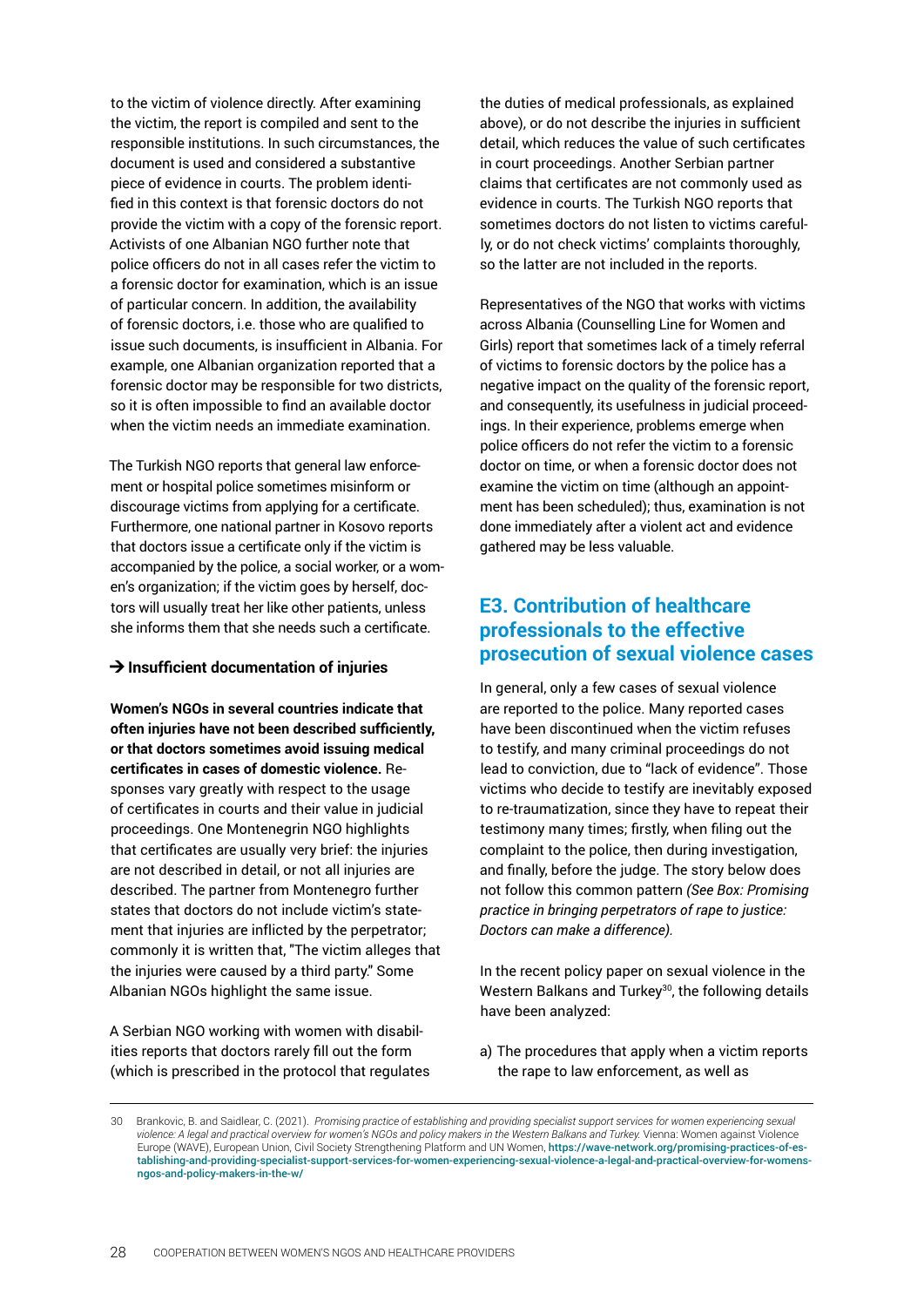<span id="page-27-0"></span>to the victim of violence directly. After examining the victim, the report is compiled and sent to the responsible institutions. In such circumstances, the document is used and considered a substantive piece of evidence in courts. The problem identified in this context is that forensic doctors do not provide the victim with a copy of the forensic report. Activists of one Albanian NGO further note that police officers do not in all cases refer the victim to a forensic doctor for examination, which is an issue of particular concern. In addition, the availability of forensic doctors, i.e. those who are qualified to issue such documents, is insufficient in Albania. For example, one Albanian organization reported that a forensic doctor may be responsible for two districts, so it is often impossible to find an available doctor when the victim needs an immediate examination.

The Turkish NGO reports that general law enforcement or hospital police sometimes misinform or discourage victims from applying for a certificate. Furthermore, one national partner in Kosovo reports that doctors issue a certificate only if the victim is accompanied by the police, a social worker, or a women's organization; if the victim goes by herself, doctors will usually treat her like other patients, unless she informs them that she needs such a certificate.

#### **→ Insufficient documentation of injuries**

**Women's NGOs in several countries indicate that often injuries have not been described sufficiently, or that doctors sometimes avoid issuing medical certificates in cases of domestic violence.** Responses vary greatly with respect to the usage of certificates in courts and their value in judicial proceedings. One Montenegrin NGO highlights that certificates are usually very brief: the injuries are not described in detail, or not all injuries are described. The partner from Montenegro further states that doctors do not include victim's statement that injuries are inflicted by the perpetrator; commonly it is written that, "The victim alleges that the injuries were caused by a third party." Some Albanian NGOs highlight the same issue.

A Serbian NGO working with women with disabilities reports that doctors rarely fill out the form (which is prescribed in the protocol that regulates the duties of medical professionals, as explained above), or do not describe the injuries in sufficient detail, which reduces the value of such certificates in court proceedings. Another Serbian partner claims that certificates are not commonly used as evidence in courts. The Turkish NGO reports that sometimes doctors do not listen to victims carefully, or do not check victims' complaints thoroughly, so the latter are not included in the reports.

Representatives of the NGO that works with victims across Albania (Counselling Line for Women and Girls) report that sometimes lack of a timely referral of victims to forensic doctors by the police has a negative impact on the quality of the forensic report, and consequently, its usefulness in judicial proceedings. In their experience, problems emerge when police officers do not refer the victim to a forensic doctor on time, or when a forensic doctor does not examine the victim on time (although an appointment has been scheduled); thus, examination is not done immediately after a violent act and evidence gathered may be less valuable.

### **E3. Contribution of healthcare professionals to the effective prosecution of sexual violence cases**

In general, only a few cases of sexual violence are reported to the police. Many reported cases have been discontinued when the victim refuses to testify, and many criminal proceedings do not lead to conviction, due to "lack of evidence". Those victims who decide to testify are inevitably exposed to re-traumatization, since they have to repeat their testimony many times; firstly, when filing out the complaint to the police, then during investigation, and finally, before the judge. The story below does not follow this common pattern *(See Box: Promising practice in bringing perpetrators of rape to justice: Doctors can make a difference).* 

In the recent policy paper on sexual violence in the Western Balkans and Turkey<sup>30</sup>, the following details have been analyzed:

a) The procedures that apply when a victim reports the rape to law enforcement, as well as

<sup>30</sup> Brankovic, B. and Saidlear, C. (2021). *Promising practice of establishing and providing specialist support services for women experiencing sexual violence: A legal and practical overview for women's NGOs and policy makers in the Western Balkans and Turkey.* Vienna: Women against Violence Europe (WAVE), European Union, Civil Society Strengthening Platform and UN Women, [https://wave-network.org/promising-practices-of-es](https://wave-network.org/promising-practices-of-establishing-and-providing-specialist-support-services-for-women-experiencing-sexual-violence-a-legal-and-practical-overview-for-womens-ngos-and-policy-makers-in-the-w/)[tablishing-and-providing-specialist-support-services-for-women-experiencing-sexual-violence-a-legal-and-practical-overview-for-womens](https://wave-network.org/promising-practices-of-establishing-and-providing-specialist-support-services-for-women-experiencing-sexual-violence-a-legal-and-practical-overview-for-womens-ngos-and-policy-makers-in-the-w/)[ngos-and-policy-makers-in-the-w/](https://wave-network.org/promising-practices-of-establishing-and-providing-specialist-support-services-for-women-experiencing-sexual-violence-a-legal-and-practical-overview-for-womens-ngos-and-policy-makers-in-the-w/)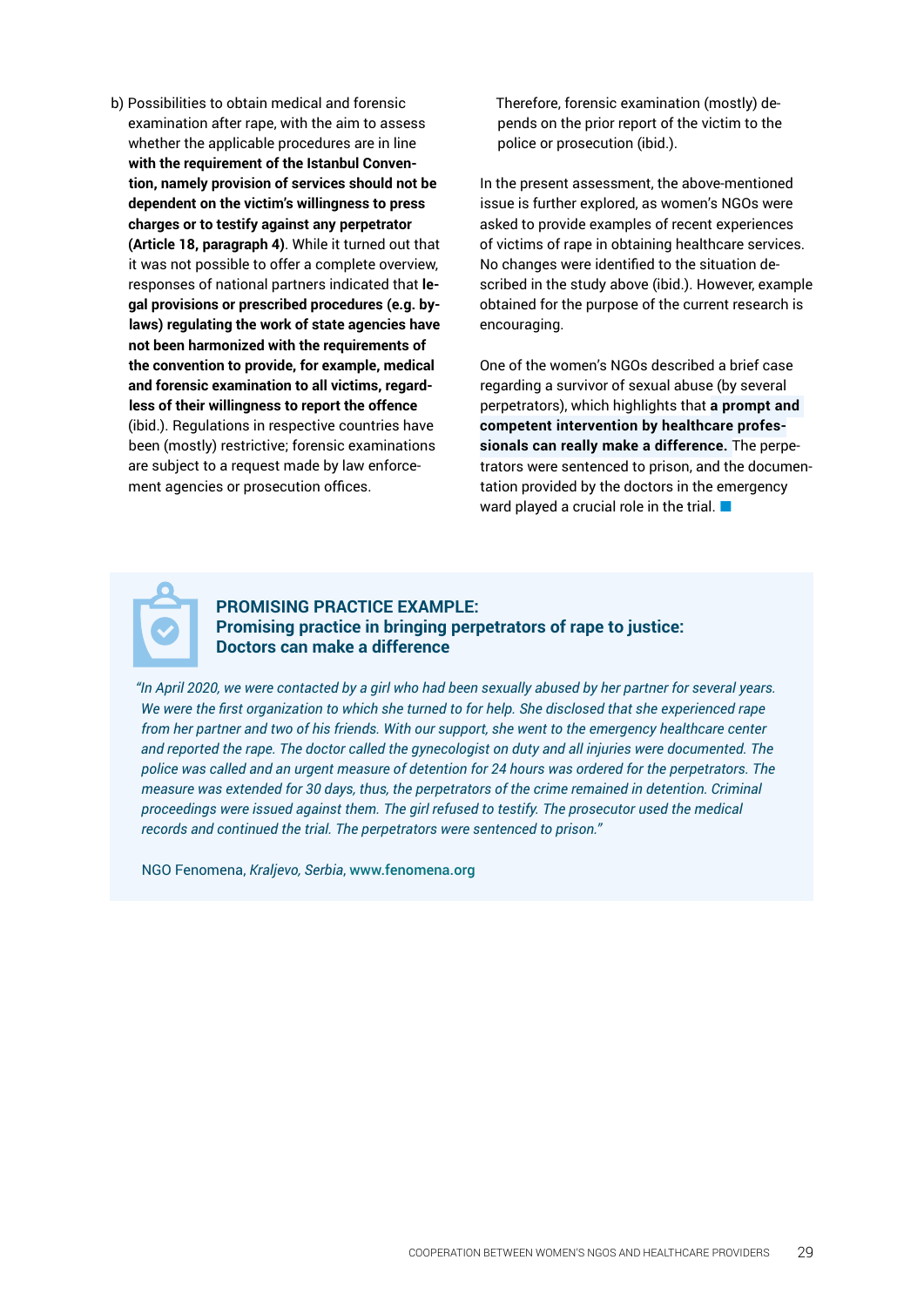b) Possibilities to obtain medical and forensic examination after rape, with the aim to assess whether the applicable procedures are in line **with the requirement of the Istanbul Convention, namely provision of services should not be dependent on the victim's willingness to press charges or to testify against any perpetrator (Article 18, paragraph 4)**. While it turned out that it was not possible to offer a complete overview, responses of national partners indicated that **legal provisions or prescribed procedures (e.g. bylaws) regulating the work of state agencies have not been harmonized with the requirements of the convention to provide, for example, medical and forensic examination to all victims, regardless of their willingness to report the offence**  (ibid.). Regulations in respective countries have been (mostly) restrictive; forensic examinations are subject to a request made by law enforcement agencies or prosecution offices.

Therefore, forensic examination (mostly) depends on the prior report of the victim to the police or prosecution (ibid.).

In the present assessment, the above-mentioned issue is further explored, as women's NGOs were asked to provide examples of recent experiences of victims of rape in obtaining healthcare services. No changes were identified to the situation described in the study above (ibid.). However, example obtained for the purpose of the current research is encouraging.

One of the women's NGOs described a brief case regarding a survivor of sexual abuse (by several perpetrators), which highlights that **a prompt and competent intervention by healthcare professionals can really make a difference.** The perpetrators were sentenced to prison, and the documentation provided by the doctors in the emergency ward played a crucial role in the trial.  $\Box$ 



### **PROMISING PRACTICE EXAMPLE: Promising practice in bringing perpetrators of rape to justice: Doctors can make a difference**

*"In April 2020, we were contacted by a girl who had been sexually abused by her partner for several years. We were the first organization to which she turned to for help. She disclosed that she experienced rape from her partner and two of his friends. With our support, she went to the emergency healthcare center and reported the rape. The doctor called the gynecologist on duty and all injuries were documented. The police was called and an urgent measure of detention for 24 hours was ordered for the perpetrators. The measure was extended for 30 days, thus, the perpetrators of the crime remained in detention. Criminal proceedings were issued against them. The girl refused to testify. The prosecutor used the medical records and continued the trial. The perpetrators were sentenced to prison."*

NGO Fenomena, *Kraljevo, Serbia*, [www.fenomena.org](http://www.fenomena.org)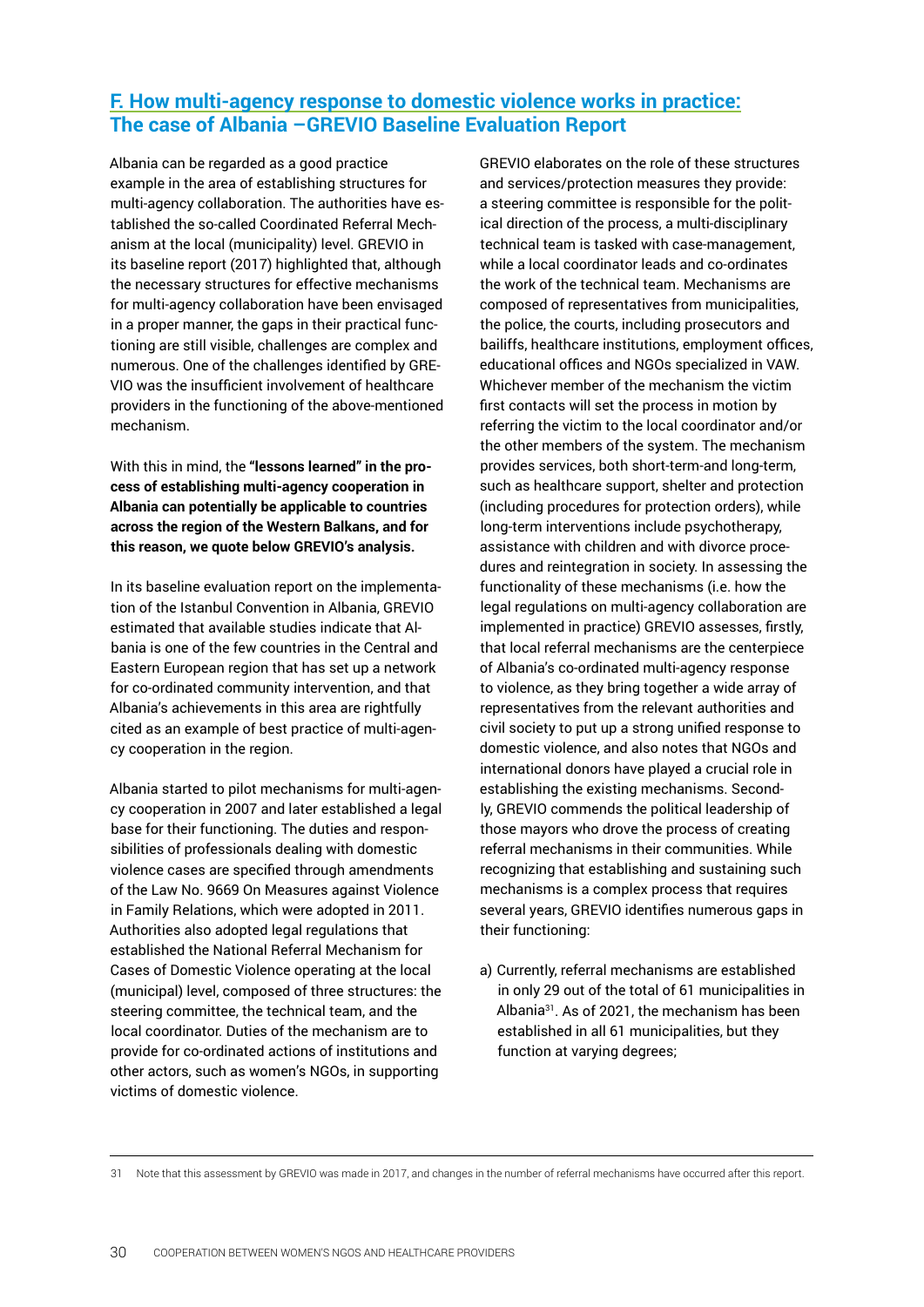# <span id="page-29-0"></span>**[F. How multi-agency response to domestic violence works in practice:](http://www.fenomena.org) [The case of Albania –GREVIO Baseline Evaluation Report](http://www.fenomena.org)**

Albania can be regarded as a good practice example in the area of establishing structures for multi-agency collaboration. The authorities have established the so-called Coordinated Referral Mechanism at the local (municipality) level. GREVIO in its baseline report (2017) highlighted that, although the necessary structures for effective mechanisms for multi-agency collaboration have been envisaged in a proper manner, the gaps in their practical functioning are still visible, challenges are complex and numerous. One of the challenges identified by GRE-VIO was the insufficient involvement of healthcare providers in the functioning of the above-mentioned mechanism.

With this in mind, the **"lessons learned" in the process of establishing multi-agency cooperation in Albania can potentially be applicable to countries across the region of the Western Balkans, and for this reason, we quote below GREVIO's analysis.**

In its baseline evaluation report on the implementation of the Istanbul Convention in Albania, GREVIO estimated that available studies indicate that Albania is one of the few countries in the Central and Eastern European region that has set up a network for co-ordinated community intervention, and that Albania's achievements in this area are rightfully cited as an example of best practice of multi-agency cooperation in the region.

Albania started to pilot mechanisms for multi-agency cooperation in 2007 and later established a legal base for their functioning. The duties and responsibilities of professionals dealing with domestic violence cases are specified through amendments of the Law No. 9669 On Measures against Violence in Family Relations, which were adopted in 2011. Authorities also adopted legal regulations that established the National Referral Mechanism for Cases of Domestic Violence operating at the local (municipal) level, composed of three structures: the steering committee, the technical team, and the local coordinator. Duties of the mechanism are to provide for co-ordinated actions of institutions and other actors, such as women's NGOs, in supporting victims of domestic violence.

GREVIO elaborates on the role of these structures and services/protection measures they provide: a steering committee is responsible for the political direction of the process, a multi-disciplinary technical team is tasked with case-management, while a local coordinator leads and co-ordinates the work of the technical team. Mechanisms are composed of representatives from municipalities, the police, the courts, including prosecutors and bailiffs, healthcare institutions, employment offices, educational offices and NGOs specialized in VAW. Whichever member of the mechanism the victim first contacts will set the process in motion by referring the victim to the local coordinator and/or the other members of the system. The mechanism provides services, both short-term-and long-term, such as healthcare support, shelter and protection (including procedures for protection orders), while long-term interventions include psychotherapy, assistance with children and with divorce procedures and reintegration in society. In assessing the functionality of these mechanisms (i.e. how the legal regulations on multi-agency collaboration are implemented in practice) GREVIO assesses, firstly, that local referral mechanisms are the centerpiece of Albania's co-ordinated multi-agency response to violence, as they bring together a wide array of representatives from the relevant authorities and civil society to put up a strong unified response to domestic violence, and also notes that NGOs and international donors have played a crucial role in establishing the existing mechanisms. Secondly, GREVIO commends the political leadership of those mayors who drove the process of creating referral mechanisms in their communities. While recognizing that establishing and sustaining such mechanisms is a complex process that requires several years, GREVIO identifies numerous gaps in their functioning:

a) Currently, referral mechanisms are established in only 29 out of the total of 61 municipalities in Albania31. As of 2021, the mechanism has been established in all 61 municipalities, but they function at varying degrees;

31 Note that this assessment by GREVIO was made in 2017, and changes in the number of referral mechanisms have occurred after this report.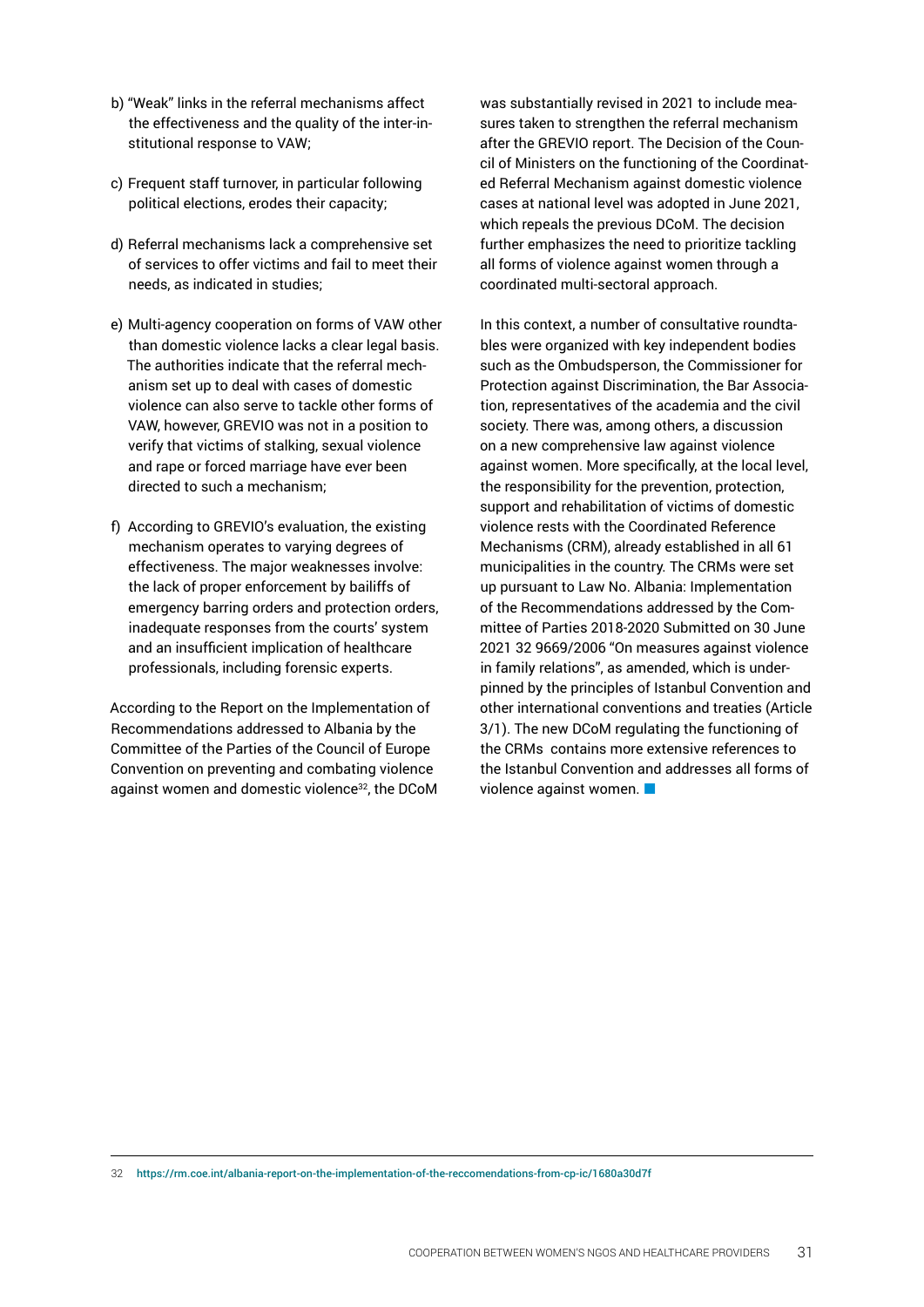- b) "Weak" links in the referral mechanisms affect the effectiveness and the quality of the inter-institutional response to VAW;
- c) Frequent staff turnover, in particular following political elections, erodes their capacity;
- d) Referral mechanisms lack a comprehensive set of services to offer victims and fail to meet their needs, as indicated in studies;
- e) Multi-agency cooperation on forms of VAW other than domestic violence lacks a clear legal basis. The authorities indicate that the referral mechanism set up to deal with cases of domestic violence can also serve to tackle other forms of VAW, however, GREVIO was not in a position to verify that victims of stalking, sexual violence and rape or forced marriage have ever been directed to such a mechanism;
- f) According to GREVIO's evaluation, the existing mechanism operates to varying degrees of effectiveness. The major weaknesses involve: the lack of proper enforcement by bailiffs of emergency barring orders and protection orders, inadequate responses from the courts' system and an insufficient implication of healthcare professionals, including forensic experts.

According to the Report on the Implementation of Recommendations addressed to Albania by the Committee of the Parties of the Council of Europe Convention on preventing and combating violence against women and domestic violence<sup>32</sup>, the DCoM was substantially revised in 2021 to include measures taken to strengthen the referral mechanism after the GREVIO report. The Decision of the Council of Ministers on the functioning of the Coordinated Referral Mechanism against domestic violence cases at national level was adopted in June 2021, which repeals the previous DCoM. The decision further emphasizes the need to prioritize tackling all forms of violence against women through a coordinated multi-sectoral approach.

In this context, a number of consultative roundtables were organized with key independent bodies such as the Ombudsperson, the Commissioner for Protection against Discrimination, the Bar Association, representatives of the academia and the civil society. There was, among others, a discussion on a new comprehensive law against violence against women. More specifically, at the local level, the responsibility for the prevention, protection, support and rehabilitation of victims of domestic violence rests with the Coordinated Reference Mechanisms (CRM), already established in all 61 municipalities in the country. The CRMs were set up pursuant to Law No. Albania: Implementation of the Recommendations addressed by the Committee of Parties 2018-2020 Submitted on 30 June 2021 32 9669/2006 "On measures against violence in family relations", as amended, which is underpinned by the principles of Istanbul Convention and other international conventions and treaties (Article 3/1). The new DCoM regulating the functioning of the CRMs contains more extensive references to the Istanbul Convention and addresses all forms of violence against women.

<sup>32</sup> <https://rm.coe.int/albania-report-on-the-implementation-of-the-reccomendations-from-cp-ic/1680a30d7f>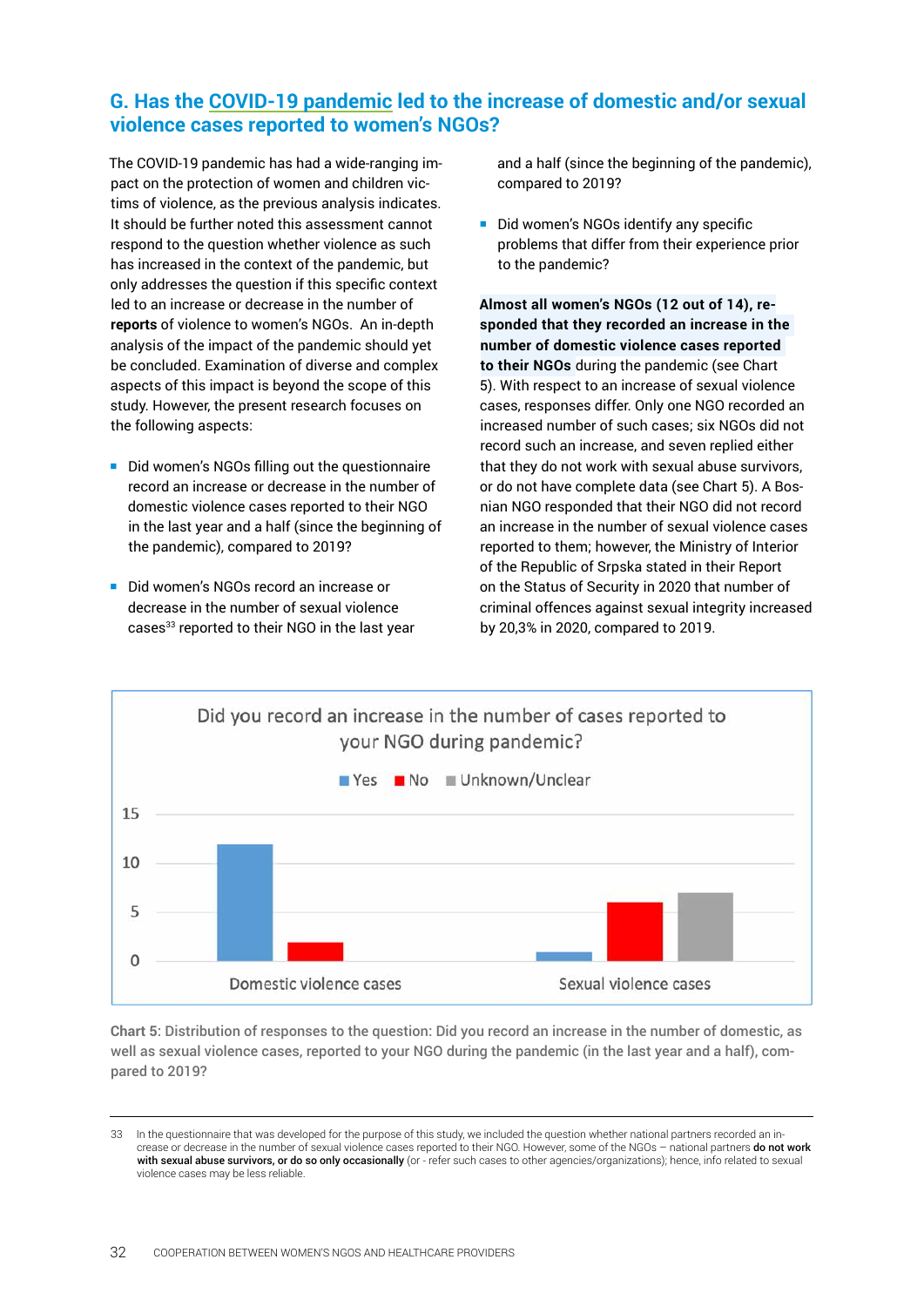# <span id="page-31-0"></span>**G. Has the COVID-19 pandemic led to the increase of domestic and/or sexual violence cases reported to women's NGOs?**

The COVID-19 pandemic has had a wide-ranging impact on the protection of women and children victims of violence, as the previous analysis indicates. It should be further noted this assessment cannot respond to the question whether violence as such has increased in the context of the pandemic, but only addresses the question if this specific context led to an increase or decrease in the number of **reports** of violence to women's NGOs. An in-depth analysis of the impact of the pandemic should yet be concluded. Examination of diverse and complex aspects of this impact is beyond the scope of this study. However, the present research focuses on the following aspects:

- Did women's NGOs filling out the questionnaire record an increase or decrease in the number of domestic violence cases reported to their NGO in the last year and a half (since the beginning of the pandemic), compared to 2019?
- Did women's NGOs record an increase or decrease in the number of sexual violence cases<sup>33</sup> reported to their NGO in the last year

and a half (since the beginning of the pandemic), compared to 2019?

Did women's NGOs identify any specific problems that differ from their experience prior to the pandemic?

**Almost all women's NGOs (12 out of 14), responded that they recorded an increase in the number of domestic violence cases reported to their NGOs** during the pandemic (see Chart 5). With respect to an increase of sexual violence cases, responses differ. Only one NGO recorded an increased number of such cases; six NGOs did not record such an increase, and seven replied either that they do not work with sexual abuse survivors, or do not have complete data (see Chart 5). A Bosnian NGO responded that their NGO did not record an increase in the number of sexual violence cases reported to them; however, the Ministry of Interior of the Republic of Srpska stated in their Report on the Status of Security in 2020 that number of criminal offences against sexual integrity increased by 20,3% in 2020, compared to 2019.



**Chart 5**: Distribution of responses to the question: Did you record an increase in the number of domestic, as well as sexual violence cases, reported to your NGO during the pandemic (in the last year and a half), compared to 2019?

<sup>33</sup> In the questionnaire that was developed for the purpose of this study, we included the question whether national partners recorded an increase or decrease in the number of sexual violence cases reported to their NGO. However, some of the NGOs - national partners do not work with sexual abuse survivors, or do so only occasionally (or - refer such cases to other agencies/organizations); hence, info related to sexual violence cases may be less reliable.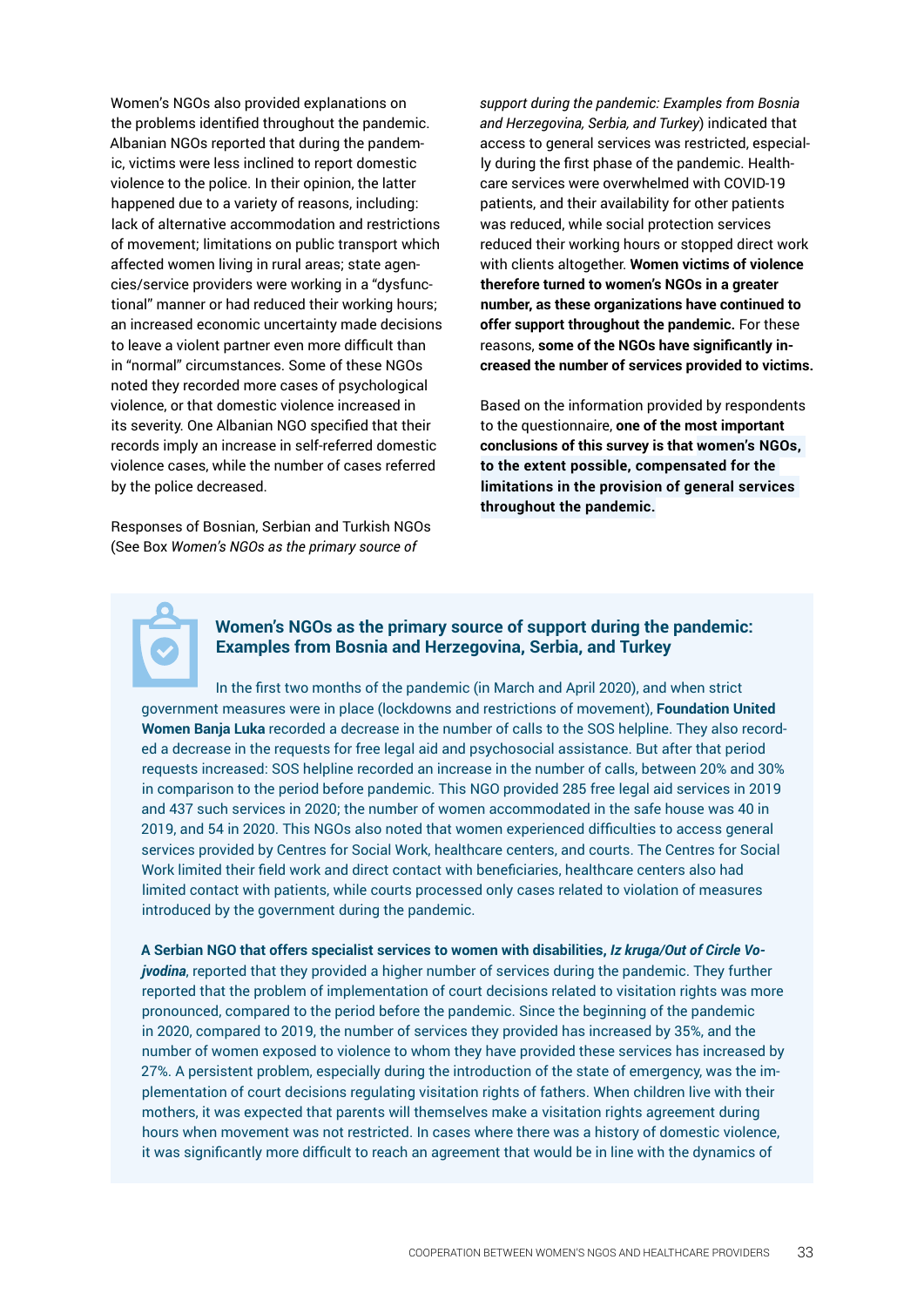Women's NGOs also provided explanations on the problems identified throughout the pandemic. Albanian NGOs reported that during the pandemic, victims were less inclined to report domestic violence to the police. In their opinion, the latter happened due to a variety of reasons, including: lack of alternative accommodation and restrictions of movement; limitations on public transport which affected women living in rural areas; state agencies/service providers were working in a "dysfunctional" manner or had reduced their working hours; an increased economic uncertainty made decisions to leave a violent partner even more difficult than in "normal" circumstances. Some of these NGOs noted they recorded more cases of psychological violence, or that domestic violence increased in its severity. One Albanian NGO specified that their records imply an increase in self-referred domestic violence cases, while the number of cases referred by the police decreased.

Responses of Bosnian, Serbian and Turkish NGOs (See Box *Women's NGOs as the primary source of* 

*support during the pandemic: Examples from Bosnia and Herzegovina, Serbia, and Turkey*) indicated that access to general services was restricted, especially during the first phase of the pandemic. Healthcare services were overwhelmed with COVID-19 patients, and their availability for other patients was reduced, while social protection services reduced their working hours or stopped direct work with clients altogether. **Women victims of violence therefore turned to women's NGOs in a greater number, as these organizations have continued to offer support throughout the pandemic.** For these reasons, **some of the NGOs have significantly increased the number of services provided to victims.** 

Based on the information provided by respondents to the questionnaire, **one of the most important conclusions of this survey is that women's NGOs, to the extent possible, compensated for the limitations in the provision of general services throughout the pandemic.**

#### **Women's NGOs as the primary source of support during the pandemic: Examples from Bosnia and Herzegovina, Serbia, and Turkey**

In the first two months of the pandemic (in March and April 2020), and when strict government measures were in place (lockdowns and restrictions of movement), **Foundation United Women Banja Luka** recorded a decrease in the number of calls to the SOS helpline. They also recorded a decrease in the requests for free legal aid and psychosocial assistance. But after that period requests increased: SOS helpline recorded an increase in the number of calls, between 20% and 30% in comparison to the period before pandemic. This NGO provided 285 free legal aid services in 2019 and 437 such services in 2020; the number of women accommodated in the safe house was 40 in 2019, and 54 in 2020. This NGOs also noted that women experienced difficulties to access general services provided by Centres for Social Work, healthcare centers, and courts. The Centres for Social Work limited their field work and direct contact with beneficiaries, healthcare centers also had limited contact with patients, while courts processed only cases related to violation of measures introduced by the government during the pandemic.

**A Serbian NGO that offers specialist services to women with disabilities,** *Iz kruga/Out of Circle Vojvodina*, reported that they provided a higher number of services during the pandemic. They further reported that the problem of implementation of court decisions related to visitation rights was more pronounced, compared to the period before the pandemic. Since the beginning of the pandemic in 2020, compared to 2019, the number of services they provided has increased by 35%, and the number of women exposed to violence to whom they have provided these services has increased by 27%. A persistent problem, especially during the introduction of the state of emergency, was the implementation of court decisions regulating visitation rights of fathers. When children live with their mothers, it was expected that parents will themselves make a visitation rights agreement during hours when movement was not restricted. In cases where there was a history of domestic violence, it was significantly more difficult to reach an agreement that would be in line with the dynamics of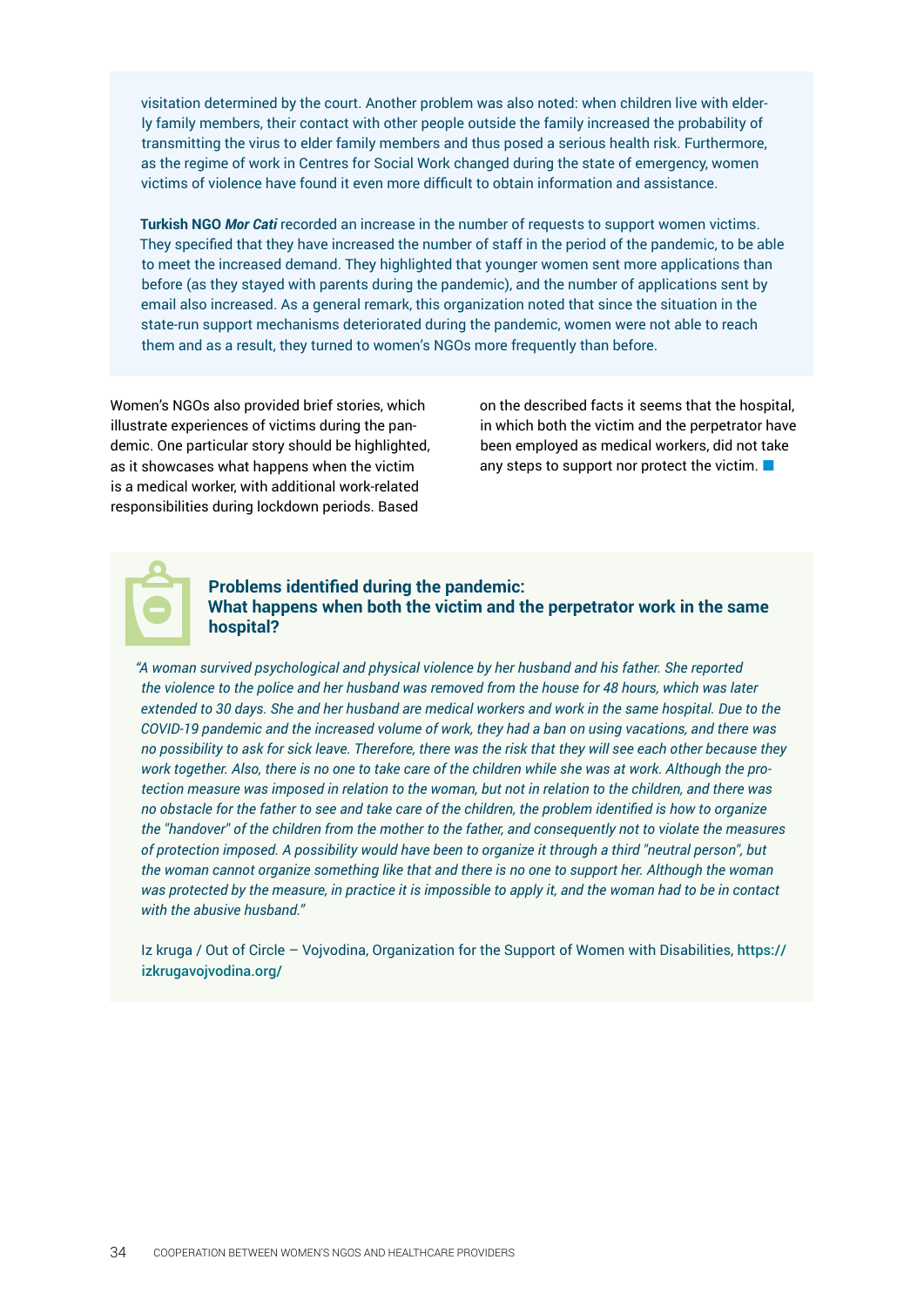visitation determined by the court. Another problem was also noted: when children live with elderly family members, their contact with other people outside the family increased the probability of transmitting the virus to elder family members and thus posed a serious health risk. Furthermore, as the regime of work in Centres for Social Work changed during the state of emergency, women victims of violence have found it even more difficult to obtain information and assistance.

**Turkish NGO** *Mor Cati* recorded an increase in the number of requests to support women victims. They specified that they have increased the number of staff in the period of the pandemic, to be able to meet the increased demand. They highlighted that younger women sent more applications than before (as they stayed with parents during the pandemic), and the number of applications sent by email also increased. As a general remark, this organization noted that since the situation in the state-run support mechanisms deteriorated during the pandemic, women were not able to reach them and as a result, they turned to women's NGOs more frequently than before.

Women's NGOs also provided brief stories, which illustrate experiences of victims during the pandemic. One particular story should be highlighted, as it showcases what happens when the victim is a medical worker, with additional work-related responsibilities during lockdown periods. Based

on the described facts it seems that the hospital, in which both the victim and the perpetrator have been employed as medical workers, did not take any steps to support nor protect the victim.



#### **Problems identified during the pandemic: What happens when both the victim and the perpetrator work in the same hospital?**

*"A woman survived psychological and physical violence by her husband and his father. She reported the violence to the police and her husband was removed from the house for 48 hours, which was later extended to 30 days. She and her husband are medical workers and work in the same hospital. Due to the COVID-19 pandemic and the increased volume of work, they had a ban on using vacations, and there was no possibility to ask for sick leave. Therefore, there was the risk that they will see each other because they work together. Also, there is no one to take care of the children while she was at work. Although the protection measure was imposed in relation to the woman, but not in relation to the children, and there was no obstacle for the father to see and take care of the children, the problem identified is how to organize the "handover" of the children from the mother to the father, and consequently not to violate the measures of protection imposed. A possibility would have been to organize it through a third "neutral person", but the woman cannot organize something like that and there is no one to support her. Although the woman was protected by the measure, in practice it is impossible to apply it, and the woman had to be in contact with the abusive husband."*

Iz kruga / Out of Circle – Vojvodina, Organization for the Support of Women with Disabilities, [https://](https://izkrugavojvodina.org/) [izkrugavojvodina.org/](https://izkrugavojvodina.org/)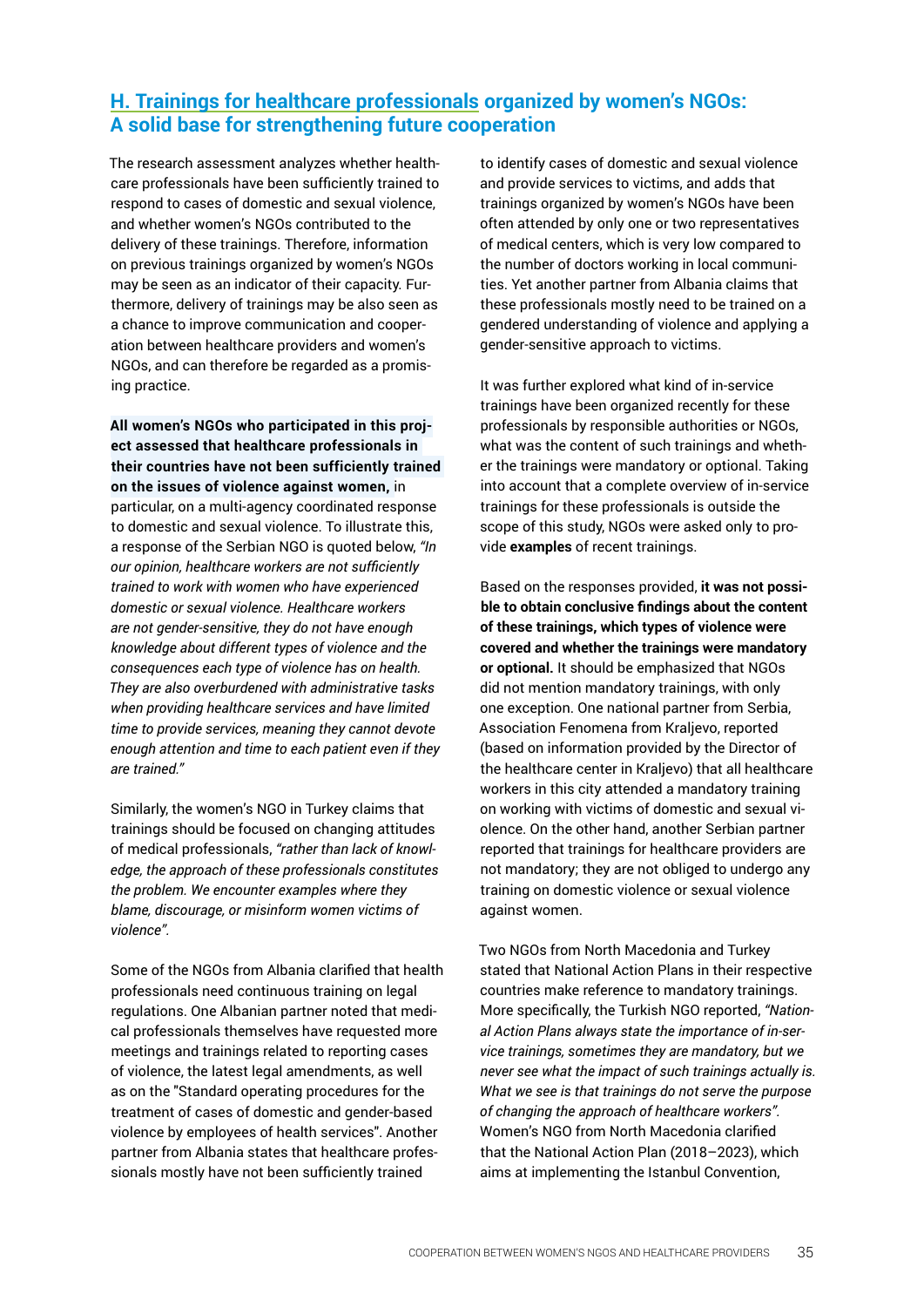# <span id="page-34-0"></span>**H. Trainings for healthcare professionals organized by women's NGOs: A solid base for strengthening future cooperation**

The research assessment analyzes whether healthcare professionals have been sufficiently trained to respond to cases of domestic and sexual violence, and whether women's NGOs contributed to the delivery of these trainings. Therefore, information on previous trainings organized by women's NGOs may be seen as an indicator of their capacity. Furthermore, delivery of trainings may be also seen as a chance to improve communication and cooperation between healthcare providers and women's NGOs, and can therefore be regarded as a promising practice.

**All women's NGOs who participated in this project assessed that healthcare professionals in their countries have not been sufficiently trained on the issues of violence against women,** in particular, on a multi-agency coordinated response to domestic and sexual violence. To illustrate this, a response of the Serbian NGO is quoted below, *"In our opinion, healthcare workers are not sufficiently trained to work with women who have experienced domestic or sexual violence. Healthcare workers are not gender-sensitive, they do not have enough knowledge about different types of violence and the consequences each type of violence has on health. They are also overburdened with administrative tasks when providing healthcare services and have limited time to provide services, meaning they cannot devote enough attention and time to each patient even if they are trained."*

Similarly, the women's NGO in Turkey claims that trainings should be focused on changing attitudes of medical professionals, *"rather than lack of knowledge, the approach of these professionals constitutes the problem. We encounter examples where they blame, discourage, or misinform women victims of violence".*

Some of the NGOs from Albania clarified that health professionals need continuous training on legal regulations. One Albanian partner noted that medical professionals themselves have requested more meetings and trainings related to reporting cases of violence, the latest legal amendments, as well as on the "Standard operating procedures for the treatment of cases of domestic and gender-based violence by employees of health services". Another partner from Albania states that healthcare professionals mostly have not been sufficiently trained

to identify cases of domestic and sexual violence and provide services to victims, and adds that trainings organized by women's NGOs have been often attended by only one or two representatives of medical centers, which is very low compared to the number of doctors working in local communities. Yet another partner from Albania claims that these professionals mostly need to be trained on a gendered understanding of violence and applying a gender-sensitive approach to victims.

It was further explored what kind of in-service trainings have been organized recently for these professionals by responsible authorities or NGOs, what was the content of such trainings and whether the trainings were mandatory or optional. Taking into account that a complete overview of in-service trainings for these professionals is outside the scope of this study, NGOs were asked only to provide **examples** of recent trainings.

Based on the responses provided, **it was not possible to obtain conclusive findings about the content of these trainings, which types of violence were covered and whether the trainings were mandatory or optional.** It should be emphasized that NGOs did not mention mandatory trainings, with only one exception. One national partner from Serbia, Association Fenomena from Kraljevo, reported (based on information provided by the Director of the healthcare center in Kraljevo) that all healthcare workers in this city attended a mandatory training on working with victims of domestic and sexual violence. On the other hand, another Serbian partner reported that trainings for healthcare providers are not mandatory; they are not obliged to undergo any training on domestic violence or sexual violence against women.

Two NGOs from North Macedonia and Turkey stated that National Action Plans in their respective countries make reference to mandatory trainings. More specifically, the Turkish NGO reported, *"National Action Plans always state the importance of in-service trainings, sometimes they are mandatory, but we never see what the impact of such trainings actually is. What we see is that trainings do not serve the purpose of changing the approach of healthcare workers".* Women's NGO from North Macedonia clarified that the National Action Plan (2018–2023), which aims at implementing the Istanbul Convention,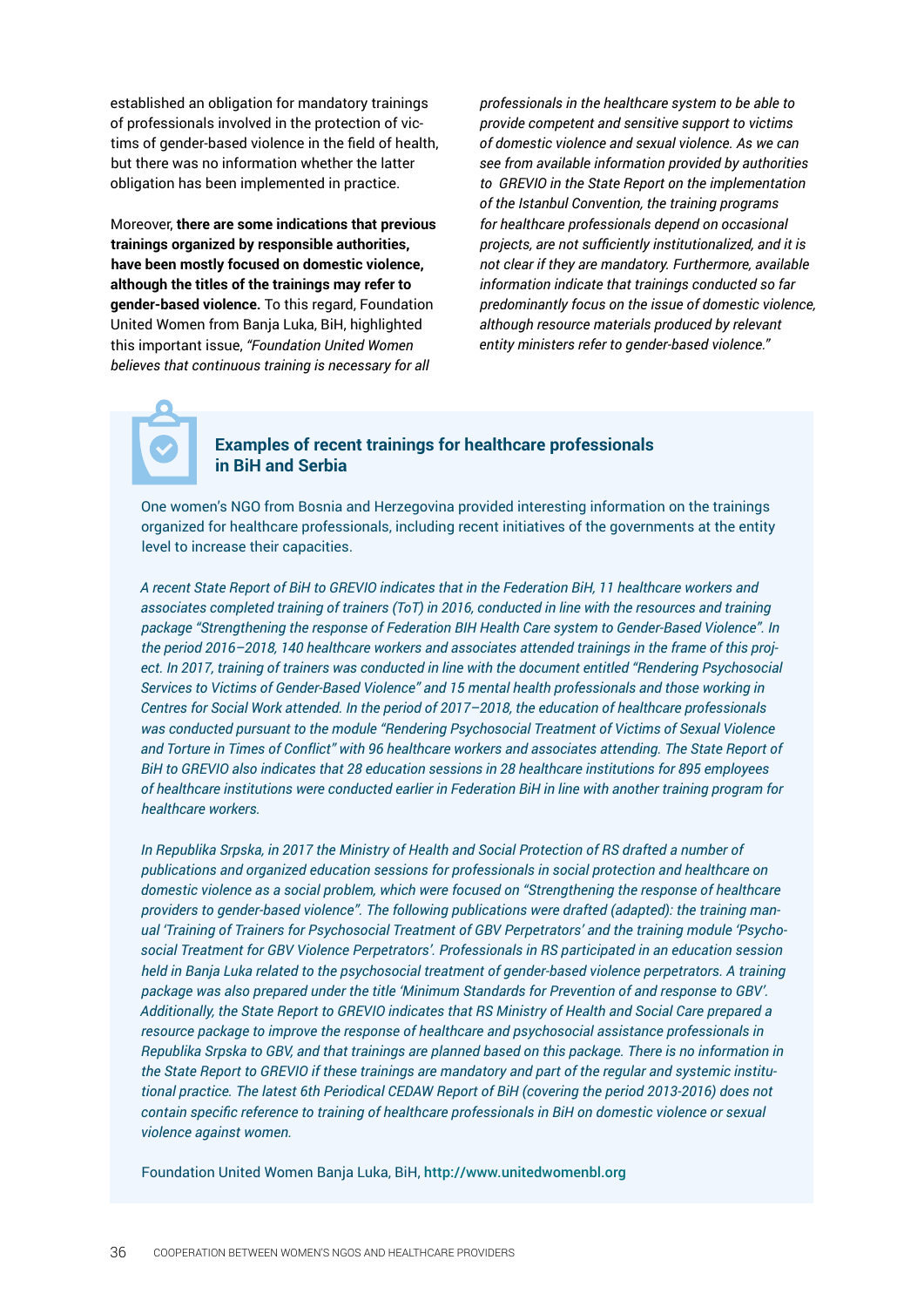established an obligation for mandatory trainings of professionals involved in the protection of victims of gender-based violence in the field of health, but there was no information whether the latter obligation has been implemented in practice.

Moreover, **there are some indications that previous trainings organized by responsible authorities, have been mostly focused on domestic violence, although the titles of the trainings may refer to gender-based violence.** To this regard, Foundation United Women from Banja Luka, BiH, highlighted this important issue, *"Foundation United Women believes that continuous training is necessary for all*

*professionals in the healthcare system to be able to provide competent and sensitive support to victims of domestic violence and sexual violence. As we can see from available information provided by authorities to GREVIO in the State Report on the implementation of the Istanbul Convention, the training programs for healthcare professionals depend on occasional projects, are not sufficiently institutionalized, and it is not clear if they are mandatory. Furthermore, available information indicate that trainings conducted so far predominantly focus on the issue of domestic violence, although resource materials produced by relevant entity ministers refer to gender-based violence."*

#### **Examples of recent trainings for healthcare professionals in BiH and Serbia**

One women's NGO from Bosnia and Herzegovina provided interesting information on the trainings organized for healthcare professionals, including recent initiatives of the governments at the entity level to increase their capacities.

*A recent State Report of BiH to GREVIO indicates that in the Federation BiH, 11 healthcare workers and associates completed training of trainers (ToT) in 2016, conducted in line with the resources and training package "Strengthening the response of Federation BIH Health Care system to Gender-Based Violence". In the period 2016–2018, 140 healthcare workers and associates attended trainings in the frame of this project. In 2017, training of trainers was conducted in line with the document entitled "Rendering Psychosocial Services to Victims of Gender-Based Violence" and 15 mental health professionals and those working in Centres for Social Work attended. In the period of 2017–2018, the education of healthcare professionals was conducted pursuant to the module "Rendering Psychosocial Treatment of Victims of Sexual Violence and Torture in Times of Conflict" with 96 healthcare workers and associates attending. The State Report of BiH to GREVIO also indicates that 28 education sessions in 28 healthcare institutions for 895 employees of healthcare institutions were conducted earlier in Federation BiH in line with another training program for healthcare workers.*

*In Republika Srpska, in 2017 the Ministry of Health and Social Protection of RS drafted a number of publications and organized education sessions for professionals in social protection and healthcare on domestic violence as a social problem, which were focused on "Strengthening the response of healthcare providers to gender-based violence". The following publications were drafted (adapted): the training manual 'Training of Trainers for Psychosocial Treatment of GBV Perpetrators' and the training module 'Psychosocial Treatment for GBV Violence Perpetrators'. Professionals in RS participated in an education session held in Banja Luka related to the psychosocial treatment of gender-based violence perpetrators. A training package was also prepared under the title 'Minimum Standards for Prevention of and response to GBV'. Additionally, the State Report to GREVIO indicates that RS Ministry of Health and Social Care prepared a resource package to improve the response of healthcare and psychosocial assistance professionals in Republika Srpska to GBV, and that trainings are planned based on this package. There is no information in the State Report to GREVIO if these trainings are mandatory and part of the regular and systemic institutional practice. The latest 6th Periodical CEDAW Report of BiH (covering the period 2013-2016) does not contain specific reference to training of healthcare professionals in BiH on domestic violence or sexual violence against women.*

Foundation United Women Banja Luka, BiH, <http://www.unitedwomenbl.org>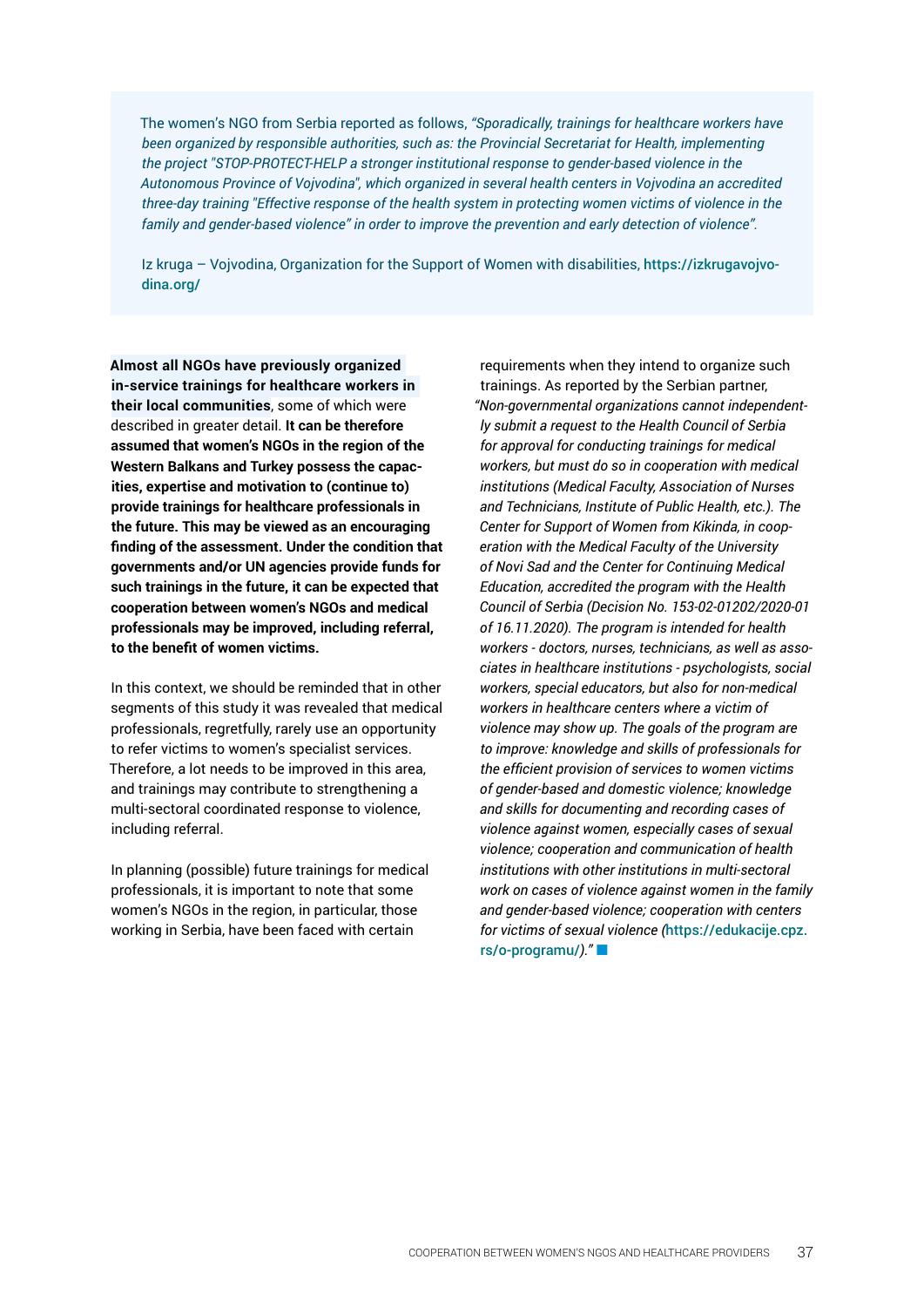The women's NGO from Serbia reported as follows, *"Sporadically, trainings for healthcare workers have been organized by responsible authorities, such as: the Provincial Secretariat for Health, implementing the project "STOP-PROTECT-HELP a stronger institutional response to gender-based violence in the Autonomous Province of Vojvodina", which organized in several health centers in Vojvodina an accredited three-day training "Effective response of the health system in protecting women victims of violence in the family and gender-based violence" in order to improve the prevention and early detection of violence".* 

Iz kruga – Vojvodina, Organization for the Support of Women with disabilities, [https://izkrugavojvo](https://izkrugavojvodina.org/)[dina.org/](https://izkrugavojvodina.org/) 

**Almost all NGOs have previously organized in-service trainings for healthcare workers in their local communities**, some of which were described in greater detail. **It can be therefore assumed that women's NGOs in the region of the Western Balkans and Turkey possess the capacities, expertise and motivation to (continue to) provide trainings for healthcare professionals in the future. This may be viewed as an encouraging finding of the assessment. Under the condition that governments and/or UN agencies provide funds for such trainings in the future, it can be expected that cooperation between women's NGOs and medical professionals may be improved, including referral, to the benefit of women victims.** 

In this context, we should be reminded that in other segments of this study it was revealed that medical professionals, regretfully, rarely use an opportunity to refer victims to women's specialist services. Therefore, a lot needs to be improved in this area, and trainings may contribute to strengthening a multi-sectoral coordinated response to violence, including referral.

In planning (possible) future trainings for medical professionals, it is important to note that some women's NGOs in the region, in particular, those working in Serbia, have been faced with certain

requirements when they intend to organize such trainings. As reported by the Serbian partner, *"Non-governmental organizations cannot independently submit a request to the Health Council of Serbia for approval for conducting trainings for medical workers, but must do so in cooperation with medical institutions (Medical Faculty, Association of Nurses and Technicians, Institute of Public Health, etc.). The Center for Support of Women from Kikinda, in cooperation with the Medical Faculty of the University of Novi Sad and the Center for Continuing Medical Education, accredited the program with the Health Council of Serbia (Decision No. 153-02-01202/2020-01 of 16.11.2020). The program is intended for health workers - doctors, nurses, technicians, as well as associates in healthcare institutions - psychologists, social workers, special educators, but also for non-medical workers in healthcare centers where a victim of violence may show up. The goals of the program are to improve: knowledge and skills of professionals for the efficient provision of services to women victims of gender-based and domestic violence; knowledge and skills for documenting and recording cases of violence against women, especially cases of sexual violence; cooperation and communication of health institutions with other institutions in multi-sectoral work on cases of violence against women in the family and gender-based violence; cooperation with centers for victims of sexual violence (*[https://edukacije.cpz.](https://edukacije.cpz.rs/o-programu/) [rs/o-programu/](https://edukacije.cpz.rs/o-programu/)*)."*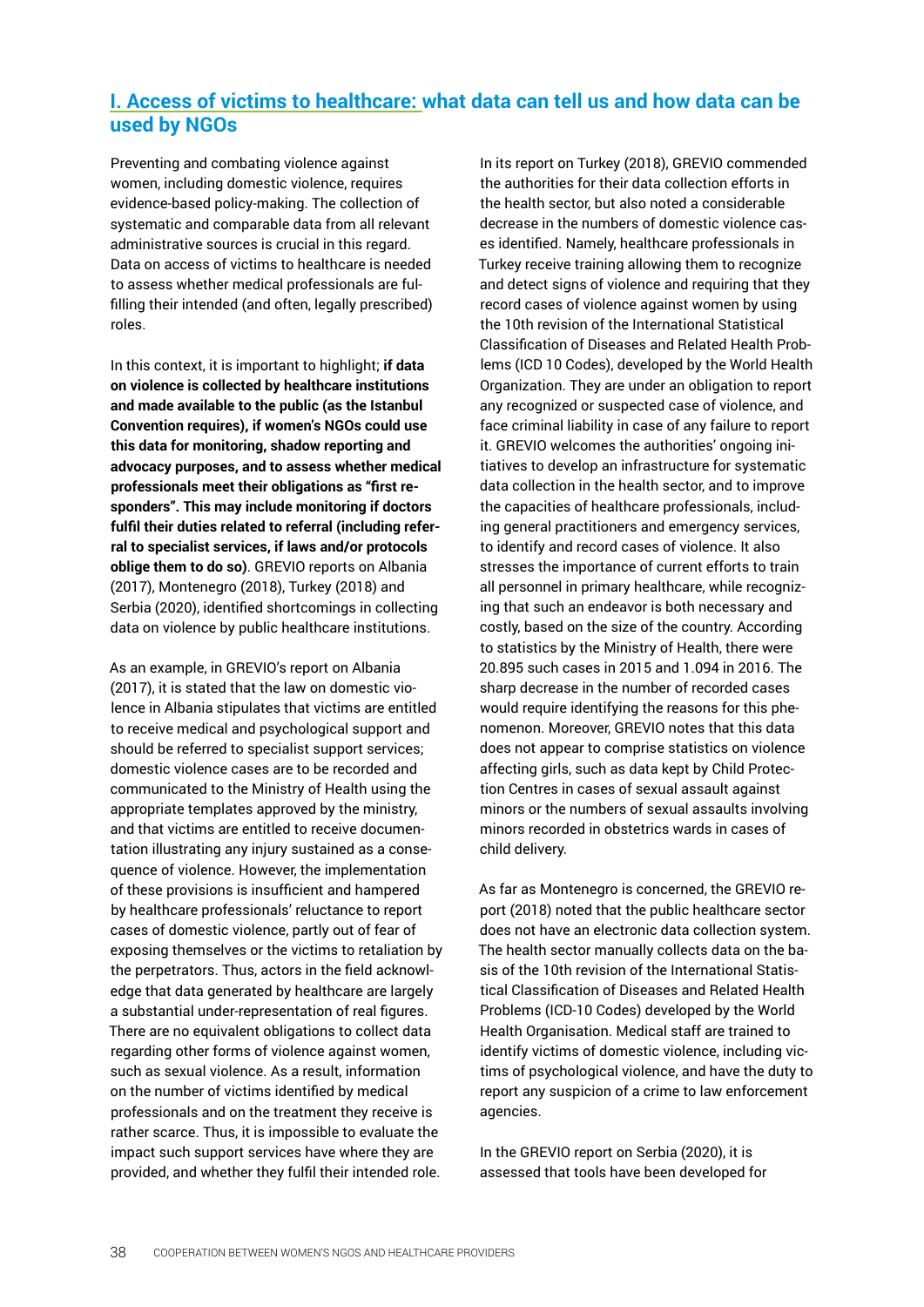### <span id="page-37-0"></span>**I. Access of victims to healthcare: what data can tell us and how data can be used by NGOs**

Preventing and combating violence against women, including domestic violence, requires evidence-based policy-making. The collection of systematic and comparable data from all relevant administrative sources is crucial in this regard. Data on access of victims to healthcare is needed to assess whether medical professionals are fulfilling their intended (and often, legally prescribed) roles.

In this context, it is important to highlight; **if data on violence is collected by healthcare institutions and made available to the public (as the Istanbul Convention requires), if women's NGOs could use this data for monitoring, shadow reporting and advocacy purposes, and to assess whether medical professionals meet their obligations as "first responders". This may include monitoring if doctors fulfil their duties related to referral (including referral to specialist services, if laws and/or protocols oblige them to do so)**. GREVIO reports on Albania (2017), Montenegro (2018), Turkey (2018) and Serbia (2020), identified shortcomings in collecting data on violence by public healthcare institutions.

As an example, in GREVIO's report on Albania (2017), it is stated that the law on domestic violence in Albania stipulates that victims are entitled to receive medical and psychological support and should be referred to specialist support services; domestic violence cases are to be recorded and communicated to the Ministry of Health using the appropriate templates approved by the ministry, and that victims are entitled to receive documentation illustrating any injury sustained as a consequence of violence. However, the implementation of these provisions is insufficient and hampered by healthcare professionals' reluctance to report cases of domestic violence, partly out of fear of exposing themselves or the victims to retaliation by the perpetrators. Thus, actors in the field acknowledge that data generated by healthcare are largely a substantial under-representation of real figures. There are no equivalent obligations to collect data regarding other forms of violence against women, such as sexual violence. As a result, information on the number of victims identified by medical professionals and on the treatment they receive is rather scarce. Thus, it is impossible to evaluate the impact such support services have where they are provided, and whether they fulfil their intended role.

In its report on Turkey (2018), GREVIO commended the authorities for their data collection efforts in the health sector, but also noted a considerable decrease in the numbers of domestic violence cases identified. Namely, healthcare professionals in Turkey receive training allowing them to recognize and detect signs of violence and requiring that they record cases of violence against women by using the 10th revision of the International Statistical Classification of Diseases and Related Health Problems (ICD 10 Codes), developed by the World Health Organization. They are under an obligation to report any recognized or suspected case of violence, and face criminal liability in case of any failure to report it. GREVIO welcomes the authorities' ongoing initiatives to develop an infrastructure for systematic data collection in the health sector, and to improve the capacities of healthcare professionals, including general practitioners and emergency services, to identify and record cases of violence. It also stresses the importance of current efforts to train all personnel in primary healthcare, while recognizing that such an endeavor is both necessary and costly, based on the size of the country. According to statistics by the Ministry of Health, there were 20.895 such cases in 2015 and 1.094 in 2016. The sharp decrease in the number of recorded cases would require identifying the reasons for this phenomenon. Moreover, GREVIO notes that this data does not appear to comprise statistics on violence affecting girls, such as data kept by Child Protection Centres in cases of sexual assault against minors or the numbers of sexual assaults involving minors recorded in obstetrics wards in cases of child delivery.

As far as Montenegro is concerned, the GREVIO report (2018) noted that the public healthcare sector does not have an electronic data collection system. The health sector manually collects data on the basis of the 10th revision of the International Statistical Classification of Diseases and Related Health Problems (ICD-10 Codes) developed by the World Health Organisation. Medical staff are trained to identify victims of domestic violence, including victims of psychological violence, and have the duty to report any suspicion of a crime to law enforcement agencies.

In the GREVIO report on Serbia (2020), it is assessed that tools have been developed for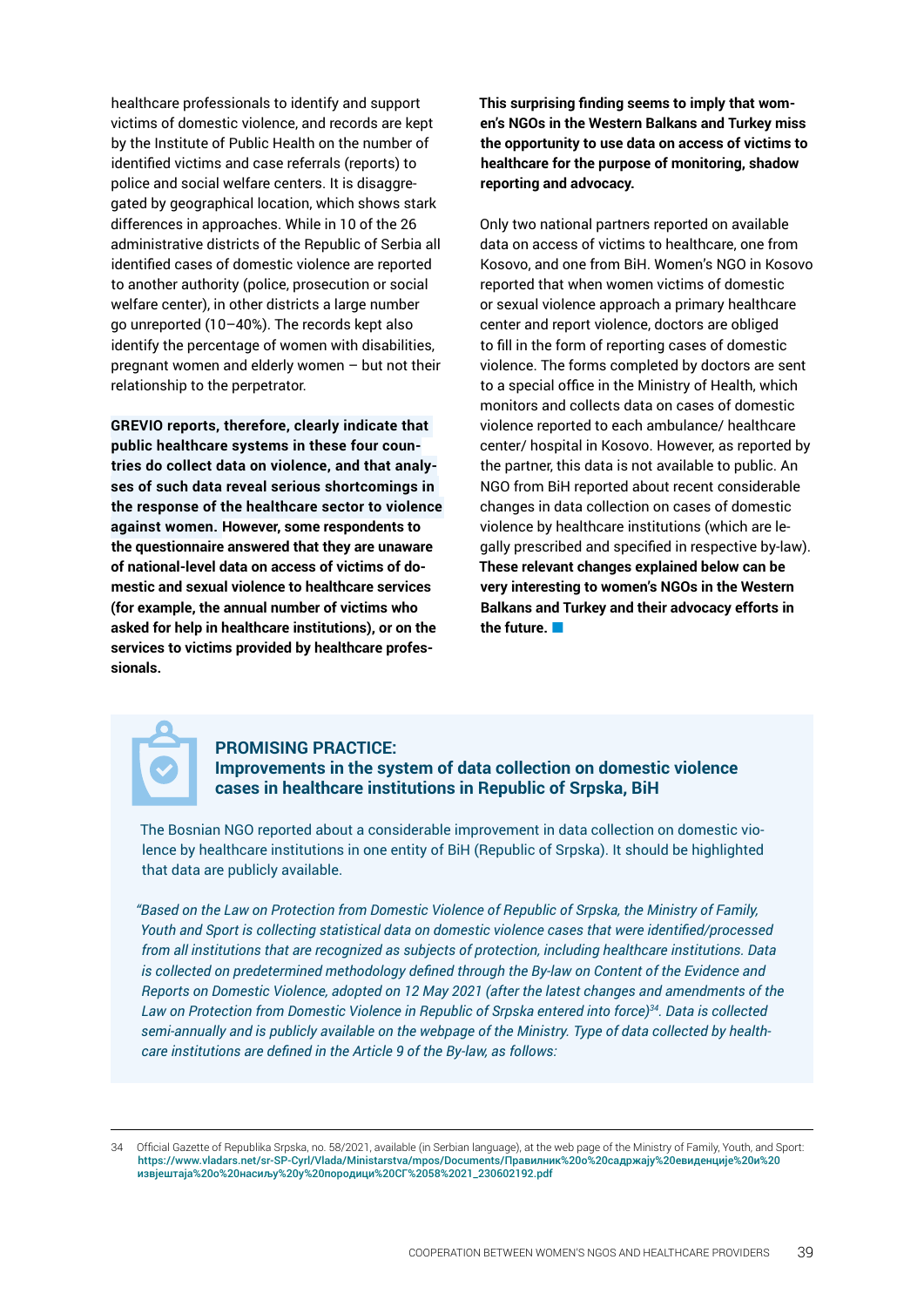healthcare professionals to identify and support victims of domestic violence, and records are kept by the Institute of Public Health on the number of identified victims and case referrals (reports) to police and social welfare centers. It is disaggregated by geographical location, which shows stark differences in approaches. While in 10 of the 26 administrative districts of the Republic of Serbia all identified cases of domestic violence are reported to another authority (police, prosecution or social welfare center), in other districts a large number go unreported (10–40%). The records kept also identify the percentage of women with disabilities, pregnant women and elderly women – but not their relationship to the perpetrator.

**GREVIO reports, therefore, clearly indicate that public healthcare systems in these four countries do collect data on violence, and that analyses of such data reveal serious shortcomings in the response of the healthcare sector to violence against women. However, some respondents to the questionnaire answered that they are unaware of national-level data on access of victims of domestic and sexual violence to healthcare services (for example, the annual number of victims who asked for help in healthcare institutions), or on the services to victims provided by healthcare professionals.**

**This surprising finding seems to imply that women's NGOs in the Western Balkans and Turkey miss the opportunity to use data on access of victims to healthcare for the purpose of monitoring, shadow reporting and advocacy.** 

Only two national partners reported on available data on access of victims to healthcare, one from Kosovo, and one from BiH. Women's NGO in Kosovo reported that when women victims of domestic or sexual violence approach a primary healthcare center and report violence, doctors are obliged to fill in the form of reporting cases of domestic violence. The forms completed by doctors are sent to a special office in the Ministry of Health, which monitors and collects data on cases of domestic violence reported to each ambulance/ healthcare center/ hospital in Kosovo. However, as reported by the partner, this data is not available to public. An NGO from BiH reported about recent considerable changes in data collection on cases of domestic violence by healthcare institutions (which are legally prescribed and specified in respective by-law). **These relevant changes explained below can be very interesting to women's NGOs in the Western Balkans and Turkey and their advocacy efforts in the future.**



#### **PROMISING PRACTICE: Improvements in the system of data collection on domestic violence cases in healthcare institutions in Republic of Srpska, BiH**

The Bosnian NGO reported about a considerable improvement in data collection on domestic violence by healthcare institutions in one entity of BiH (Republic of Srpska). It should be highlighted that data are publicly available.

*"Based on the Law on Protection from Domestic Violence of Republic of Srpska, the Ministry of Family, Youth and Sport is collecting statistical data on domestic violence cases that were identified/processed from all institutions that are recognized as subjects of protection, including healthcare institutions. Data is collected on predetermined methodology defined through the By-law on Content of the Evidence and Reports on Domestic Violence, adopted on 12 May 2021 (after the latest changes and amendments of the Law on Protection from Domestic Violence in Republic of Srpska entered into force)34. Data is collected semi-annually and is publicly available on the webpage of the Ministry. Type of data collected by healthcare institutions are defined in the Article 9 of the By-law, as follows:* 

34 Official Gazette of Republika Srpska, no. 58/2021, available (in Serbian language), at the web page of the Ministry of Family, Youth, and Sport[:](https://www.vladars.net/sr-SP-Cyrl/Vlada/Ministarstva/mpos/Documents/Правилник%20о%20садржају%20евиденције%20и%20извјештаја%20о%20насиљу%20у%20породици%20СГ%2058%2021_230602192.pdf) [https://www.vladars.net/sr-SP-Cyrl/Vlada/Ministarstva/mpos/Documents/Правилник%20о%20садржају%20евиденције%20и%20](https://www.vladars.net/sr-SP-Cyrl/Vlada/Ministarstva/mpos/Documents/Правилник%20о%20садржају%20евиденције%20и%20извјештаја%20о%20насиљу%20у%20породици%20СГ%2058%2021_230602192.pdf) [извјештаја%20о%20насиљу%20у%20породици%20СГ%2058%2021\\_230602192.pdf](https://www.vladars.net/sr-SP-Cyrl/Vlada/Ministarstva/mpos/Documents/Правилник%20о%20садржају%20евиденције%20и%20извјештаја%20о%20насиљу%20у%20породици%20СГ%2058%2021_230602192.pdf)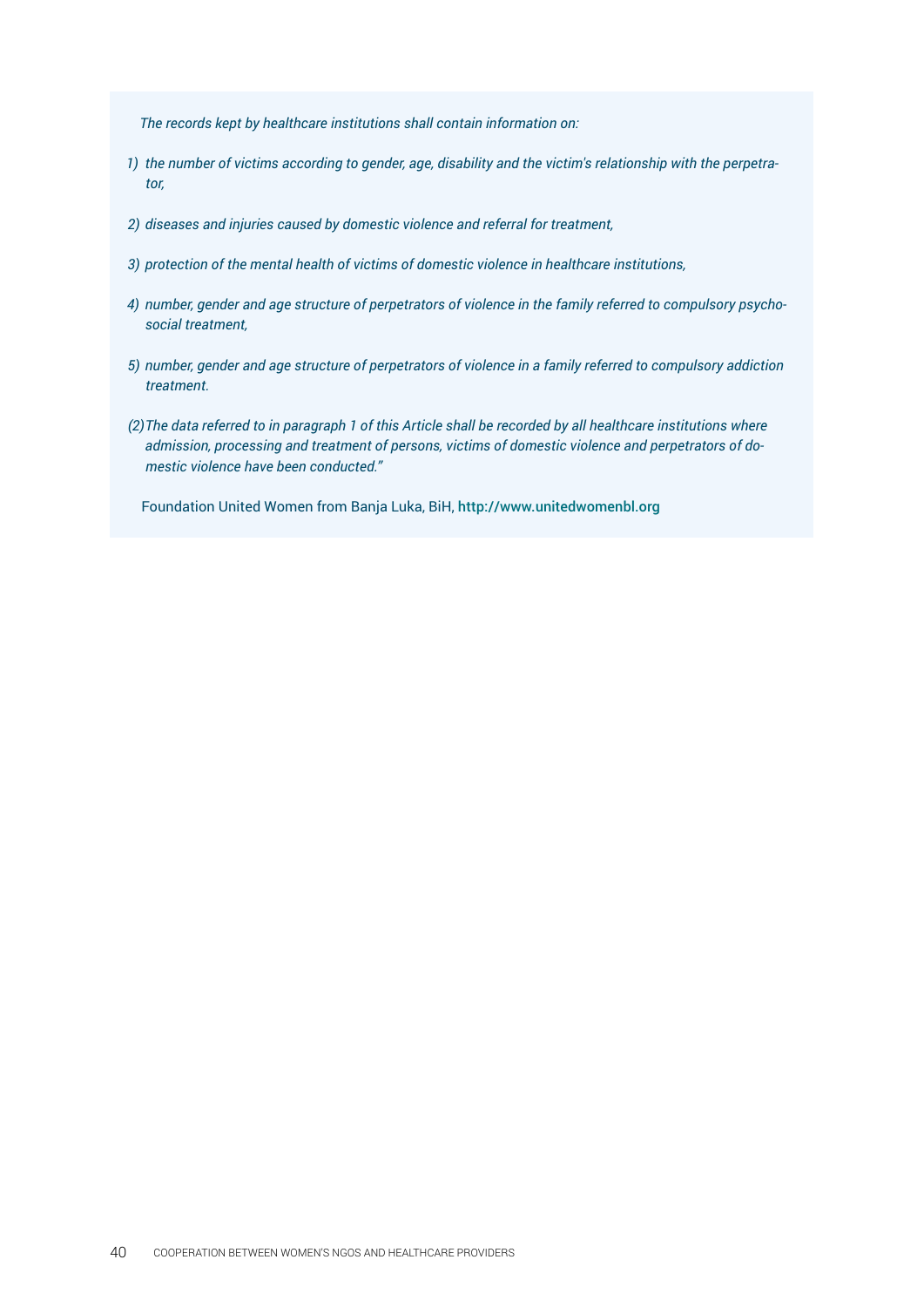*The records kept by healthcare institutions shall contain information on:* 

- *1) the number of victims according to gender, age, disability and the victim's relationship with the perpetrator,*
- *2) diseases and injuries caused by domestic violence and referral for treatment,*
- *3) protection of the mental health of victims of domestic violence in healthcare institutions,*
- *4) number, gender and age structure of perpetrators of violence in the family referred to compulsory psychosocial treatment,*
- *5) number, gender and age structure of perpetrators of violence in a family referred to compulsory addiction treatment.*
- *(2)The data referred to in paragraph 1 of this Article shall be recorded by all healthcare institutions where admission, processing and treatment of persons, victims of domestic violence and perpetrators of domestic violence have been conducted."*

Foundation United Women from Banja Luka, BiH, <http://www.unitedwomenbl.org>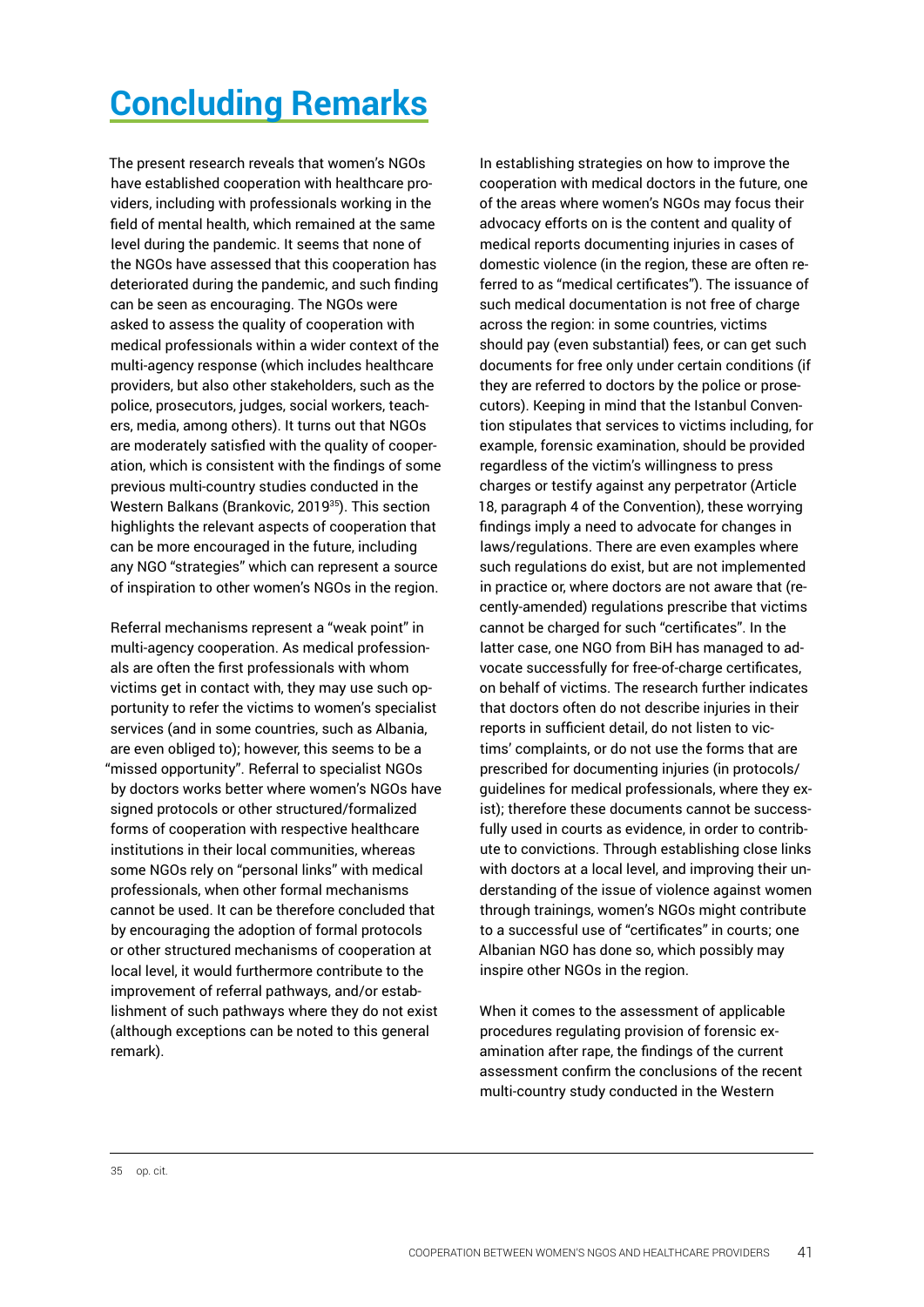# <span id="page-40-0"></span>**Concluding Remarks**

The present research reveals that women's NGOs have established cooperation with healthcare providers, including with professionals working in the field of mental health, which remained at the same level during the pandemic. It seems that none of the NGOs have assessed that this cooperation has deteriorated during the pandemic, and such finding can be seen as encouraging. The NGOs were asked to assess the quality of cooperation with medical professionals within a wider context of the multi-agency response (which includes healthcare providers, but also other stakeholders, such as the police, prosecutors, judges, social workers, teachers, media, among others). It turns out that NGOs are moderately satisfied with the quality of cooperation, which is consistent with the findings of some previous multi-country studies conducted in the Western Balkans (Brankovic, 2019<sup>35</sup>). This section highlights the relevant aspects of cooperation that can be more encouraged in the future, including any NGO "strategies" which can represent a source of inspiration to other women's NGOs in the region.

Referral mechanisms represent a "weak point" in multi-agency cooperation. As medical professionals are often the first professionals with whom victims get in contact with, they may use such opportunity to refer the victims to women's specialist services (and in some countries, such as Albania, are even obliged to); however, this seems to be a "missed opportunity". Referral to specialist NGOs by doctors works better where women's NGOs have signed protocols or other structured/formalized forms of cooperation with respective healthcare institutions in their local communities, whereas some NGOs rely on "personal links" with medical professionals, when other formal mechanisms cannot be used. It can be therefore concluded that by encouraging the adoption of formal protocols or other structured mechanisms of cooperation at local level, it would furthermore contribute to the improvement of referral pathways, and/or establishment of such pathways where they do not exist (although exceptions can be noted to this general remark).

In establishing strategies on how to improve the cooperation with medical doctors in the future, one of the areas where women's NGOs may focus their advocacy efforts on is the content and quality of medical reports documenting injuries in cases of domestic violence (in the region, these are often referred to as "medical certificates"). The issuance of such medical documentation is not free of charge across the region: in some countries, victims should pay (even substantial) fees, or can get such documents for free only under certain conditions (if they are referred to doctors by the police or prosecutors). Keeping in mind that the Istanbul Convention stipulates that services to victims including, for example, forensic examination, should be provided regardless of the victim's willingness to press charges or testify against any perpetrator (Article 18, paragraph 4 of the Convention), these worrying findings imply a need to advocate for changes in laws/regulations. There are even examples where such regulations do exist, but are not implemented in practice or, where doctors are not aware that (recently-amended) regulations prescribe that victims cannot be charged for such "certificates". In the latter case, one NGO from BiH has managed to advocate successfully for free-of-charge certificates, on behalf of victims. The research further indicates that doctors often do not describe injuries in their reports in sufficient detail, do not listen to victims' complaints, or do not use the forms that are prescribed for documenting injuries (in protocols/ guidelines for medical professionals, where they exist); therefore these documents cannot be successfully used in courts as evidence, in order to contribute to convictions. Through establishing close links with doctors at a local level, and improving their understanding of the issue of violence against women through trainings, women's NGOs might contribute to a successful use of "certificates" in courts; one Albanian NGO has done so, which possibly may inspire other NGOs in the region.

When it comes to the assessment of applicable procedures regulating provision of forensic examination after rape, the findings of the current assessment confirm the conclusions of the recent multi-country study conducted in the Western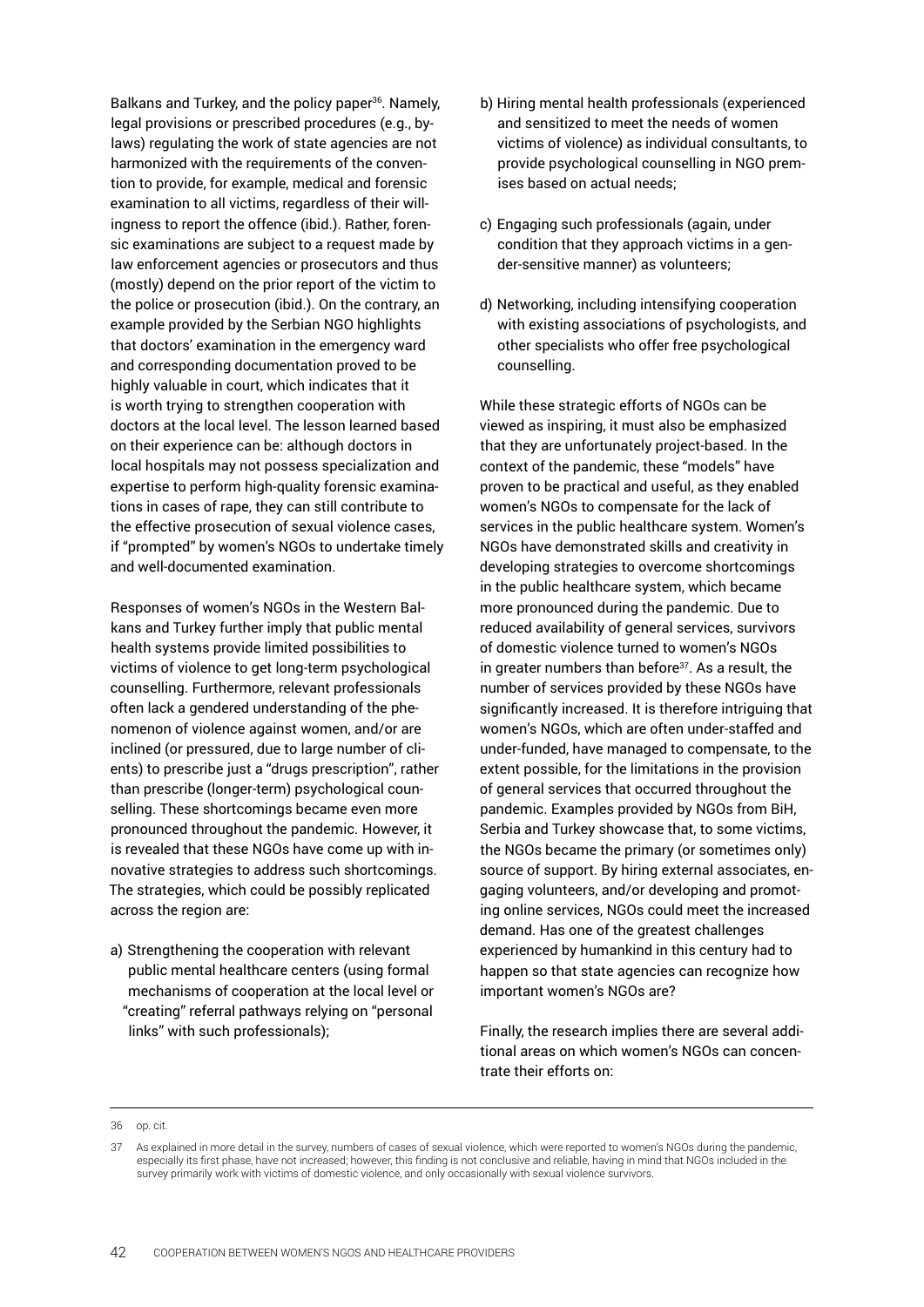Balkans and Turkey, and the policy paper<sup>36</sup>. Namely, legal provisions or prescribed procedures (e.g., bylaws) regulating the work of state agencies are not harmonized with the requirements of the convention to provide, for example, medical and forensic examination to all victims, regardless of their willingness to report the offence (ibid.). Rather, forensic examinations are subject to a request made by law enforcement agencies or prosecutors and thus (mostly) depend on the prior report of the victim to the police or prosecution (ibid.). On the contrary, an example provided by the Serbian NGO highlights that doctors' examination in the emergency ward and corresponding documentation proved to be highly valuable in court, which indicates that it is worth trying to strengthen cooperation with doctors at the local level. The lesson learned based on their experience can be: although doctors in local hospitals may not possess specialization and expertise to perform high-quality forensic examinations in cases of rape, they can still contribute to the effective prosecution of sexual violence cases, if "prompted" by women's NGOs to undertake timely and well-documented examination.

Responses of women's NGOs in the Western Balkans and Turkey further imply that public mental health systems provide limited possibilities to victims of violence to get long-term psychological counselling. Furthermore, relevant professionals often lack a gendered understanding of the phenomenon of violence against women, and/or are inclined (or pressured, due to large number of clients) to prescribe just a "drugs prescription", rather than prescribe (longer-term) psychological counselling. These shortcomings became even more pronounced throughout the pandemic. However, it is revealed that these NGOs have come up with innovative strategies to address such shortcomings. The strategies, which could be possibly replicated across the region are:

a) Strengthening the cooperation with relevant public mental healthcare centers (using formal mechanisms of cooperation at the local level or "creating" referral pathways relying on "personal links" with such professionals);

- b) Hiring mental health professionals (experienced and sensitized to meet the needs of women victims of violence) as individual consultants, to provide psychological counselling in NGO premises based on actual needs;
- c) Engaging such professionals (again, under condition that they approach victims in a gender-sensitive manner) as volunteers;
- d) Networking, including intensifying cooperation with existing associations of psychologists, and other specialists who offer free psychological counselling.

While these strategic efforts of NGOs can be viewed as inspiring, it must also be emphasized that they are unfortunately project-based. In the context of the pandemic, these "models" have proven to be practical and useful, as they enabled women's NGOs to compensate for the lack of services in the public healthcare system. Women's NGOs have demonstrated skills and creativity in developing strategies to overcome shortcomings in the public healthcare system, which became more pronounced during the pandemic. Due to reduced availability of general services, survivors of domestic violence turned to women's NGOs in greater numbers than before $37$ . As a result, the number of services provided by these NGOs have significantly increased. It is therefore intriguing that women's NGOs, which are often under-staffed and under-funded, have managed to compensate, to the extent possible, for the limitations in the provision of general services that occurred throughout the pandemic. Examples provided by NGOs from BiH, Serbia and Turkey showcase that, to some victims, the NGOs became the primary (or sometimes only) source of support. By hiring external associates, engaging volunteers, and/or developing and promoting online services, NGOs could meet the increased demand. Has one of the greatest challenges experienced by humankind in this century had to happen so that state agencies can recognize how important women's NGOs are?

Finally, the research implies there are several additional areas on which women's NGOs can concentrate their efforts on:

<sup>36</sup> op. cit.

<sup>37</sup> As explained in more detail in the survey, numbers of cases of sexual violence, which were reported to women's NGOs during the pandemic, especially its first phase, have not increased; however, this finding is not conclusive and reliable, having in mind that NGOs included in the survey primarily work with victims of domestic violence, and only occasionally with sexual violence survivors.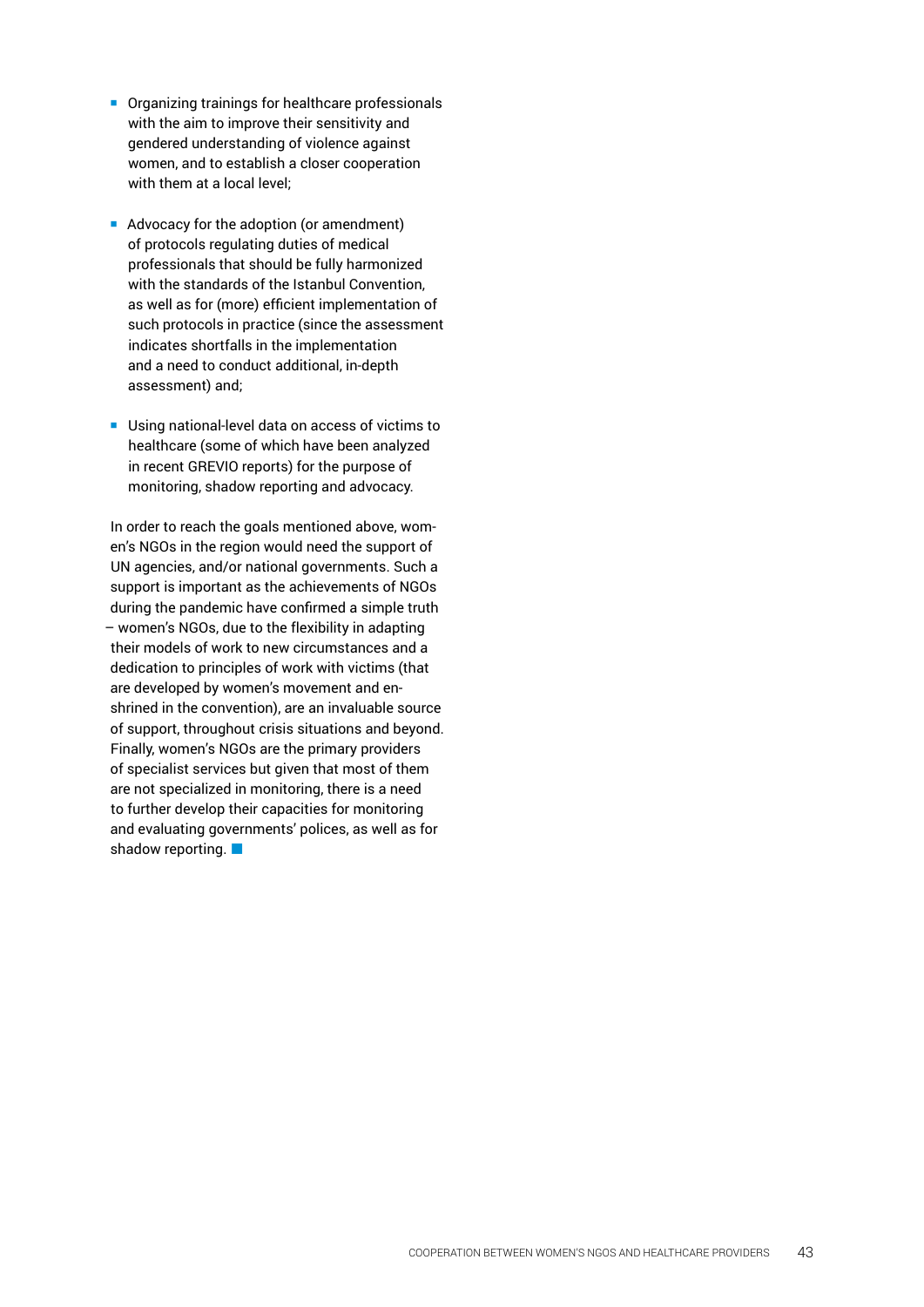- Organizing trainings for healthcare professionals with the aim to improve their sensitivity and gendered understanding of violence against women, and to establish a closer cooperation with them at a local level:
- Advocacy for the adoption (or amendment) of protocols regulating duties of medical professionals that should be fully harmonized with the standards of the Istanbul Convention, as well as for (more) efficient implementation of such protocols in practice (since the assessment indicates shortfalls in the implementation and a need to conduct additional, in-depth assessment) and;
- **Using national-level data on access of victims to** healthcare (some of which have been analyzed in recent GREVIO reports) for the purpose of monitoring, shadow reporting and advocacy.

In order to reach the goals mentioned above, women's NGOs in the region would need the support of UN agencies, and/or national governments. Such a support is important as the achievements of NGOs during the pandemic have confirmed a simple truth – women's NGOs, due to the flexibility in adapting their models of work to new circumstances and a dedication to principles of work with victims (that are developed by women's movement and enshrined in the convention), are an invaluable source of support, throughout crisis situations and beyond. Finally, women's NGOs are the primary providers of specialist services but given that most of them are not specialized in monitoring, there is a need to further develop their capacities for monitoring and evaluating governments' polices, as well as for shadow reporting.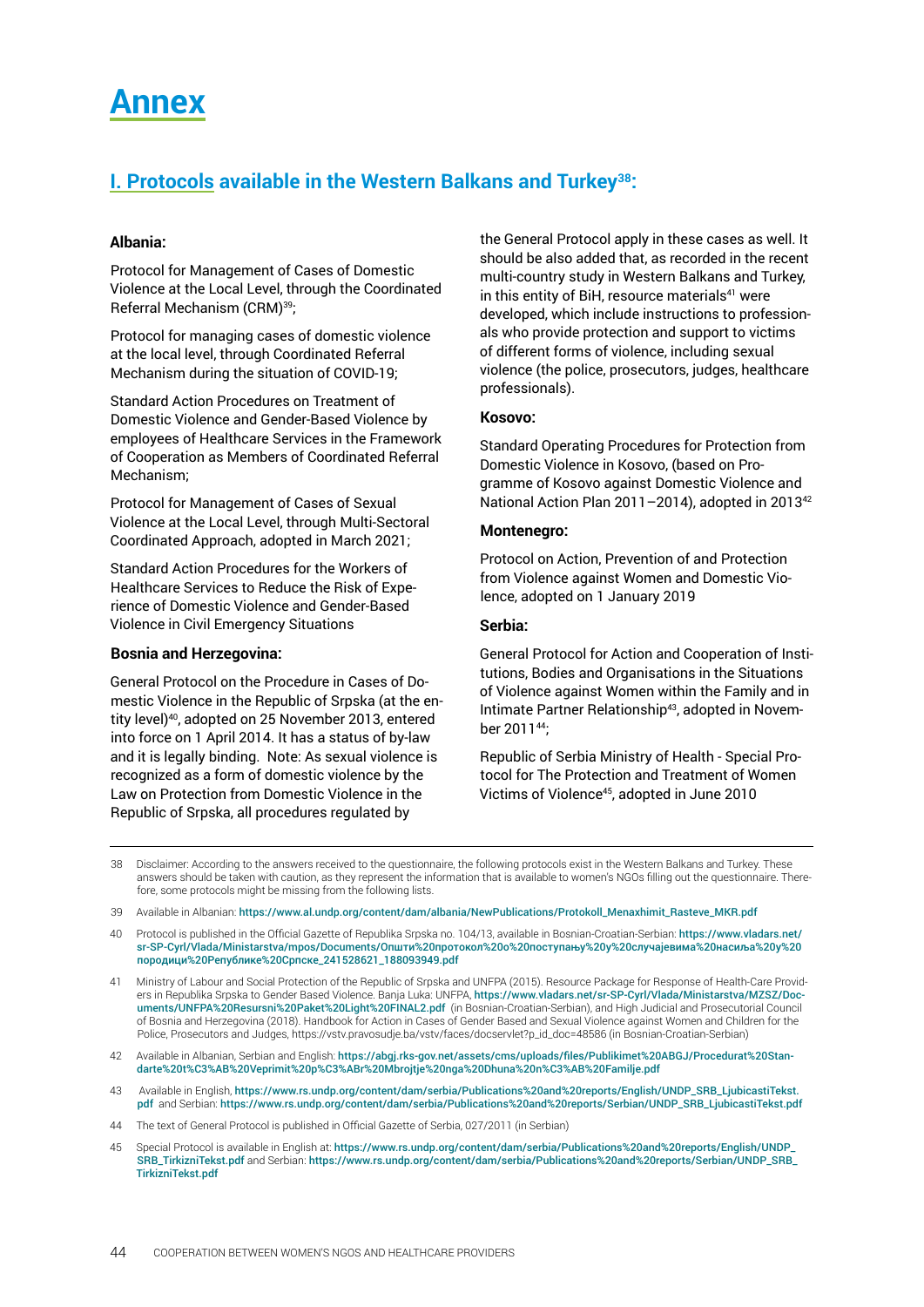# <span id="page-43-0"></span>**Annex**

# **I. Protocols available in the Western Balkans and Turkey38:**

#### **Albania:**

Protocol for Management of Cases of Domestic Violence at the Local Level, through the Coordinated Referral Mechanism (CRM)39;

Protocol for managing cases of domestic violence at the local level, through Coordinated Referral Mechanism during the situation of COVID-19;

Standard Action Procedures on Treatment of Domestic Violence and Gender-Based Violence by employees of Healthcare Services in the Framework of Cooperation as Members of Coordinated Referral Mechanism;

Protocol for Management of Cases of Sexual Violence at the Local Level, through Multi-Sectoral Coordinated Approach, adopted in March 2021;

Standard Action Procedures for the Workers of Healthcare Services to Reduce the Risk of Experience of Domestic Violence and Gender-Based Violence in Civil Emergency Situations

#### **Bosnia and Herzegovina:**

General Protocol on the Procedure in Cases of Domestic Violence in the Republic of Srpska (at the entity level)<sup>40</sup>, adopted on 25 November 2013, entered into force on 1 April 2014. It has a status of by-law and it is legally binding. Note: As sexual violence is recognized as a form of domestic violence by the Law on Protection from Domestic Violence in the Republic of Srpska, all procedures regulated by

the General Protocol apply in these cases as well. It should be also added that, as recorded in the recent multi-country study in Western Balkans and Turkey, in this entity of BiH, resource materials<sup>41</sup> were developed, which include instructions to professionals who provide protection and support to victims of different forms of violence, including sexual violence (the police, prosecutors, judges, healthcare professionals).

#### **Kosovo:**

Standard Operating Procedures for Protection from Domestic Violence in Kosovo, (based on Programme of Kosovo against Domestic Violence and National Action Plan 2011–2014), adopted in 2013<sup>42</sup>

#### **Montenegro:**

Protocol on Action, Prevention of and Protection from Violence against Women and Domestic Violence, adopted on 1 January 2019

#### **Serbia:**

General Protocol for Action and Cooperation of Institutions, Bodies and Organisations in the Situations of Violence against Women within the Family and in Intimate Partner Relationship<sup>43</sup>, adopted in November 201144;

Republic of Serbia Ministry of Health - Special Protocol for The Protection and Treatment of Women Victims of Violence45, adopted in June 2010

- 38 Disclaimer: According to the answers received to the questionnaire, the following protocols exist in the Western Balkans and Turkey. These answers should be taken with caution, as they represent the information that is available to women's NGOs filling out the questionnaire. Therefore, some protocols might be missing from the following lists.
- 39 Available in Albanian: https://www.al.undp.org/content/dam/albania/NewPublications/Protokoll\_Menaxhimit\_Rasteve\_MKR.pdf
- 40 Protocol is published in the Official Gazette of Republika Srpska no. 104/13, available in Bosnian-Croatian-Serbian: [https://www.vladars.net/](https://www.vladars.net/sr-SP-Cyrl/Vlada/Ministarstva/mpos/Documents/Општи%20протокол%20о%20поступању%20у%20случајевима%20насиља%20у%20породици%20Републике%20Српске_241528621_188093949.pdf) [sr-SP-Cyrl/Vlada/Ministarstva/mpos/Documents/Општи%20протокол%20о%20поступању%20у%20случајевима%20насиља%20у%20](https://www.vladars.net/sr-SP-Cyrl/Vlada/Ministarstva/mpos/Documents/Општи%20протокол%20о%20поступању%20у%20случајевима%20насиља%20у%20породици%20Републике%20Српске_241528621_188093949.pdf) [породици%20Републике%20Српске\\_241528621\\_188093949.pdf](https://www.vladars.net/sr-SP-Cyrl/Vlada/Ministarstva/mpos/Documents/Општи%20протокол%20о%20поступању%20у%20случајевима%20насиља%20у%20породици%20Републике%20Српске_241528621_188093949.pdf)

42 Available in Albanian, Serbian and English: [https://abgj.rks-gov.net/assets/cms/uploads/files/Publikimet%20ABGJ/Procedurat%20Stan](https://abgj.rks-gov.net/assets/cms/uploads/files/Publikimet%20ABGJ/Procedurat%20Standarte%20t%C3%AB%20Veprimit%20p%C3%ABr%20Mbrojtje%20nga%20Dhuna%20n%C3%AB%20Familje.pdf)[darte%20t%C3%AB%20Veprimit%20p%C3%ABr%20Mbrojtje%20nga%20Dhuna%20n%C3%AB%20Familje.pdf](https://abgj.rks-gov.net/assets/cms/uploads/files/Publikimet%20ABGJ/Procedurat%20Standarte%20t%C3%AB%20Veprimit%20p%C3%ABr%20Mbrojtje%20nga%20Dhuna%20n%C3%AB%20Familje.pdf)

- 43 Available in English, [https://www.rs.undp.org/content/dam/serbia/Publications%20and%20reports/English/UNDP\\_SRB\\_LjubicastiTekst.](https://www.rs.undp.org/content/dam/serbia/Publications%20and%20reports/English/UNDP_SRB_LjubicastiTekst.pdf) [pdf](https://www.rs.undp.org/content/dam/serbia/Publications%20and%20reports/English/UNDP_SRB_LjubicastiTekst.pdf) and Serbian: [https://www.rs.undp.org/content/dam/serbia/Publications%20and%20reports/Serbian/UNDP\\_SRB\\_LjubicastiTekst.pdf](https://www.rs.undp.org/content/dam/serbia/Publications%20and%20reports/Serbian/UNDP_SRB_LjubicastiTekst.pdf)
- 44 The text of General Protocol is published in Official Gazette of Serbia, 027/2011 (in Serbian)
- 45 Special Protocol is available in English at: [https://www.rs.undp.org/content/dam/serbia/Publications%20and%20reports/English/UNDP\\_](https://www.rs.undp.org/content/dam/serbia/Publications%20and%20reports/English/UNDP_SRB_TirkizniTekst.pdf) [SRB\\_TirkizniTekst.pdf](https://www.rs.undp.org/content/dam/serbia/Publications%20and%20reports/English/UNDP_SRB_TirkizniTekst.pdf) and Serbian: [https://www.rs.undp.org/content/dam/serbia/Publications%20and%20reports/Serbian/UNDP\\_SRB\\_](https://www.rs.undp.org/content/dam/serbia/Publications%20and%20reports/Serbian/UNDP_SRB_TirkizniTekst.pdf) [TirkizniTekst.pdf](https://www.rs.undp.org/content/dam/serbia/Publications%20and%20reports/Serbian/UNDP_SRB_TirkizniTekst.pdf)

<sup>41</sup> Ministry of Labour and Social Protection of the Republic of Srpska and UNFPA (2015). Resource Package for Response of Health-Care Providers in Republika Srpska to Gender Based Violence. Banja Luka: UNFPA, [https://www.vladars.net/sr-SP-Cyrl/Vlada/Ministarstva/MZSZ/Doc](https://www.vladars.net/sr-SP-Cyrl/Vlada/Ministarstva/MZSZ/Documents/UNFPA%20Resursni%20Paket%20Light%20FINAL2.pdf)[uments/UNFPA%20Resursni%20Paket%20Light%20FINAL2.pdf](https://www.vladars.net/sr-SP-Cyrl/Vlada/Ministarstva/MZSZ/Documents/UNFPA%20Resursni%20Paket%20Light%20FINAL2.pdf) (in Bosnian-Croatian-Serbian), and High Judicial and Prosecutorial Council of Bosnia and Herzegovina (2018). Handbook for Action in Cases of Gender Based and Sexual Violence against Women and Children for the Police, Prosecutors and Judges, https://vstv.pravosudje.ba/vstv/faces/docservlet?p\_id\_doc=48586 (in Bosnian-Croatian-Serbian)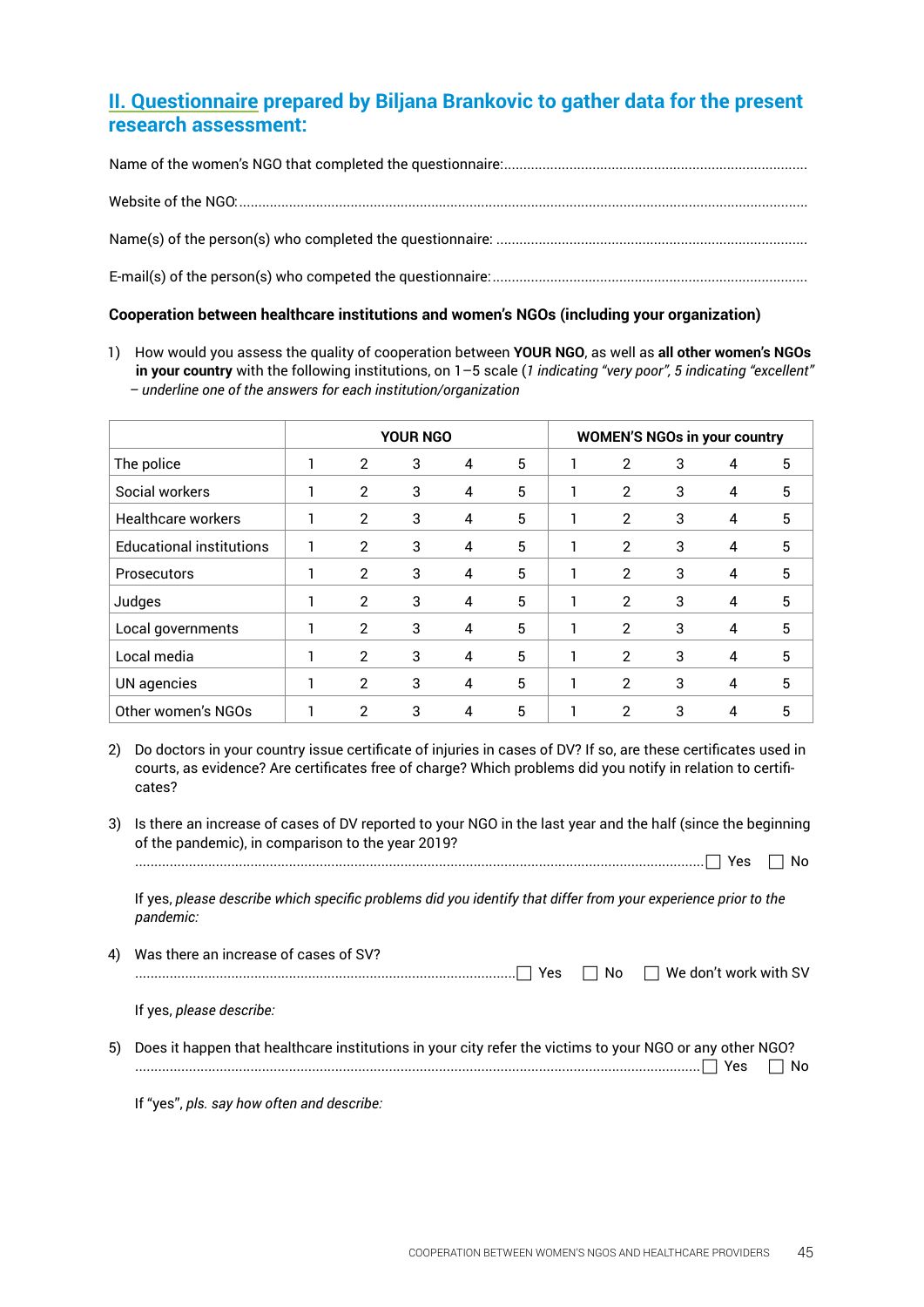# **II. Questionnaire prepared by Biljana Brankovic to gather data for the present research assessment:**

#### **Cooperation between healthcare institutions and women's NGOs (including your organization)**

1) How would you assess the quality of cooperation between **YOUR NGO**, as well as **all other women's NGOs in your country** with the following institutions, on 1–5 scale (*1 indicating "very poor", 5 indicating "excellent" – underline one of the answers for each institution/organization*

|                                 | <b>YOUR NGO</b> |                |   |                |   |                | <b>WOMEN'S NGOs in your country</b> |                |   |
|---------------------------------|-----------------|----------------|---|----------------|---|----------------|-------------------------------------|----------------|---|
| The police                      |                 | 2              | 3 | $\overline{4}$ | 5 | 2              | 3                                   | 4              | 5 |
| Social workers                  |                 | $\overline{2}$ | 3 | 4              | 5 | $\overline{2}$ | 3                                   | $\overline{4}$ | 5 |
| <b>Healthcare workers</b>       |                 | $\overline{2}$ | 3 | 4              | 5 | $\overline{2}$ | 3                                   | 4              | 5 |
| <b>Educational institutions</b> |                 | $\overline{2}$ | 3 | 4              | 5 | 2              | 3                                   | 4              | 5 |
| <b>Prosecutors</b>              |                 | $\overline{2}$ | 3 | $\overline{4}$ | 5 | 2              | 3                                   | 4              | 5 |
| Judges                          | ٦               | $\overline{2}$ | 3 | $\overline{4}$ | 5 | 2              | 3                                   | 4              | 5 |
| Local governments               |                 | 2              | 3 | 4              | 5 | 2              | 3                                   | $\overline{4}$ | 5 |
| Local media                     |                 | 2              | 3 | 4              | 5 | 2              | 3                                   | 4              | 5 |
| UN agencies                     |                 | 2              | 3 | 4              | 5 | 2              | 3                                   | 4              | 5 |
| Other women's NGOs              |                 | 2              | 3 | 4              | 5 | $\mathcal{P}$  | 3                                   | 4              | 5 |

- 2) Do doctors in your country issue certificate of injuries in cases of DV? If so, are these certificates used in courts, as evidence? Are certificates free of charge? Which problems did you notify in relation to certificates?
- 3) Is there an increase of cases of DV reported to your NGO in the last year and the half (since the beginning of the pandemic), in comparison to the year 2019?

If yes, *please describe which specific problems did you identify that differ from your experience prior to the pandemic:* 

4) Was there an increase of cases of SV? ................................................................................................... Yes No We don't work with SV

If yes, *please describe:*

5) Does it happen that healthcare institutions in your city refer the victims to your NGO or any other NGO? ................................................................................................................................................... Yes No

 If "yes", *pls. say how often and describe:*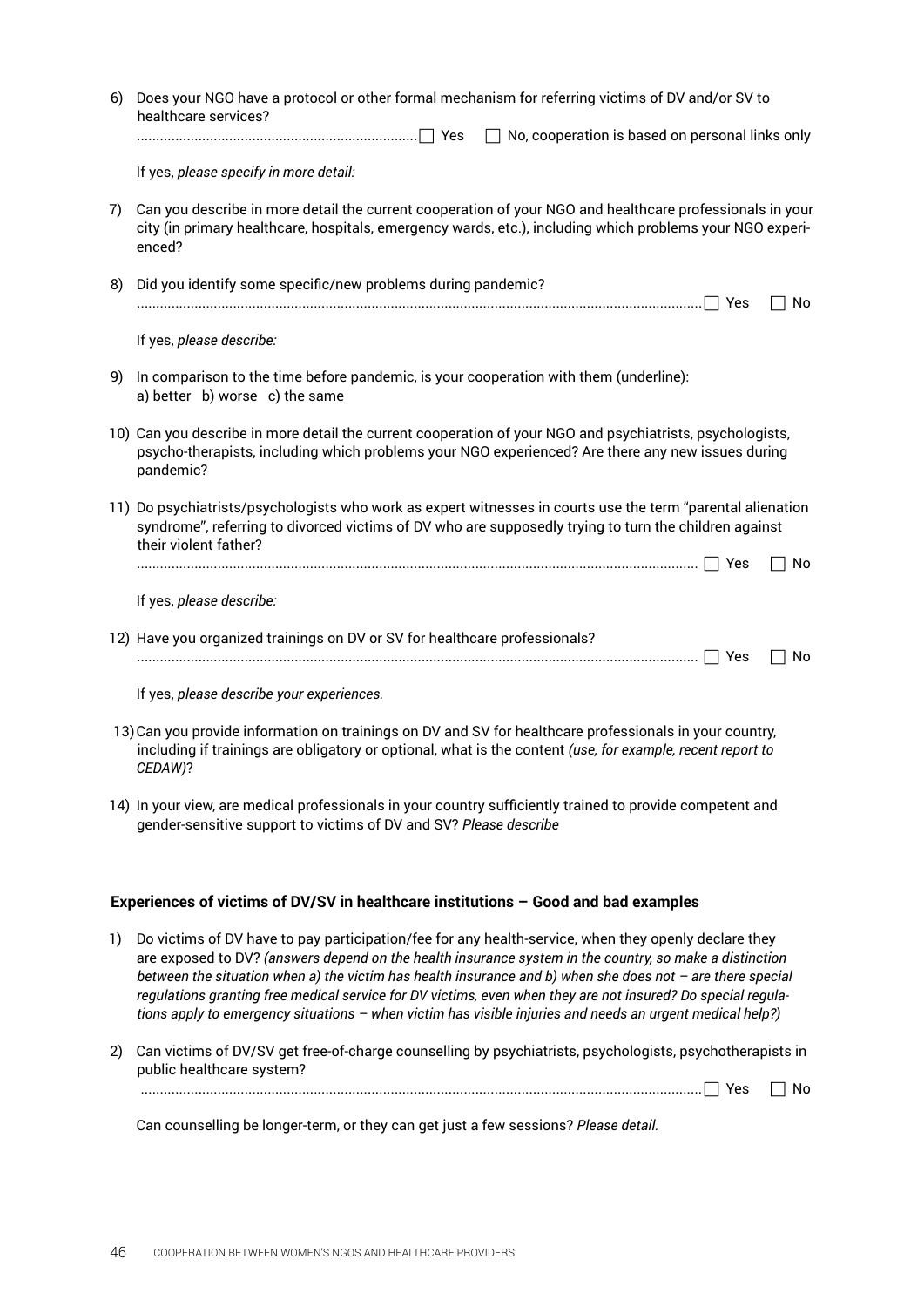| 6) | Does your NGO have a protocol or other formal mechanism for referring victims of DV and/or SV to<br>healthcare services?<br>No, cooperation is based on personal links only<br>$\perp$                                                        |  |  |
|----|-----------------------------------------------------------------------------------------------------------------------------------------------------------------------------------------------------------------------------------------------|--|--|
|    | If yes, please specify in more detail:                                                                                                                                                                                                        |  |  |
| 7) | Can you describe in more detail the current cooperation of your NGO and healthcare professionals in your<br>city (in primary healthcare, hospitals, emergency wards, etc.), including which problems your NGO experi-<br>enced?               |  |  |
| 8) | Did you identify some specific/new problems during pandemic?<br>No                                                                                                                                                                            |  |  |
|    | If yes, please describe:                                                                                                                                                                                                                      |  |  |
| 9) | In comparison to the time before pandemic, is your cooperation with them (underline):<br>a) better b) worse c) the same                                                                                                                       |  |  |
|    | 10) Can you describe in more detail the current cooperation of your NGO and psychiatrists, psychologists,<br>psycho-therapists, including which problems your NGO experienced? Are there any new issues during<br>pandemic?                   |  |  |
|    | 11) Do psychiatrists/psychologists who work as expert witnesses in courts use the term "parental alienation<br>syndrome", referring to divorced victims of DV who are supposedly trying to turn the children against<br>their violent father? |  |  |
|    | No                                                                                                                                                                                                                                            |  |  |
|    | If yes, please describe:                                                                                                                                                                                                                      |  |  |
|    | 12) Have you organized trainings on DV or SV for healthcare professionals?<br>No                                                                                                                                                              |  |  |
|    | If yes, please describe your experiences.                                                                                                                                                                                                     |  |  |
|    | 13) Can you provide information on trainings on DV and SV for healthcare professionals in your country,<br>including if trainings are obligatory or optional, what is the content (use, for example, recent report to<br>CEDAW)?              |  |  |
|    | 14) In your view, are medical professionals in your country sufficiently trained to provide competent and<br>gender-sensitive support to victims of DV and SV? Please describe                                                                |  |  |
|    | Experiences of victims of DV/SV in healthcare institutions - Good and bad examples                                                                                                                                                            |  |  |

- 1) Do victims of DV have to pay participation/fee for any health-service, when they openly declare they are exposed to DV? *(answers depend on the health insurance system in the country, so make a distinction between the situation when a) the victim has health insurance and b) when she does not – are there special regulations granting free medical service for DV victims, even when they are not insured? Do special regulations apply to emergency situations – when victim has visible injuries and needs an urgent medical help?)*
- 2) Can victims of DV/SV get free-of-charge counselling by psychiatrists, psychologists, psychotherapists in public healthcare system?

.................................................................................................................................................. Yes No

Can counselling be longer-term, or they can get just a few sessions? *Please detail.*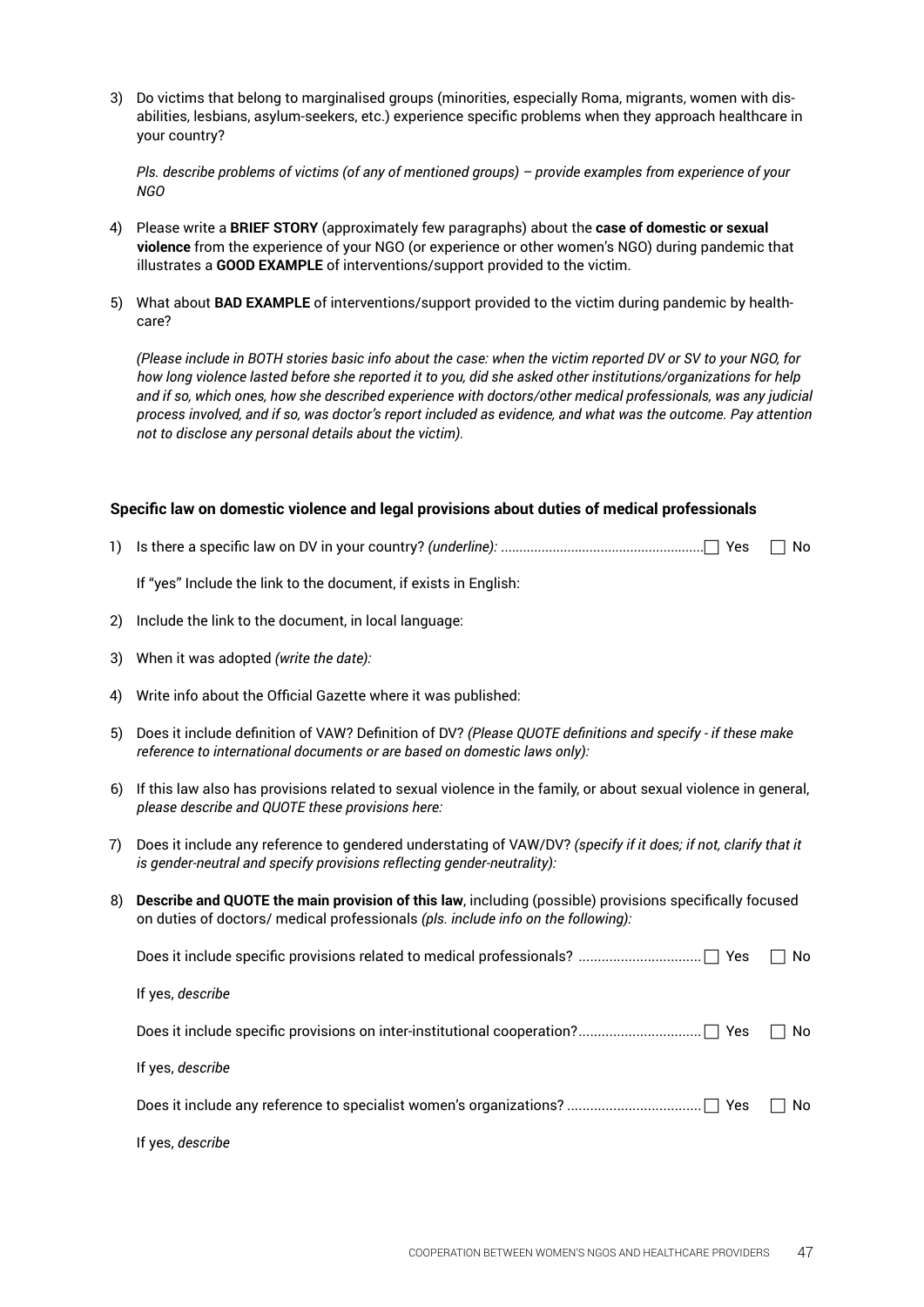3) Do victims that belong to marginalised groups (minorities, especially Roma, migrants, women with disabilities, lesbians, asylum-seekers, etc.) experience specific problems when they approach healthcare in your country?

*Pls. describe problems of victims (of any of mentioned groups) – provide examples from experience of your NGO*

- 4) Please write a **BRIEF STORY** (approximately few paragraphs) about the **case of domestic or sexual violence** from the experience of your NGO (or experience or other women's NGO) during pandemic that illustrates a **GOOD EXAMPLE** of interventions/support provided to the victim.
- 5) What about **BAD EXAMPLE** of interventions/support provided to the victim during pandemic by healthcare?

*(Please include in BOTH stories basic info about the case: when the victim reported DV or SV to your NGO, for how long violence lasted before she reported it to you, did she asked other institutions/organizations for help and if so, which ones, how she described experience with doctors/other medical professionals, was any judicial process involved, and if so, was doctor's report included as evidence, and what was the outcome. Pay attention not to disclose any personal details about the victim).*

#### **Specific law on domestic violence and legal provisions about duties of medical professionals**

1) Is there a specific law on DV in your country? *(underline): .......................................................* Yes No

 If "yes" Include the link to the document, if exists in English:

- 2) Include the link to the document, in local language:
- 3) When it was adopted *(write the date):*
- 4) Write info about the Official Gazette where it was published:
- 5) Does it include definition of VAW? Definition of DV? *(Please QUOTE definitions and specify if these make reference to international documents or are based on domestic laws only):*
- 6) If this law also has provisions related to sexual violence in the family, or about sexual violence in general, *please describe and QUOTE these provisions here:*
- 7) Does it include any reference to gendered understating of VAW/DV? *(specify if it does; if not, clarify that it is gender-neutral and specify provisions reflecting gender-neutrality):*
- 8) **Describe and QUOTE the main provision of this law**, including (possible) provisions specifically focused on duties of doctors/ medical professionals *(pls. include info on the following):*

|                  | No. |
|------------------|-----|
| If yes, describe |     |
|                  | No  |
| If yes, describe |     |
|                  | No. |
| If yes, describe |     |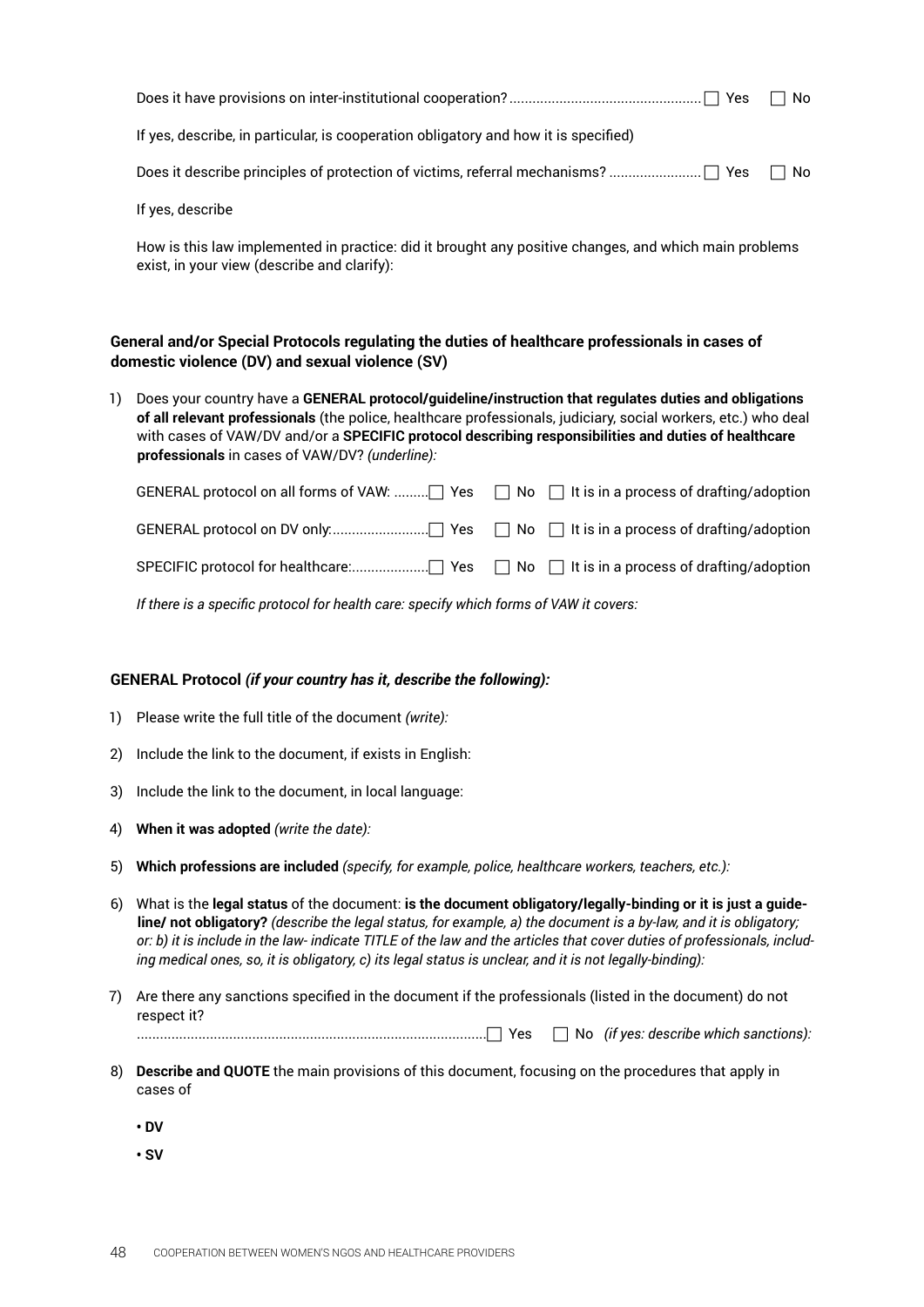|                                                                                     | No. |
|-------------------------------------------------------------------------------------|-----|
| If yes, describe, in particular, is cooperation obligatory and how it is specified) |     |
|                                                                                     |     |
| If yes, describe                                                                    |     |

How is this law implemented in practice: did it brought any positive changes, and which main problems exist, in your view (describe and clarify):

#### **General and/or Special Protocols regulating the duties of healthcare professionals in cases of domestic violence (DV) and sexual violence (SV)**

1) Does your country have a **GENERAL protocol/guideline/instruction that regulates duties and obligations of all relevant professionals** (the police, healthcare professionals, judiciary, social workers, etc.) who deal with cases of VAW/DV and/or a **SPECIFIC protocol describing responsibilities and duties of healthcare professionals** in cases of VAW/DV? *(underline):*

*If there is a specific protocol for health care: specify which forms of VAW it covers:*

#### **GENERAL Protocol** *(if your country has it, describe the following):*

- 1) Please write the full title of the document *(write):*
- 2) Include the link to the document, if exists in English:
- 3) Include the link to the document, in local language:
- 4) **When it was adopted** *(write the date):*
- 5) **Which professions are included** *(specify, for example, police, healthcare workers, teachers, etc.):*
- 6) What is the **legal status** of the document: **is the document obligatory/legally-binding or it is just a guideline/ not obligatory?** *(describe the legal status, for example, a) the document is a by-law, and it is obligatory; or: b) it is include in the law- indicate TITLE of the law and the articles that cover duties of professionals, including medical ones, so, it is obligatory, c) its legal status is unclear, and it is not legally-binding):*
- 7) Are there any sanctions specified in the document if the professionals (listed in the document) do not respect it?

........................................................................................... Yes No *(if yes: describe which sanctions):* 

- 8) **Describe and QUOTE** the main provisions of this document, focusing on the procedures that apply in cases of
	- **DV**
	- **SV**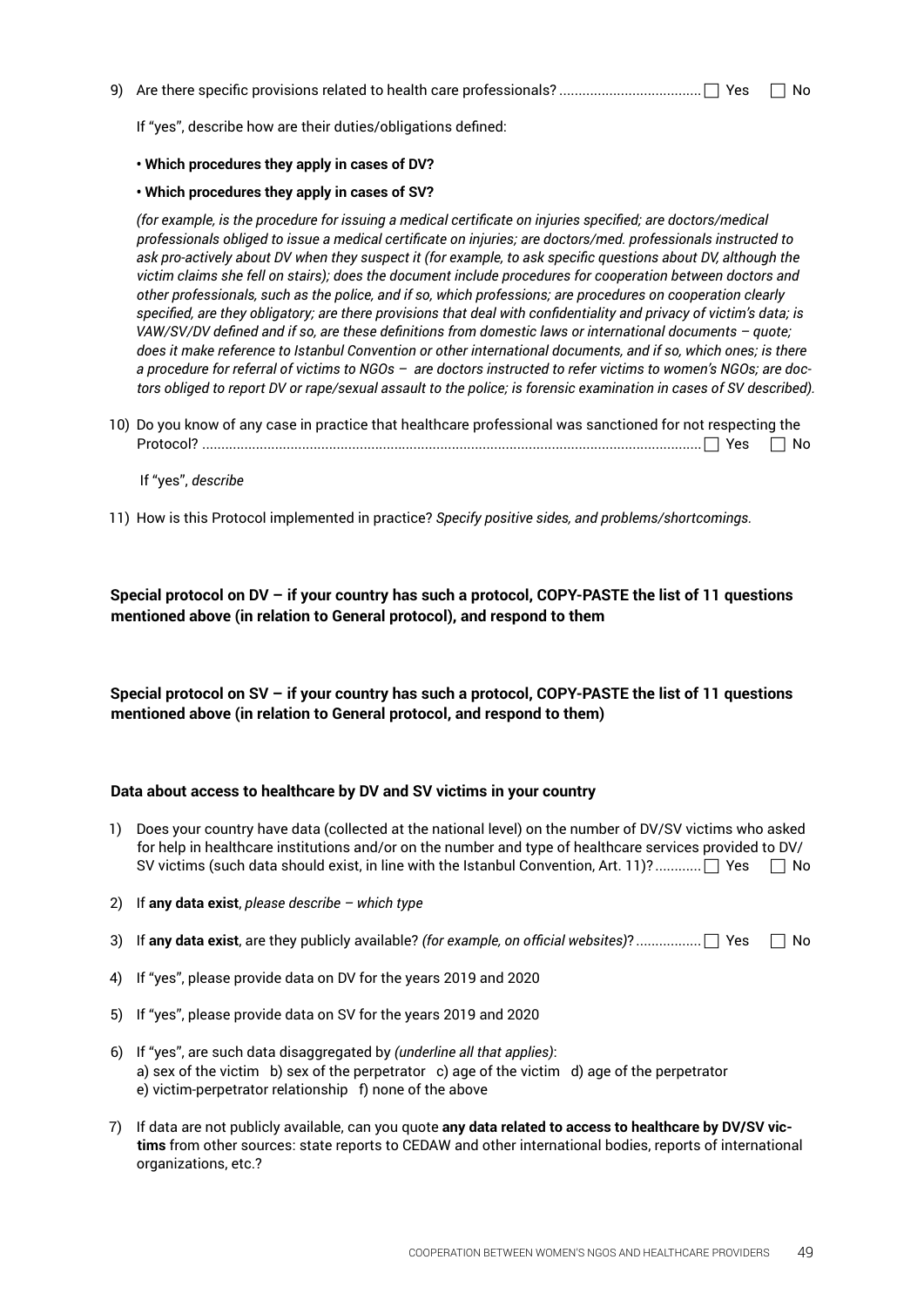9) Are there specific provisions related to health care professionals? ..................................... Yes No

 If "yes", describe how are their duties/obligations defined:

- **Which procedures they apply in cases of DV?**
- **Which procedures they apply in cases of SV?**

*(for example, is the procedure for issuing a medical certificate on injuries specified; are doctors/medical professionals obliged to issue a medical certificate on injuries; are doctors/med. professionals instructed to ask pro-actively about DV when they suspect it (for example, to ask specific questions about DV, although the victim claims she fell on stairs); does the document include procedures for cooperation between doctors and other professionals, such as the police, and if so, which professions; are procedures on cooperation clearly specified, are they obligatory; are there provisions that deal with confidentiality and privacy of victim's data; is VAW/SV/DV defined and if so, are these definitions from domestic laws or international documents – quote; does it make reference to Istanbul Convention or other international documents, and if so, which ones; is there a procedure for referral of victims to NGOs – are doctors instructed to refer victims to women's NGOs; are doctors obliged to report DV or rape/sexual assault to the police; is forensic examination in cases of SV described).*

10) Do you know of any case in practice that healthcare professional was sanctioned for not respecting the Protocol? .................................................................................................................................. Yes No

#### If "yes", *describe*

11) How is this Protocol implemented in practice? *Specify positive sides, and problems/shortcomings.*

**Special protocol on DV – if your country has such a protocol, COPY-PASTE the list of 11 questions mentioned above (in relation to General protocol), and respond to them**

**Special protocol on SV – if your country has such a protocol, COPY-PASTE the list of 11 questions mentioned above (in relation to General protocol, and respond to them)**

#### **Data about access to healthcare by DV and SV victims in your country**

- 1) Does your country have data (collected at the national level) on the number of DV/SV victims who asked for help in healthcare institutions and/or on the number and type of healthcare services provided to DV/ SV victims (such data should exist, in line with the Istanbul Convention, Art. 11)? .............  $\Box$  Yes  $\Box$  No
- 2) If **any data exist**, *please describe which type*
- 3) If **any data exist**, are they publicly available? *(for example, on official websites)*? ................. Yes No
- 4) If "yes", please provide data on DV for the years 2019 and 2020
- 5) If "yes", please provide data on SV for the years 2019 and 2020
- 6) If "yes", are such data disaggregated by *(underline all that applies)*: a) sex of the victim b) sex of the perpetrator c) age of the victim d) age of the perpetrator e) victim-perpetrator relationship f) none of the above
- 7) If data are not publicly available, can you quote **any data related to access to healthcare by DV/SV victims** from other sources: state reports to CEDAW and other international bodies, reports of international organizations, etc.?